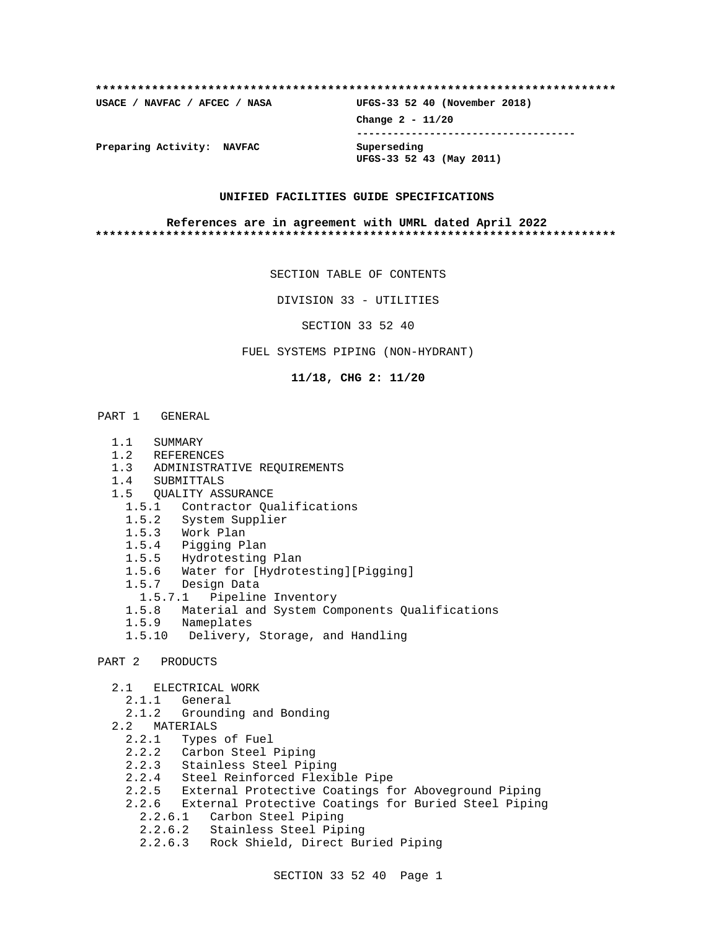# **\*\*\*\*\*\*\*\*\*\*\*\*\*\*\*\*\*\*\*\*\*\*\*\*\*\*\*\*\*\*\*\*\*\*\*\*\*\*\*\*\*\*\*\*\*\*\*\*\*\*\*\*\*\*\*\*\*\*\*\*\*\*\*\*\*\*\*\*\*\*\*\*\*\* USACE / NAVFAC / AFCEC / NASA UFGS-33 52 40 (November 2018) Change 2 - 11/20 ------------------------------------ Preparing Activity: NAVFAC Superseding UFGS-33 52 43 (May 2011)**

#### **UNIFIED FACILITIES GUIDE SPECIFICATIONS**

#### **References are in agreement with UMRL dated April 2022 \*\*\*\*\*\*\*\*\*\*\*\*\*\*\*\*\*\*\*\*\*\*\*\*\*\*\*\*\*\*\*\*\*\*\*\*\*\*\*\*\*\*\*\*\*\*\*\*\*\*\*\*\*\*\*\*\*\*\*\*\*\*\*\*\*\*\*\*\*\*\*\*\*\***

SECTION TABLE OF CONTENTS

DIVISION 33 - UTILITIES

SECTION 33 52 40

FUEL SYSTEMS PIPING (NON-HYDRANT)

**11/18, CHG 2: 11/20**

#### PART 1 GENERAL

- 1.1 SUMMARY
- 1.2 REFERENCES
- 1.3 ADMINISTRATIVE REQUIREMENTS
- 1.4 SUBMITTALS
- 1.5 QUALITY ASSURANCE
	- 1.5.1 Contractor Qualifications
	- 1.5.2 System Supplier
	- 1.5.3 Work Plan
	- 1.5.4 Pigging Plan
	- 1.5.5 Hydrotesting Plan
	- 1.5.6 Water for [Hydrotesting][Pigging]
	- 1.5.7 Design Data
	- 1.5.7.1 Pipeline Inventory
	- 1.5.8 Material and System Components Qualifications
	- 1.5.9 Nameplates
	- 1.5.10 Delivery, Storage, and Handling

# PART 2 PRODUCTS

- 2.1 ELECTRICAL WORK
- 2.1.1 General
- 2.1.2 Grounding and Bonding
	- 2.2 MATERIALS
		- 2.2.1 Types of Fuel
		- 2.2.2 Carbon Steel Piping
		- 2.2.3 Stainless Steel Piping
		- 2.2.4 Steel Reinforced Flexible Pipe
		- 2.2.5 External Protective Coatings for Aboveground Piping
		- 2.2.6 External Protective Coatings for Buried Steel Piping
			- 2.2.6.1 Carbon Steel Piping
			- 2.2.6.2 Stainless Steel Piping
			- 2.2.6.3 Rock Shield, Direct Buried Piping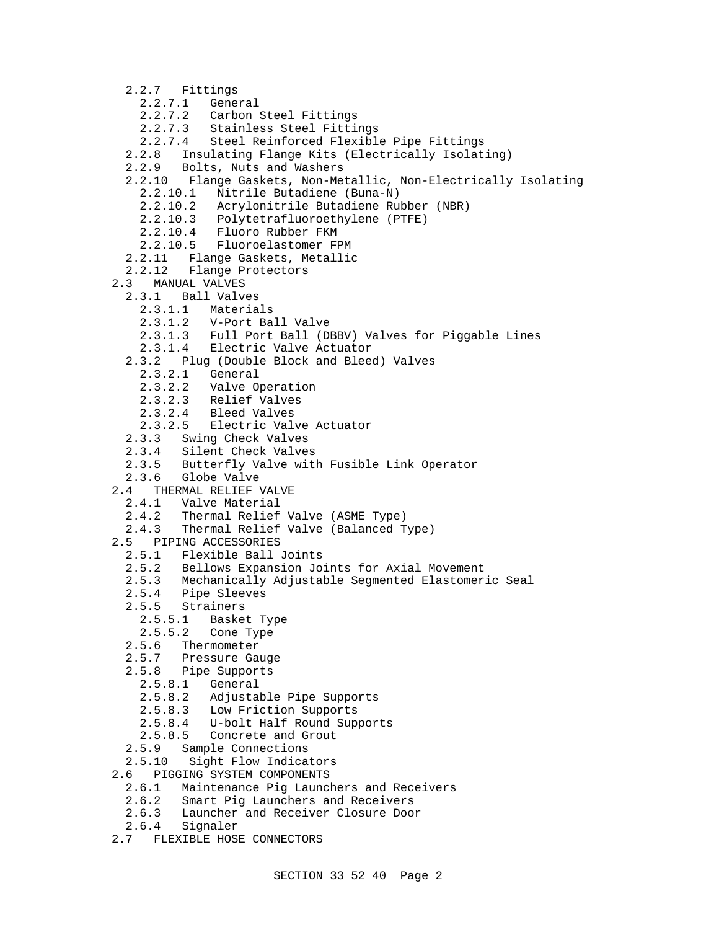2.2.7 Fittings 2.2.7.1 General 2.2.7.2 Carbon Steel Fittings 2.2.7.3 Stainless Steel Fittings 2.2.7.4 Steel Reinforced Flexible Pipe Fittings 2.2.8 Insulating Flange Kits (Electrically Isolating) 2.2.9 Bolts, Nuts and Washers 2.2.10 Flange Gaskets, Non-Metallic, Non-Electrically Isolating 2.2.10.1 Nitrile Butadiene (Buna-N) 2.2.10.2 Acrylonitrile Butadiene Rubber (NBR) 2.2.10.3 Polytetrafluoroethylene (PTFE) 2.2.10.4 Fluoro Rubber FKM 2.2.10.5 Fluoroelastomer FPM 2.2.11 Flange Gaskets, Metallic 2.2.12 Flange Protectors 2.3 MANUAL VALVES 2.3.1 Ball Valves 2.3.1.1 Materials 2.3.1.2 V-Port Ball Valve 2.3.1.3 Full Port Ball (DBBV) Valves for Piggable Lines 2.3.1.4 Electric Valve Actuator 2.3.2 Plug (Double Block and Bleed) Valves 2.3.2.1 General 2.3.2.2 Valve Operation 2.3.2.3 Relief Valves 2.3.2.4 Bleed Valves 2.3.2.5 Electric Valve Actuator 2.3.3 Swing Check Valves 2.3.4 Silent Check Valves 2.3.5 Butterfly Valve with Fusible Link Operator 2.3.6 Globe Valve 2.4 THERMAL RELIEF VALVE 2.4.1 Valve Material 2.4.2 Thermal Relief Valve (ASME Type) 2.4.3 Thermal Relief Valve (Balanced Type) 2.5 PIPING ACCESSORIES 2.5.1 Flexible Ball Joints 2.5.2 Bellows Expansion Joints for Axial Movement 2.5.3 Mechanically Adjustable Segmented Elastomeric Seal 2.5.4 Pipe Sleeves 2.5.5 Strainers 2.5.5.1 Basket Type 2.5.5.2 Cone Type 2.5.6 Thermometer<br>2.5.7 Pressure Ga Pressure Gauge 2.5.8 Pipe Supports 2.5.8.1 General 2.5.8.2 Adjustable Pipe Supports 2.5.8.3 Low Friction Supports 2.5.8.4 U-bolt Half Round Supports 2.5.8.5 Concrete and Grout 2.5.9 Sample Connections 2.5.10 Sight Flow Indicators 2.6 PIGGING SYSTEM COMPONENTS 2.6.1 Maintenance Pig Launchers and Receivers 2.6.2 Smart Pig Launchers and Receivers 2.6.3 Launcher and Receiver Closure Door 2.6.4 Signaler 2.7 FLEXIBLE HOSE CONNECTORS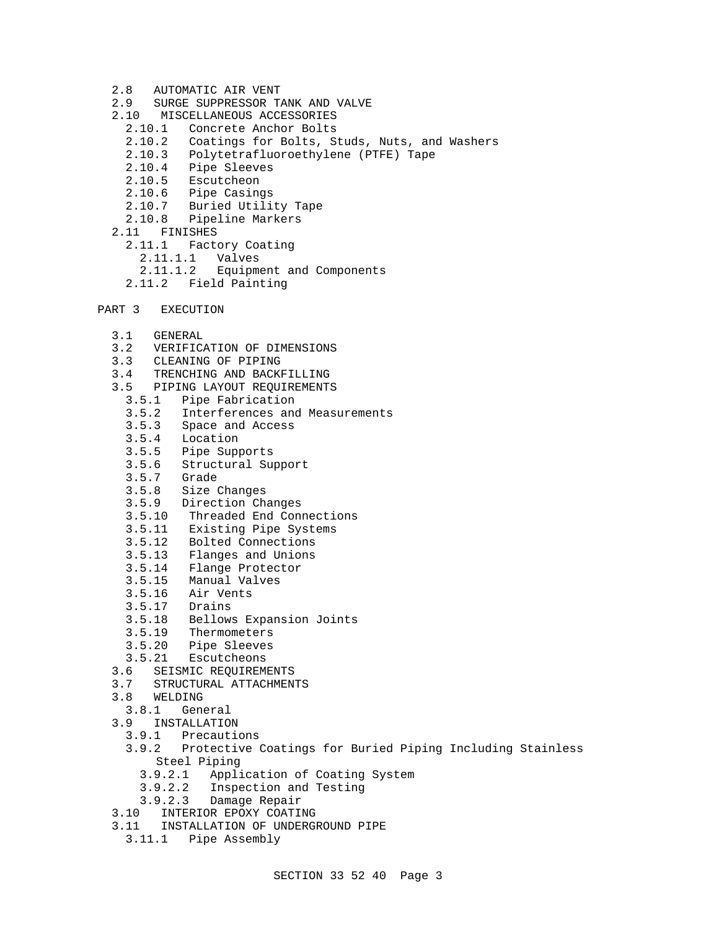- 2.8 AUTOMATIC AIR VENT
- 2.9 SURGE SUPPRESSOR TANK AND VALVE
- 2.10 MISCELLANEOUS ACCESSORIES
	- 2.10.1 Concrete Anchor Bolts
	- 2.10.2 Coatings for Bolts, Studs, Nuts, and Washers
	- 2.10.3 Polytetrafluoroethylene (PTFE) Tape
	- 2.10.4 Pipe Sleeves
	- 2.10.5 Escutcheon
	- 2.10.6 Pipe Casings
	- 2.10.7 Buried Utility Tape
	- 2.10.8 Pipeline Markers
- 2.11 FINISHES
	- 2.11.1 Factory Coating
		- 2.11.1.1 Valves
	- 2.11.1.2 Equipment and Components
	- 2.11.2 Field Painting
- PART 3 EXECUTION
	- 3.1 GENERAL
	- 3.2 VERIFICATION OF DIMENSIONS
	- 3.3 CLEANING OF PIPING
	- 3.4 TRENCHING AND BACKFILLING
	- 3.5 PIPING LAYOUT REQUIREMENTS
		- 3.5.1 Pipe Fabrication
		- 3.5.2 Interferences and Measurements
		- 3.5.3 Space and Access
		- Location
		- 3.5.5 Pipe Supports
		- 3.5.6 Structural Support
		- 3.5.7 Grade
		- 3.5.8 Size Changes
		- 3.5.9 Direction Changes
		- 3.5.10 Threaded End Connections
		- 3.5.11 Existing Pipe Systems
		- 3.5.12 Bolted Connections
		- 3.5.13 Flanges and Unions
		- 3.5.14 Flange Protector
		- 3.5.15 Manual Valves
		- 3.5.16 Air Vents
		- 3.5.17 Drains
		- 3.5.18 Bellows Expansion Joints
		- 3.5.19 Thermometers
		- 3.5.20 Pipe Sleeves
		- 3.5.21 Escutcheons
	- 3.6 SEISMIC REQUIREMENTS
	- 3.7 STRUCTURAL ATTACHMENTS
	- 3.8 WELDING
	- 3.8.1 General
	- 3.9 INSTALLATION<br>3.9.1 Precaution
		- Precautions
		- 3.9.2 Protective Coatings for Buried Piping Including Stainless Steel Piping
			- 3.9.2.1 Application of Coating System
			- 3.9.2.2 Inspection and Testing
			- 3.9.2.3 Damage Repair
	- 3.10 INTERIOR EPOXY COATING
	- 3.11 INSTALLATION OF UNDERGROUND PIPE
	- 3.11.1 Pipe Assembly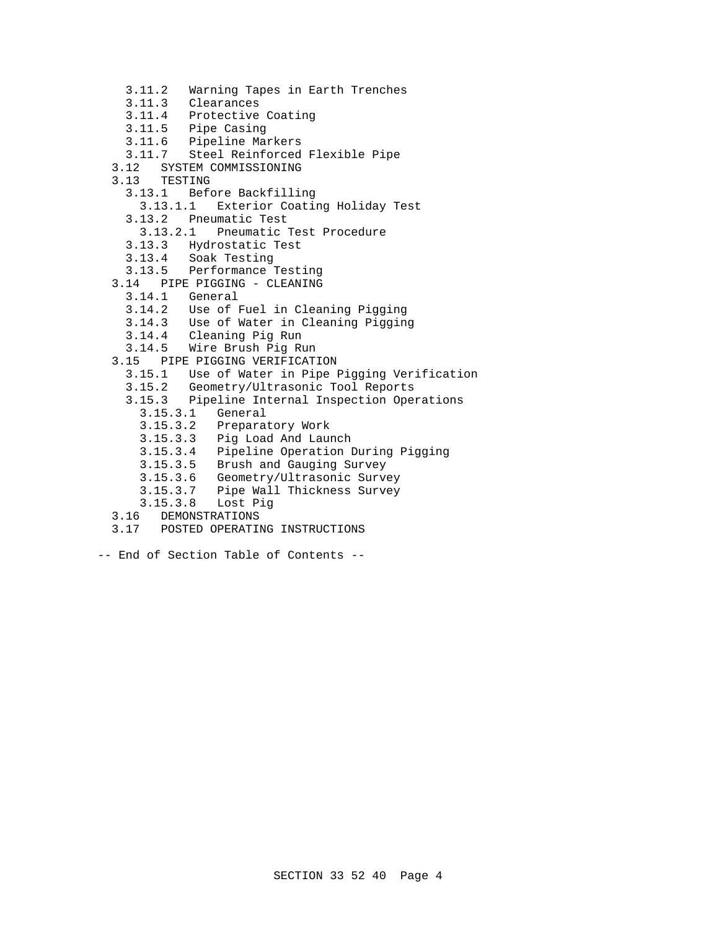- 3.11.2 Warning Tapes in Earth Trenches
- 3.11.3 Clearances
- 3.11.4 Protective Coating
- 3.11.5 Pipe Casing
- 3.11.6 Pipeline Markers
- 3.11.7 Steel Reinforced Flexible Pipe
- 3.12 SYSTEM COMMISSIONING
- 3.13 TESTING
	- 3.13.1 Before Backfilling
		- 3.13.1.1 Exterior Coating Holiday Test
	- 3.13.2 Pneumatic Test
		- 3.13.2.1 Pneumatic Test Procedure
	- 3.13.3 Hydrostatic Test
	- 3.13.4 Soak Testing
- 3.13.5 Performance Testing
- 3.14 PIPE PIGGING CLEANING
	- 3.14.1 General
	- 3.14.2 Use of Fuel in Cleaning Pigging
	- 3.14.3 Use of Water in Cleaning Pigging
	- 3.14.4 Cleaning Pig Run
- Wire Brush Pig Run
- 3.15 PIPE PIGGING VERIFICATION
	- 3.15.1 Use of Water in Pipe Pigging Verification
	- 3.15.2 Geometry/Ultrasonic Tool Reports
	- 3.15.3 Pipeline Internal Inspection Operations
		- 3.15.3.1 General
		- 3.15.3.2 Preparatory Work
		- 3.15.3.3 Pig Load And Launch
		- 3.15.3.4 Pipeline Operation During Pigging
- 3.15.3.5 Brush and Gauging Survey
- 3.15.3.6 Geometry/Ultrasonic Survey
	- 3.15.3.7 Pipe Wall Thickness Survey
	- 3.15.3.8 Lost Pig
	- 3.16 DEMONSTRATIONS
	- 3.17 POSTED OPERATING INSTRUCTIONS
- -- End of Section Table of Contents --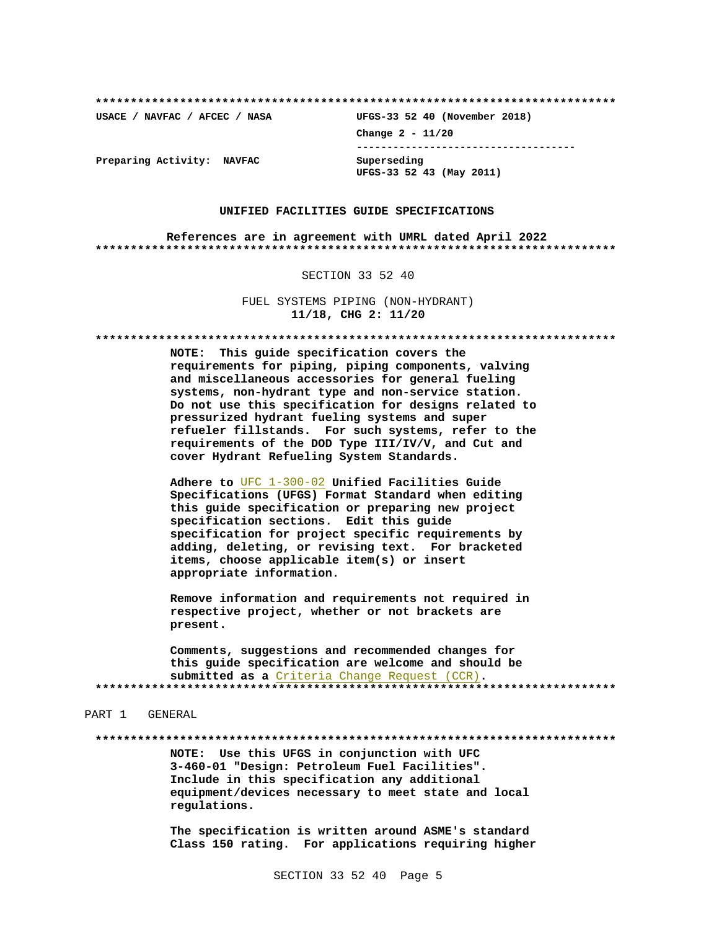USACE / NAVFAC / AFCEC / NASA

UFGS-33 52 40 (November 2018) Change  $2 - 11/20$ ------------------------------------Superseding

UFGS-33 52 43 (May 2011)

Preparing Activity: NAVFAC

#### UNIFIED FACILITIES GUIDE SPECIFICATIONS

References are in agreement with UMRL dated April 2022 

#### SECTION 33 52 40

FUEL SYSTEMS PIPING (NON-HYDRANT) 11/18, CHG 2: 11/20

NOTE: This guide specification covers the requirements for piping, piping components, valving and miscellaneous accessories for general fueling systems, non-hydrant type and non-service station. Do not use this specification for designs related to pressurized hydrant fueling systems and super refueler fillstands. For such systems, refer to the requirements of the DOD Type III/IV/V, and Cut and cover Hydrant Refueling System Standards.

Adhere to UFC 1-300-02 Unified Facilities Guide Specifications (UFGS) Format Standard when editing this guide specification or preparing new project specification sections. Edit this guide specification for project specific requirements by adding, deleting, or revising text. For bracketed items, choose applicable item(s) or insert appropriate information.

Remove information and requirements not required in respective project, whether or not brackets are present.

Comments, suggestions and recommended changes for this quide specification are welcome and should be submitted as a Criteria Change Request (CCR). 

PART 1 GENERAL

NOTE: Use this UFGS in conjunction with UFC 3-460-01 "Design: Petroleum Fuel Facilities". Include in this specification any additional equipment/devices necessary to meet state and local regulations.

The specification is written around ASME's standard Class 150 rating. For applications requiring higher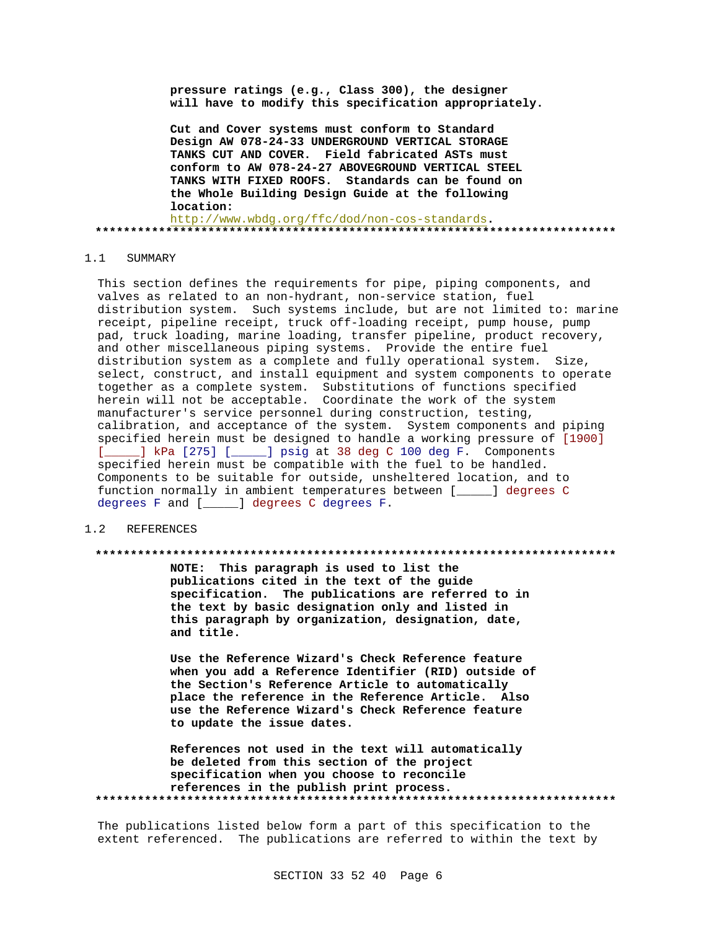**pressure ratings (e.g., Class 300), the designer will have to modify this specification appropriately.**

**Cut and Cover systems must conform to Standard Design AW 078-24-33 UNDERGROUND VERTICAL STORAGE TANKS CUT AND COVER. Field fabricated ASTs must conform to AW 078-24-27 ABOVEGROUND VERTICAL STEEL TANKS WITH FIXED ROOFS. Standards can be found on the Whole Building Design Guide at the following location:** http://www.wbdg.org/ffc/dod/non-cos-standards**.**

**\*\*\*\*\*\*\*\*\*\*\*\*\*\*\*\*\*\*\*\*\*\*\*\*\*\*\*\*\*\*\*\*\*\*\*\*\*\*\*\*\*\*\*\*\*\*\*\*\*\*\*\*\*\*\*\*\*\*\*\*\*\*\*\*\*\*\*\*\*\*\*\*\*\***

#### 1.1 SUMMARY

This section defines the requirements for pipe, piping components, and valves as related to an non-hydrant, non-service station, fuel distribution system. Such systems include, but are not limited to: marine receipt, pipeline receipt, truck off-loading receipt, pump house, pump pad, truck loading, marine loading, transfer pipeline, product recovery, and other miscellaneous piping systems. Provide the entire fuel distribution system as a complete and fully operational system. Size, select, construct, and install equipment and system components to operate together as a complete system. Substitutions of functions specified herein will not be acceptable. Coordinate the work of the system manufacturer's service personnel during construction, testing, calibration, and acceptance of the system. System components and piping specified herein must be designed to handle a working pressure of [1900] [\_\_\_\_\_] kPa [275] [\_\_\_\_\_] psig at 38 deg C 100 deg F. Components specified herein must be compatible with the fuel to be handled. Components to be suitable for outside, unsheltered location, and to function normally in ambient temperatures between [\_\_\_\_\_] degrees C degrees F and [\_\_\_\_\_] degrees C degrees F.

#### 1.2 REFERENCES

#### **\*\*\*\*\*\*\*\*\*\*\*\*\*\*\*\*\*\*\*\*\*\*\*\*\*\*\*\*\*\*\*\*\*\*\*\*\*\*\*\*\*\*\*\*\*\*\*\*\*\*\*\*\*\*\*\*\*\*\*\*\*\*\*\*\*\*\*\*\*\*\*\*\*\***

**NOTE: This paragraph is used to list the publications cited in the text of the guide specification. The publications are referred to in the text by basic designation only and listed in this paragraph by organization, designation, date, and title.**

**Use the Reference Wizard's Check Reference feature when you add a Reference Identifier (RID) outside of the Section's Reference Article to automatically place the reference in the Reference Article. Also use the Reference Wizard's Check Reference feature to update the issue dates.**

**References not used in the text will automatically be deleted from this section of the project specification when you choose to reconcile references in the publish print process. \*\*\*\*\*\*\*\*\*\*\*\*\*\*\*\*\*\*\*\*\*\*\*\*\*\*\*\*\*\*\*\*\*\*\*\*\*\*\*\*\*\*\*\*\*\*\*\*\*\*\*\*\*\*\*\*\*\*\*\*\*\*\*\*\*\*\*\*\*\*\*\*\*\***

The publications listed below form a part of this specification to the extent referenced. The publications are referred to within the text by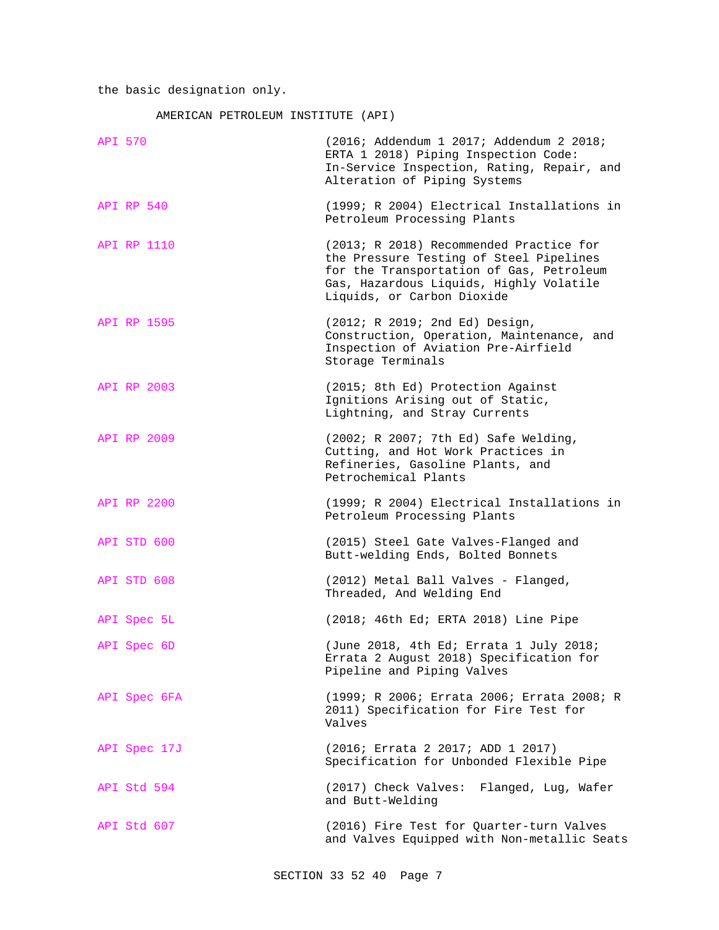the basic designation only.

AMERICAN PETROLEUM INSTITUTE (API)

| <b>API 570</b>    | (2016; Addendum 1 2017; Addendum 2 2018;<br>ERTA 1 2018) Piping Inspection Code:<br>In-Service Inspection, Rating, Repair, and<br>Alteration of Piping Systems                                          |
|-------------------|---------------------------------------------------------------------------------------------------------------------------------------------------------------------------------------------------------|
| <b>API RP 540</b> | (1999; R 2004) Electrical Installations in<br>Petroleum Processing Plants                                                                                                                               |
| API RP 1110       | (2013; R 2018) Recommended Practice for<br>the Pressure Testing of Steel Pipelines<br>for the Transportation of Gas, Petroleum<br>Gas, Hazardous Liquids, Highly Volatile<br>Liquids, or Carbon Dioxide |
| API RP 1595       | (2012; R 2019; 2nd Ed) Design,<br>Construction, Operation, Maintenance, and<br>Inspection of Aviation Pre-Airfield<br>Storage Terminals                                                                 |
| API RP 2003       | (2015; 8th Ed) Protection Against<br>Ignitions Arising out of Static,<br>Lightning, and Stray Currents                                                                                                  |
| API RP 2009       | (2002; R 2007; 7th Ed) Safe Welding,<br>Cutting, and Hot Work Practices in<br>Refineries, Gasoline Plants, and<br>Petrochemical Plants                                                                  |
| API RP 2200       | (1999; R 2004) Electrical Installations in<br>Petroleum Processing Plants                                                                                                                               |
| API STD 600       | (2015) Steel Gate Valves-Flanged and<br>Butt-welding Ends, Bolted Bonnets                                                                                                                               |
| API STD 608       | (2012) Metal Ball Valves - Flanged,<br>Threaded, And Welding End                                                                                                                                        |
| API Spec 5L       | (2018; 46th Ed; ERTA 2018) Line Pipe                                                                                                                                                                    |
| API Spec 6D       | (June 2018, 4th Ed; Errata 1 July 2018;<br>Errata 2 August 2018) Specification for<br>Pipeline and Piping Valves                                                                                        |
| API Spec 6FA      | (1999; R 2006; Errata 2006; Errata 2008; R<br>2011) Specification for Fire Test for<br>Valves                                                                                                           |
| API Spec 17J      | (2016; Errata 2 2017; ADD 1 2017)<br>Specification for Unbonded Flexible Pipe                                                                                                                           |
| API Std 594       | (2017) Check Valves:<br>Flanged, Lug, Wafer<br>and Butt-Welding                                                                                                                                         |
| API Std 607       | (2016) Fire Test for Quarter-turn Valves<br>and Valves Equipped with Non-metallic Seats                                                                                                                 |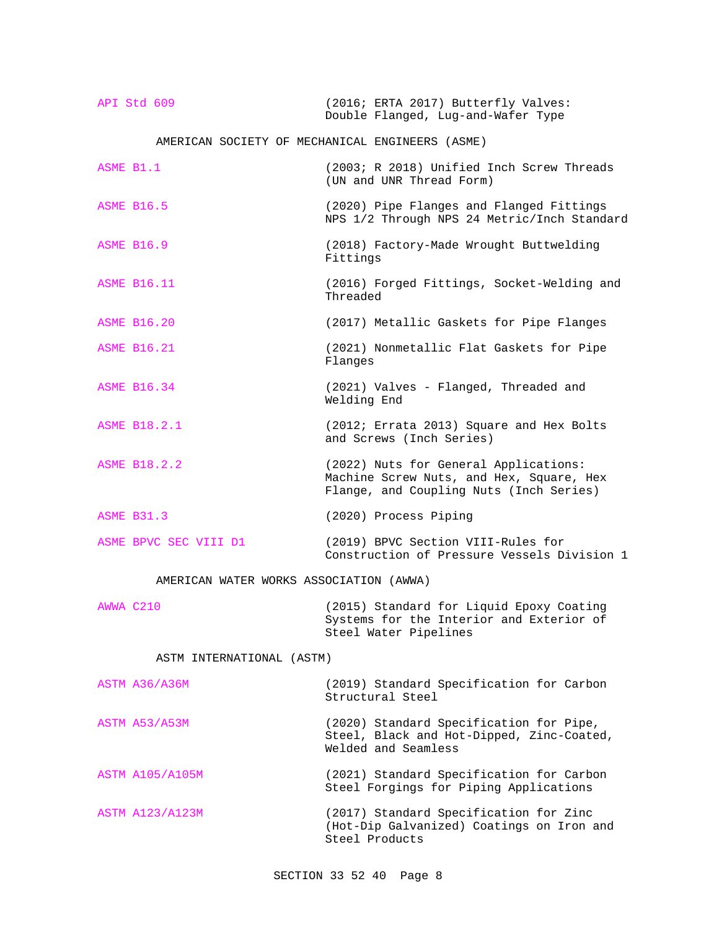| API Std 609 | (2016; ERTA 2017) Butterfly Valves: |  |
|-------------|-------------------------------------|--|
|             | Double Flanged, Lug-and-Wafer Type  |  |

AMERICAN SOCIETY OF MECHANICAL ENGINEERS (ASME)

| ASME B1.1                               | (2003; R 2018) Unified Inch Screw Threads<br>(UN and UNR Thread Form)                                                        |
|-----------------------------------------|------------------------------------------------------------------------------------------------------------------------------|
| <b>ASME B16.5</b>                       | (2020) Pipe Flanges and Flanged Fittings<br>NPS 1/2 Through NPS 24 Metric/Inch Standard                                      |
| <b>ASME B16.9</b>                       | (2018) Factory-Made Wrought Buttwelding<br>Fittings                                                                          |
| <b>ASME B16.11</b>                      | (2016) Forged Fittings, Socket-Welding and<br>Threaded                                                                       |
| <b>ASME B16.20</b>                      | (2017) Metallic Gaskets for Pipe Flanges                                                                                     |
| <b>ASME B16.21</b>                      | (2021) Nonmetallic Flat Gaskets for Pipe<br>Flanges                                                                          |
| <b>ASME B16.34</b>                      | (2021) Valves - Flanged, Threaded and<br>Welding End                                                                         |
| <b>ASME B18.2.1</b>                     | (2012; Errata 2013) Square and Hex Bolts<br>and Screws (Inch Series)                                                         |
| <b>ASME B18.2.2</b>                     | (2022) Nuts for General Applications:<br>Machine Screw Nuts, and Hex, Square, Hex<br>Flange, and Coupling Nuts (Inch Series) |
| <b>ASME B31.3</b>                       | (2020) Process Piping                                                                                                        |
| ASME BPVC SEC VIII D1                   | (2019) BPVC Section VIII-Rules for<br>Construction of Pressure Vessels Division 1                                            |
| AMERICAN WATER WORKS ASSOCIATION (AWWA) |                                                                                                                              |
| AWWA C210                               | (2015) Standard for Liquid Epoxy Coating<br>Systems for the Interior and Exterior of<br>Steel Water Pipelines                |
| ASTM INTERNATIONAL (ASTM)               |                                                                                                                              |
| ASTM A36/A36M                           | (2019) Standard Specification for Carbon<br>Structural Steel                                                                 |
| ASTM A53/A53M                           | (2020) Standard Specification for Pipe,<br>Steel, Black and Hot-Dipped, Zinc-Coated,<br>Welded and Seamless                  |
| <b>ASTM A105/A105M</b>                  | (2021) Standard Specification for Carbon<br>Steel Forgings for Piping Applications                                           |
| ASTM A123/A123M                         | (2017) Standard Specification for Zinc<br>(Hot-Dip Galvanized) Coatings on Iron and<br>Steel Products                        |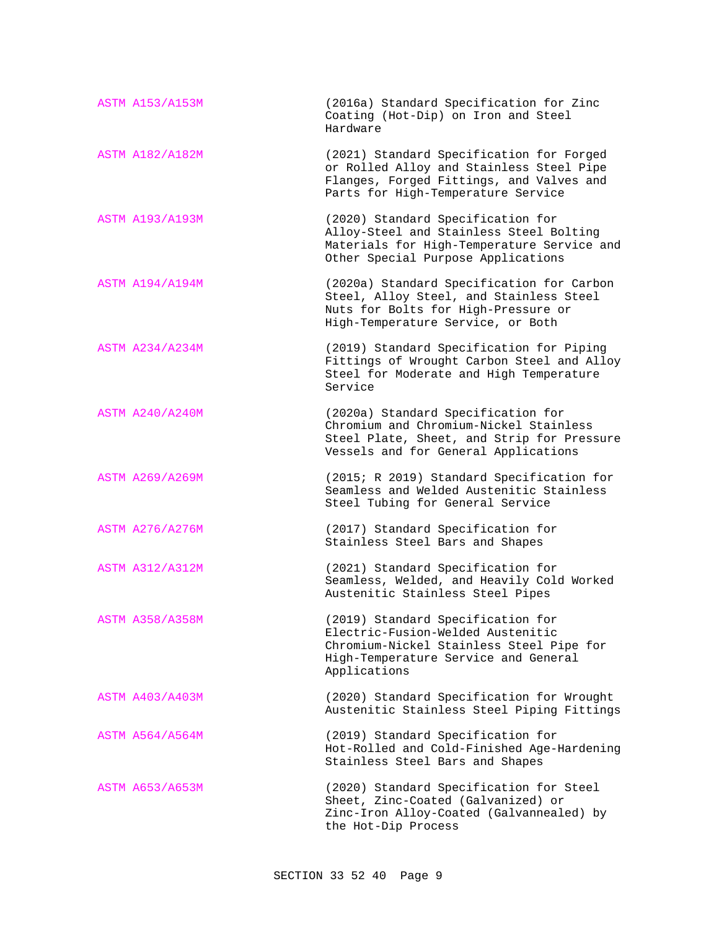| <b>ASTM A153/A153M</b> | (2016a) Standard Specification for Zinc<br>Coating (Hot-Dip) on Iron and Steel<br>Hardware                                                                                 |
|------------------------|----------------------------------------------------------------------------------------------------------------------------------------------------------------------------|
| <b>ASTM A182/A182M</b> | (2021) Standard Specification for Forged<br>or Rolled Alloy and Stainless Steel Pipe<br>Flanges, Forged Fittings, and Valves and<br>Parts for High-Temperature Service     |
| <b>ASTM A193/A193M</b> | (2020) Standard Specification for<br>Alloy-Steel and Stainless Steel Bolting<br>Materials for High-Temperature Service and<br>Other Special Purpose Applications           |
| <b>ASTM A194/A194M</b> | (2020a) Standard Specification for Carbon<br>Steel, Alloy Steel, and Stainless Steel<br>Nuts for Bolts for High-Pressure or<br>High-Temperature Service, or Both           |
| <b>ASTM A234/A234M</b> | (2019) Standard Specification for Piping<br>Fittings of Wrought Carbon Steel and Alloy<br>Steel for Moderate and High Temperature<br>Service                               |
| <b>ASTM A240/A240M</b> | (2020a) Standard Specification for<br>Chromium and Chromium-Nickel Stainless<br>Steel Plate, Sheet, and Strip for Pressure<br>Vessels and for General Applications         |
| <b>ASTM A269/A269M</b> | (2015; R 2019) Standard Specification for<br>Seamless and Welded Austenitic Stainless<br>Steel Tubing for General Service                                                  |
| <b>ASTM A276/A276M</b> | (2017) Standard Specification for<br>Stainless Steel Bars and Shapes                                                                                                       |
| <b>ASTM A312/A312M</b> | (2021) Standard Specification for<br>Seamless, Welded, and Heavily Cold Worked<br>Austenitic Stainless Steel Pipes                                                         |
| ASTM A358/A358M        | (2019) Standard Specification for<br>Electric-Fusion-Welded Austenitic<br>Chromium-Nickel Stainless Steel Pipe for<br>High-Temperature Service and General<br>Applications |
| <b>ASTM A403/A403M</b> | (2020) Standard Specification for Wrought<br>Austenitic Stainless Steel Piping Fittings                                                                                    |
| <b>ASTM A564/A564M</b> | (2019) Standard Specification for<br>Hot-Rolled and Cold-Finished Age-Hardening<br>Stainless Steel Bars and Shapes                                                         |
| <b>ASTM A653/A653M</b> | (2020) Standard Specification for Steel<br>Sheet, Zinc-Coated (Galvanized) or<br>Zinc-Iron Alloy-Coated (Galvannealed) by<br>the Hot-Dip Process                           |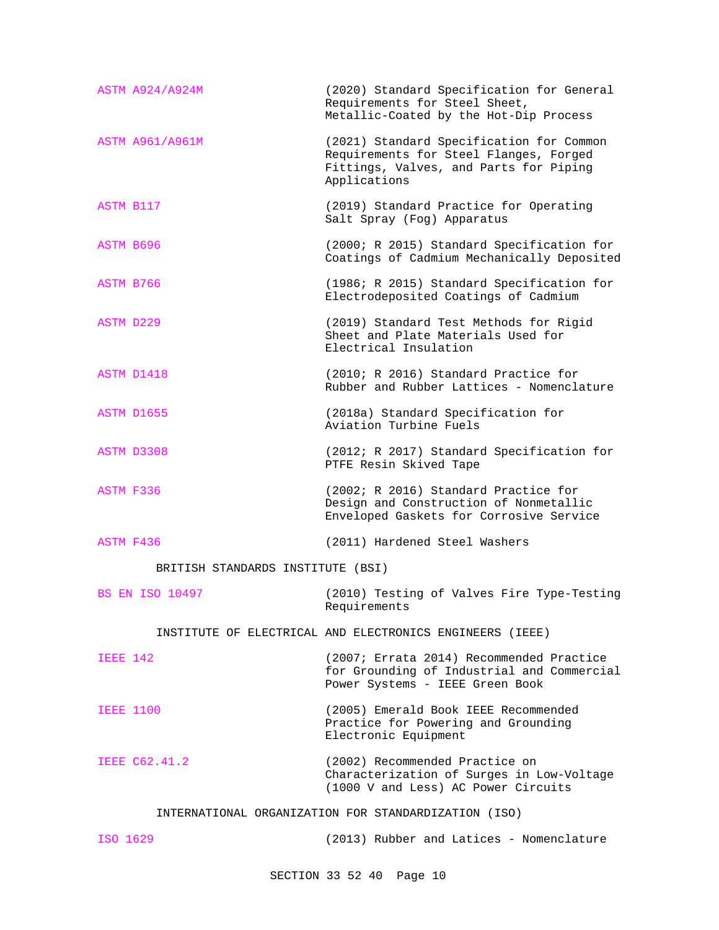| ASTM A924/A924M                                      | (2020) Standard Specification for General<br>Requirements for Steel Sheet,<br>Metallic-Coated by the Hot-Dip Process                         |  |  |  |
|------------------------------------------------------|----------------------------------------------------------------------------------------------------------------------------------------------|--|--|--|
| <b>ASTM A961/A961M</b>                               | (2021) Standard Specification for Common<br>Requirements for Steel Flanges, Forged<br>Fittings, Valves, and Parts for Piping<br>Applications |  |  |  |
| ASTM B117                                            | (2019) Standard Practice for Operating<br>Salt Spray (Fog) Apparatus                                                                         |  |  |  |
| <b>ASTM B696</b>                                     | (2000; R 2015) Standard Specification for<br>Coatings of Cadmium Mechanically Deposited                                                      |  |  |  |
| ASTM B766                                            | (1986; R 2015) Standard Specification for<br>Electrodeposited Coatings of Cadmium                                                            |  |  |  |
| <b>ASTM D229</b>                                     | (2019) Standard Test Methods for Rigid<br>Sheet and Plate Materials Used for<br>Electrical Insulation                                        |  |  |  |
| ASTM D1418                                           | (2010; R 2016) Standard Practice for<br>Rubber and Rubber Lattices - Nomenclature                                                            |  |  |  |
| ASTM D1655                                           | (2018a) Standard Specification for<br>Aviation Turbine Fuels                                                                                 |  |  |  |
| ASTM D3308                                           | (2012; R 2017) Standard Specification for<br>PTFE Resin Skived Tape                                                                          |  |  |  |
| <b>ASTM F336</b>                                     | (2002; R 2016) Standard Practice for<br>Design and Construction of Nonmetallic<br>Enveloped Gaskets for Corrosive Service                    |  |  |  |
| ASTM F436                                            | (2011) Hardened Steel Washers                                                                                                                |  |  |  |
| BRITISH STANDARDS INSTITUTE (BSI)                    |                                                                                                                                              |  |  |  |
| <b>BS EN ISO 10497</b>                               | (2010) Testing of Valves Fire Type-Testing<br>Requirements                                                                                   |  |  |  |
|                                                      | INSTITUTE OF ELECTRICAL AND ELECTRONICS ENGINEERS (IEEE)                                                                                     |  |  |  |
| <b>IEEE 142</b>                                      | (2007; Errata 2014) Recommended Practice<br>for Grounding of Industrial and Commercial<br>Power Systems - IEEE Green Book                    |  |  |  |
| <b>IEEE 1100</b>                                     | (2005) Emerald Book IEEE Recommended<br>Practice for Powering and Grounding<br>Electronic Equipment                                          |  |  |  |
| IEEE C62.41.2                                        | (2002) Recommended Practice on<br>Characterization of Surges in Low-Voltage<br>(1000 V and Less) AC Power Circuits                           |  |  |  |
| INTERNATIONAL ORGANIZATION FOR STANDARDIZATION (ISO) |                                                                                                                                              |  |  |  |

ISO 1629 (2013) Rubber and Latices - Nomenclature

SECTION 33 52 40 Page 10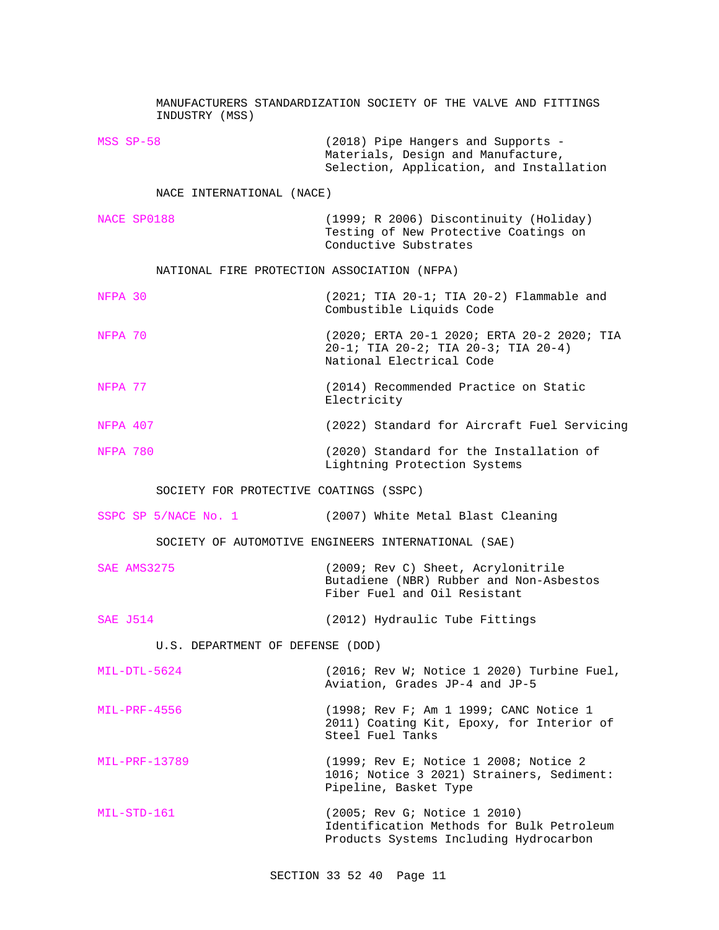MANUFACTURERS STANDARDIZATION SOCIETY OF THE VALVE AND FITTINGS INDUSTRY (MSS) MSS SP-58 (2018) Pipe Hangers and Supports - Materials, Design and Manufacture, Selection, Application, and Installation NACE INTERNATIONAL (NACE) NACE SP0188 (1999; R 2006) Discontinuity (Holiday) Testing of New Protective Coatings on Conductive Substrates NATIONAL FIRE PROTECTION ASSOCIATION (NFPA) NFPA 30 (2021; TIA 20-1; TIA 20-2) Flammable and Combustible Liquids Code NFPA 70 (2020; ERTA 20-1 2020; ERTA 20-2 2020; TIA 20-1; TIA 20-2; TIA 20-3; TIA 20-4) National Electrical Code NFPA 77 (2014) Recommended Practice on Static Electricity NFPA 407 (2022) Standard for Aircraft Fuel Servicing NFPA 780 (2020) Standard for the Installation of Lightning Protection Systems SOCIETY FOR PROTECTIVE COATINGS (SSPC) SSPC SP 5/NACE No. 1 (2007) White Metal Blast Cleaning SOCIETY OF AUTOMOTIVE ENGINEERS INTERNATIONAL (SAE) SAE AMS3275 (2009; Rev C) Sheet, Acrylonitrile Butadiene (NBR) Rubber and Non-Asbestos Fiber Fuel and Oil Resistant SAE J514 (2012) Hydraulic Tube Fittings U.S. DEPARTMENT OF DEFENSE (DOD) MIL-DTL-5624 (2016; Rev W; Notice 1 2020) Turbine Fuel, Aviation, Grades JP-4 and JP-5 MIL-PRF-4556 (1998; Rev F; Am 1 1999; CANC Notice 1 2011) Coating Kit, Epoxy, for Interior of Steel Fuel Tanks MIL-PRF-13789 (1999; Rev E; Notice 1 2008; Notice 2 1016; Notice 3 2021) Strainers, Sediment: Pipeline, Basket Type MIL-STD-161 (2005; Rev G; Notice 1 2010) Identification Methods for Bulk Petroleum Products Systems Including Hydrocarbon

SECTION 33 52 40 Page 11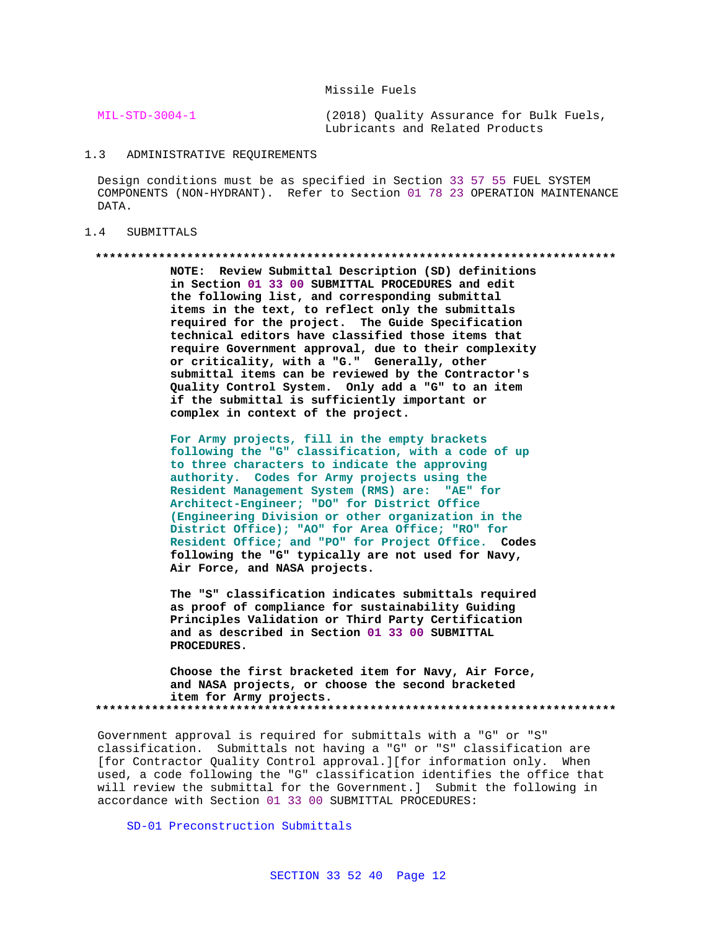Missile Fuels

MIL-STD-3004-1 (2018) Quality Assurance for Bulk Fuels, Lubricants and Related Products

#### 1.3 ADMINISTRATIVE REQUIREMENTS

Design conditions must be as specified in Section 33 57 55 FUEL SYSTEM COMPONENTS (NON-HYDRANT). Refer to Section 01 78 23 OPERATION MAINTENANCE DATA.

#### 1.4 SUBMITTALS

#### **\*\*\*\*\*\*\*\*\*\*\*\*\*\*\*\*\*\*\*\*\*\*\*\*\*\*\*\*\*\*\*\*\*\*\*\*\*\*\*\*\*\*\*\*\*\*\*\*\*\*\*\*\*\*\*\*\*\*\*\*\*\*\*\*\*\*\*\*\*\*\*\*\*\***

**NOTE: Review Submittal Description (SD) definitions in Section 01 33 00 SUBMITTAL PROCEDURES and edit the following list, and corresponding submittal items in the text, to reflect only the submittals required for the project. The Guide Specification technical editors have classified those items that require Government approval, due to their complexity or criticality, with a "G." Generally, other submittal items can be reviewed by the Contractor's Quality Control System. Only add a "G" to an item if the submittal is sufficiently important or complex in context of the project.**

**For Army projects, fill in the empty brackets following the "G" classification, with a code of up to three characters to indicate the approving authority. Codes for Army projects using the Resident Management System (RMS) are: "AE" for Architect-Engineer; "DO" for District Office (Engineering Division or other organization in the District Office); "AO" for Area Office; "RO" for Resident Office; and "PO" for Project Office. Codes following the "G" typically are not used for Navy, Air Force, and NASA projects.**

**The "S" classification indicates submittals required as proof of compliance for sustainability Guiding Principles Validation or Third Party Certification and as described in Section 01 33 00 SUBMITTAL PROCEDURES.**

**Choose the first bracketed item for Navy, Air Force, and NASA projects, or choose the second bracketed item for Army projects. \*\*\*\*\*\*\*\*\*\*\*\*\*\*\*\*\*\*\*\*\*\*\*\*\*\*\*\*\*\*\*\*\*\*\*\*\*\*\*\*\*\*\*\*\*\*\*\*\*\*\*\*\*\*\*\*\*\*\*\*\*\*\*\*\*\*\*\*\*\*\*\*\*\***

Government approval is required for submittals with a "G" or "S" classification. Submittals not having a "G" or "S" classification are [for Contractor Quality Control approval.][for information only. When used, a code following the "G" classification identifies the office that will review the submittal for the Government.] Submit the following in accordance with Section 01 33 00 SUBMITTAL PROCEDURES:

SD-01 Preconstruction Submittals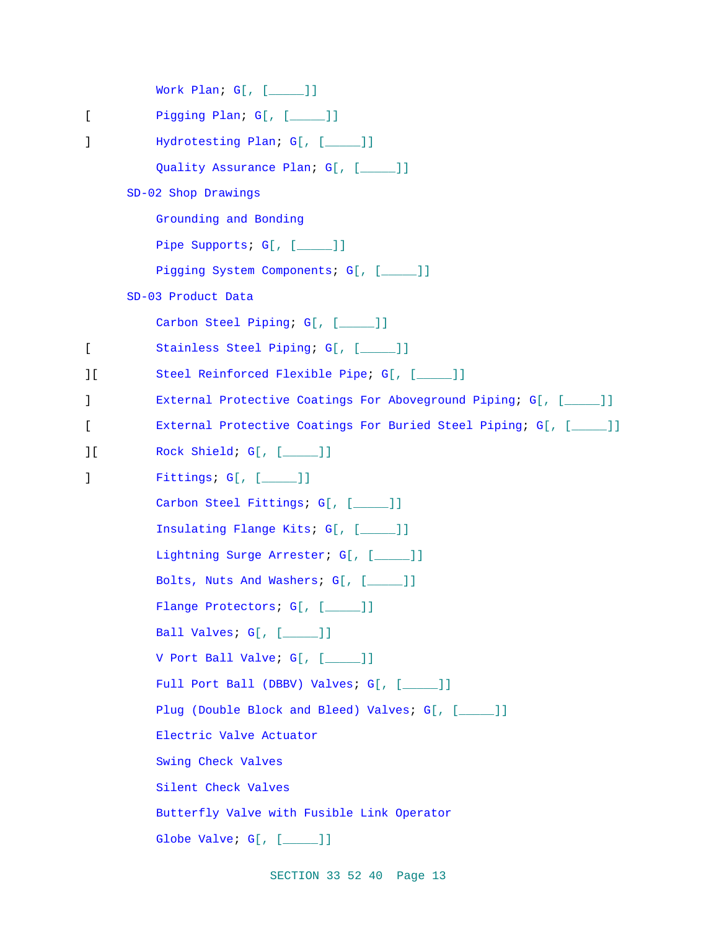```
Work Plan; G[, [_____]]
[ Pigging Plan; G[, [ _____ ]]
] Hydrotesting Plan; G[, [____]]
         Quality Assurance Plan; G[, [____]]
     SD-02 Shop Drawings
         Grounding and Bonding
         Pipe Supports; G[, [____]]
         Pigging System Components; G[, [____]]
     SD-03 Product Data
         Carbon Steel Piping; G[, [_____]]
[ Stainless Steel Piping; G[, [_____]]
][ Steel Reinforced Flexible Pipe; G[, [_____]]
] External Protective Coatings For Aboveground Piping; G[, [_____]]
[ External Protective Coatings For Buried Steel Piping; G[, [_____]]
][ Rock Shield; G[, [_____]]
] Fittings; G[, [_____]]
         Carbon Steel Fittings; G[, [____]]
         Insulating Flange Kits; G[, [_____]]
         Lightning Surge Arrester; G[, [_____]]
         Bolts, Nuts And Washers; G[, [_____]]
         Flange Protectors; G[, [____]]
         Ball Valves; G[, [_____ ]]
         V Port Ball Valve; G[, [_____]]
         Full Port Ball (DBBV) Valves; G[, [____]]
         Plug (Double Block and Bleed) Valves; G[, [_____]]
         Electric Valve Actuator
         Swing Check Valves
         Silent Check Valves
         Butterfly Valve with Fusible Link Operator
         Globe Valve; G[, [____]]
```
SECTION 33 52 40 Page 13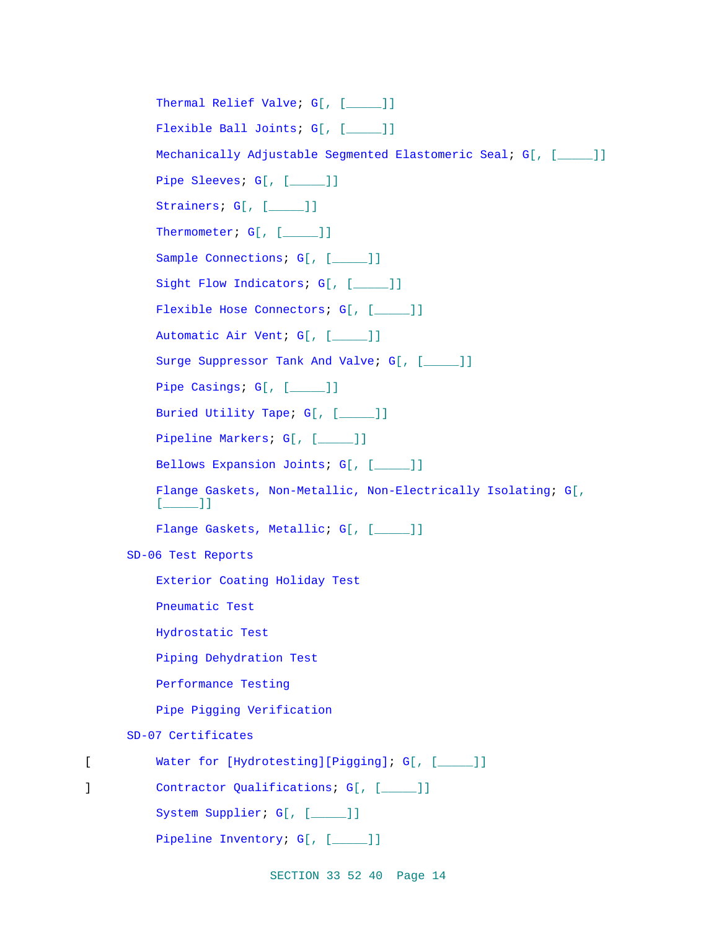Thermal Relief Valve; G[, [\_\_\_\_]] Flexible Ball Joints; G[, [\_\_\_\_]] Mechanically Adjustable Segmented Elastomeric Seal; G[, [\_\_\_\_\_]] Pipe Sleeves; G[, [\_\_\_\_]] Strainers; G[, [\_\_\_\_]] Thermometer; G[, [\_\_\_\_]] Sample Connections; G[, [\_\_\_\_]] Sight Flow Indicators; G[, [\_\_\_\_]] Flexible Hose Connectors; G[, [\_\_\_\_]] Automatic Air Vent; G[, [\_\_\_\_\_]] Surge Suppressor Tank And Valve; G[, [\_\_\_\_]] Pipe Casings; G[, [\_\_\_\_]] Buried Utility Tape; G[, [\_\_\_\_\_]] Pipeline Markers; G[, [\_\_\_\_]] Bellows Expansion Joints; G[, [\_\_\_\_]] Flange Gaskets, Non-Metallic, Non-Electrically Isolating; G[,  $[$   $]$   $]$ Flange Gaskets, Metallic; G[, [\_\_\_\_]] SD-06 Test Reports Exterior Coating Holiday Test Pneumatic Test Hydrostatic Test Piping Dehydration Test Performance Testing Pipe Pigging Verification SD-07 Certificates [ Water for [Hydrotesting][Pigging]; G[, [\_\_\_\_\_]] ] Contractor Qualifications; G[, [\_\_\_\_]] System Supplier; G[, [\_\_\_\_\_]] Pipeline Inventory; G[, [\_\_\_\_]]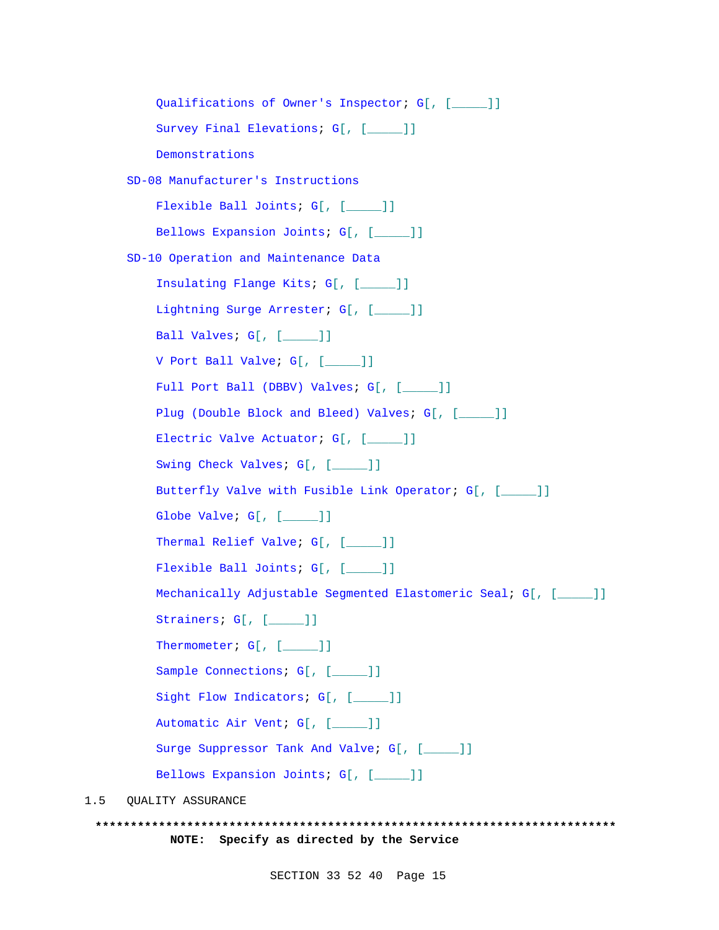```
Qualifications of Owner's Inspector; G[, [_____]]
          Survey Final Elevations; G[, [____]]
          Demonstrations
      SD-08 Manufacturer's Instructions
          Flexible Ball Joints; G[, [_____]]
          Bellows Expansion Joints; G[, [_____]]
      SD-10 Operation and Maintenance Data
          Insulating Flange Kits; G[, [_____]]
          Lightning Surge Arrester; G[, [____]]
          Ball Valves; G[, [____]]
          V Port Ball Valve; G[, [_____]]
          Full Port Ball (DBBV) Valves; G[, [____]]
          Plug (Double Block and Bleed) Valves; G[, [____]]
          Electric Valve Actuator; G[, [____]]
          Swing Check Valves; G[, [____]]
          Butterfly Valve with Fusible Link Operator; G[, [_____]]
          Globe Valve; G[, [_____]]
          Thermal Relief Valve; G[, [____]]
          Flexible Ball Joints; G[, [____]]
          Mechanically Adjustable Segmented Elastomeric Seal; G[, [_____]]
          Strainers; G[, [____]]
          Thermometer; G[, [____]]
          Sample Connections; G[, [____]]
          Sight Flow Indicators; G[, [____]]
          Automatic Air Vent; G[, [_____]]
          Surge Suppressor Tank And Valve; G[, [____]]
          Bellows Expansion Joints; G[, [____]]
1.5 QUALITY ASSURANCE
```

```
**************************************************************************
          NOTE: Specify as directed by the Service
```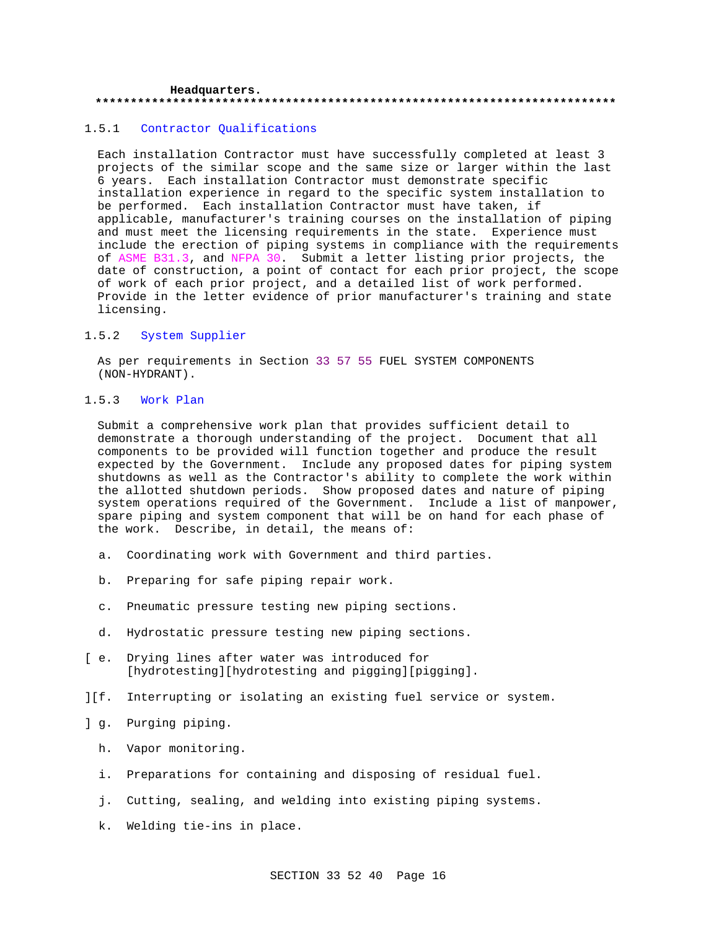#### **Headquarters. \*\*\*\*\*\*\*\*\*\*\*\*\*\*\*\*\*\*\*\*\*\*\*\*\*\*\*\*\*\*\*\*\*\*\*\*\*\*\*\*\*\*\*\*\*\*\*\*\*\*\*\*\*\*\*\*\*\*\*\*\*\*\*\*\*\*\*\*\*\*\*\*\*\***

### 1.5.1 Contractor Qualifications

Each installation Contractor must have successfully completed at least 3 projects of the similar scope and the same size or larger within the last 6 years. Each installation Contractor must demonstrate specific installation experience in regard to the specific system installation to be performed. Each installation Contractor must have taken, if applicable, manufacturer's training courses on the installation of piping and must meet the licensing requirements in the state. Experience must include the erection of piping systems in compliance with the requirements of ASME B31.3, and NFPA 30. Submit a letter listing prior projects, the date of construction, a point of contact for each prior project, the scope of work of each prior project, and a detailed list of work performed. Provide in the letter evidence of prior manufacturer's training and state licensing.

### 1.5.2 System Supplier

As per requirements in Section 33 57 55 FUEL SYSTEM COMPONENTS (NON-HYDRANT).

### 1.5.3 Work Plan

Submit a comprehensive work plan that provides sufficient detail to demonstrate a thorough understanding of the project. Document that all components to be provided will function together and produce the result expected by the Government. Include any proposed dates for piping system shutdowns as well as the Contractor's ability to complete the work within the allotted shutdown periods. Show proposed dates and nature of piping system operations required of the Government. Include a list of manpower, spare piping and system component that will be on hand for each phase of the work. Describe, in detail, the means of:

- a. Coordinating work with Government and third parties.
- b. Preparing for safe piping repair work.
- c. Pneumatic pressure testing new piping sections.
- d. Hydrostatic pressure testing new piping sections.
- [ e. Drying lines after water was introduced for [hydrotesting][hydrotesting and pigging][pigging].
- ][f. Interrupting or isolating an existing fuel service or system.
- ] g. Purging piping.
	- h. Vapor monitoring.
	- i. Preparations for containing and disposing of residual fuel.
	- j. Cutting, sealing, and welding into existing piping systems.
	- k. Welding tie-ins in place.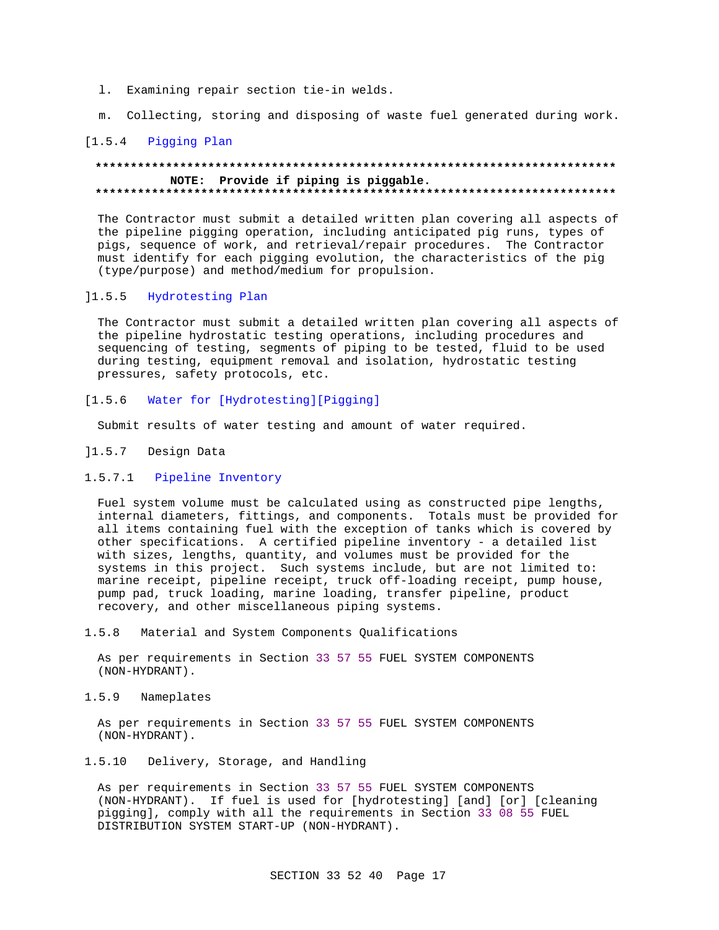- l. Examining repair section tie-in welds.
- m. Collecting, storing and disposing of waste fuel generated during work.

# [1.5.4 Pigging Plan

#### **\*\*\*\*\*\*\*\*\*\*\*\*\*\*\*\*\*\*\*\*\*\*\*\*\*\*\*\*\*\*\*\*\*\*\*\*\*\*\*\*\*\*\*\*\*\*\*\*\*\*\*\*\*\*\*\*\*\*\*\*\*\*\*\*\*\*\*\*\*\*\*\*\*\* NOTE: Provide if piping is piggable. \*\*\*\*\*\*\*\*\*\*\*\*\*\*\*\*\*\*\*\*\*\*\*\*\*\*\*\*\*\*\*\*\*\*\*\*\*\*\*\*\*\*\*\*\*\*\*\*\*\*\*\*\*\*\*\*\*\*\*\*\*\*\*\*\*\*\*\*\*\*\*\*\*\***

The Contractor must submit a detailed written plan covering all aspects of the pipeline pigging operation, including anticipated pig runs, types of pigs, sequence of work, and retrieval/repair procedures. The Contractor must identify for each pigging evolution, the characteristics of the pig (type/purpose) and method/medium for propulsion.

#### ]1.5.5 Hydrotesting Plan

The Contractor must submit a detailed written plan covering all aspects of the pipeline hydrostatic testing operations, including procedures and sequencing of testing, segments of piping to be tested, fluid to be used during testing, equipment removal and isolation, hydrostatic testing pressures, safety protocols, etc.

[1.5.6 Water for [Hydrotesting][Pigging]

Submit results of water testing and amount of water required.

- ]1.5.7 Design Data
- 1.5.7.1 Pipeline Inventory

Fuel system volume must be calculated using as constructed pipe lengths, internal diameters, fittings, and components. Totals must be provided for all items containing fuel with the exception of tanks which is covered by other specifications. A certified pipeline inventory - a detailed list with sizes, lengths, quantity, and volumes must be provided for the systems in this project. Such systems include, but are not limited to: marine receipt, pipeline receipt, truck off-loading receipt, pump house, pump pad, truck loading, marine loading, transfer pipeline, product recovery, and other miscellaneous piping systems.

1.5.8 Material and System Components Qualifications

As per requirements in Section 33 57 55 FUEL SYSTEM COMPONENTS (NON-HYDRANT).

1.5.9 Nameplates

As per requirements in Section 33 57 55 FUEL SYSTEM COMPONENTS (NON-HYDRANT).

1.5.10 Delivery, Storage, and Handling

As per requirements in Section 33 57 55 FUEL SYSTEM COMPONENTS (NON-HYDRANT). If fuel is used for [hydrotesting] [and] [or] [cleaning pigging], comply with all the requirements in Section 33 08 55 FUEL DISTRIBUTION SYSTEM START-UP (NON-HYDRANT).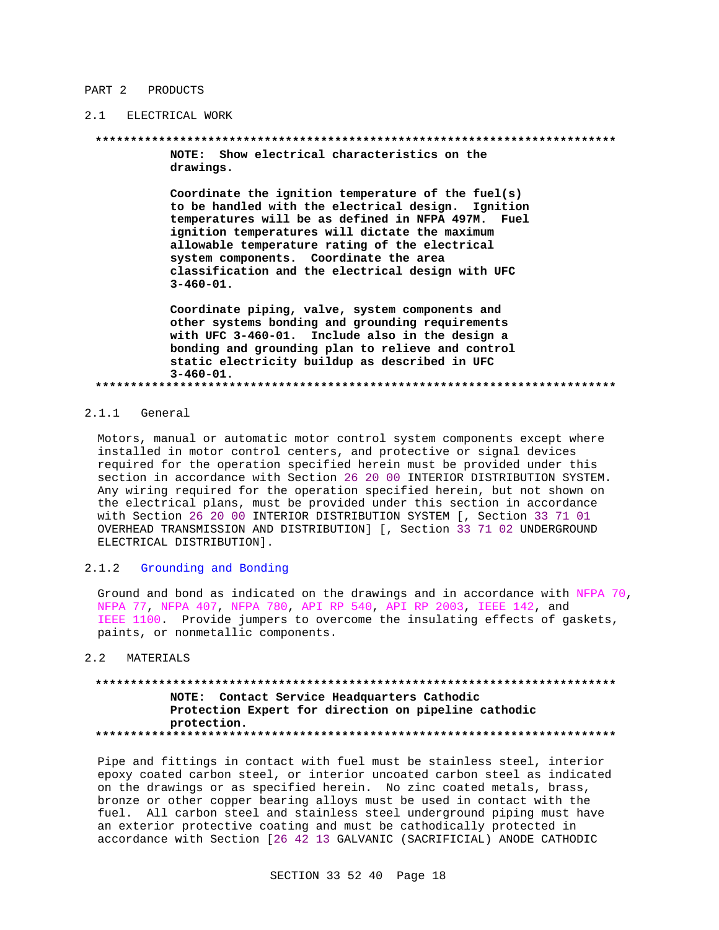#### PART 2 PRODUCTS

#### 2.1 ELECTRICAL WORK

#### 

NOTE: Show electrical characteristics on the drawings.

Coordinate the ignition temperature of the fuel(s) to be handled with the electrical design. Ignition temperatures will be as defined in NFPA 497M. Fuel ignition temperatures will dictate the maximum allowable temperature rating of the electrical system components. Coordinate the area classification and the electrical design with UFC  $3 - 460 - 01.$ 

Coordinate piping, valve, system components and other systems bonding and grounding requirements with UFC 3-460-01. Include also in the design a bonding and grounding plan to relieve and control static electricity buildup as described in UFC  $3 - 460 - 01.$ 

#### $2.1.1$  General

Motors, manual or automatic motor control system components except where installed in motor control centers, and protective or signal devices required for the operation specified herein must be provided under this section in accordance with Section 26 20 00 INTERIOR DISTRIBUTION SYSTEM. Any wiring required for the operation specified herein, but not shown on the electrical plans, must be provided under this section in accordance with Section 26 20 00 INTERIOR DISTRIBUTION SYSTEM [, Section 33 71 01 OVERHEAD TRANSMISSION AND DISTRIBUTION] [, Section 33 71 02 UNDERGROUND ELECTRICAL DISTRIBUTION].

#### $2.1.2$ Grounding and Bonding

Ground and bond as indicated on the drawings and in accordance with NFPA 70, NFPA 77, NFPA 407, NFPA 780, API RP 540, API RP 2003, IEEE 142, and IEEE 1100. Provide jumpers to overcome the insulating effects of gaskets, paints, or nonmetallic components.

#### MATERIALS  $2.2$

# NOTE: Contact Service Headquarters Cathodic Protection Expert for direction on pipeline cathodic protection.

Pipe and fittings in contact with fuel must be stainless steel, interior epoxy coated carbon steel, or interior uncoated carbon steel as indicated on the drawings or as specified herein. No zinc coated metals, brass, bronze or other copper bearing alloys must be used in contact with the fuel. All carbon steel and stainless steel underground piping must have an exterior protective coating and must be cathodically protected in accordance with Section [26 42 13 GALVANIC (SACRIFICIAL) ANODE CATHODIC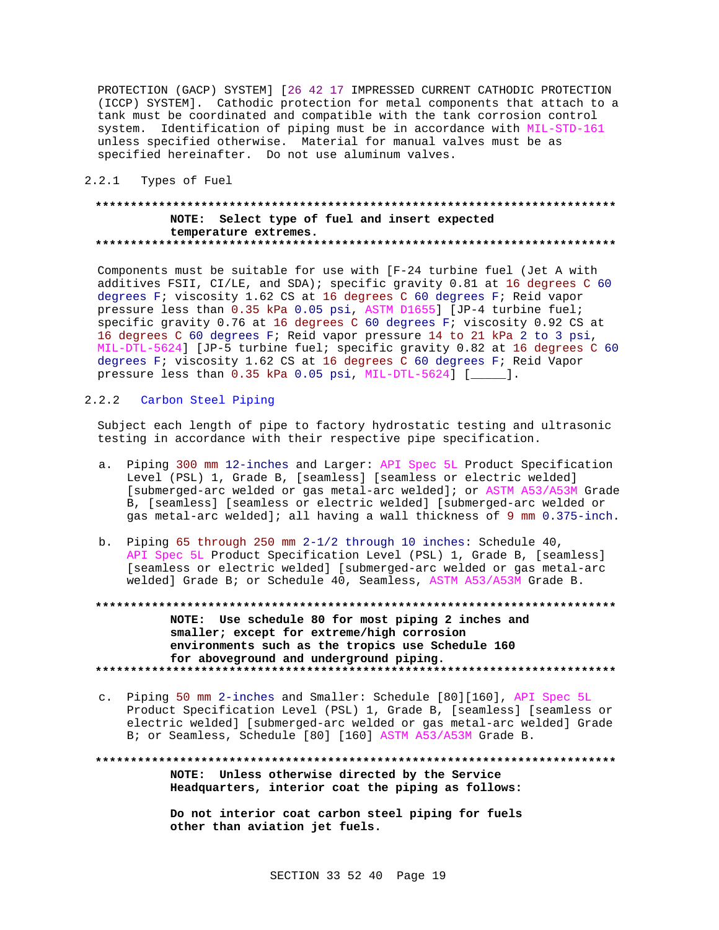PROTECTION (GACP) SYSTEM] [26 42 17 IMPRESSED CURRENT CATHODIC PROTECTION (ICCP) SYSTEM]. Cathodic protection for metal components that attach to a tank must be coordinated and compatible with the tank corrosion control system. Identification of piping must be in accordance with MIL-STD-161 unless specified otherwise. Material for manual valves must be as specified hereinafter. Do not use aluminum valves.

2.2.1 Types of Fuel

### **\*\*\*\*\*\*\*\*\*\*\*\*\*\*\*\*\*\*\*\*\*\*\*\*\*\*\*\*\*\*\*\*\*\*\*\*\*\*\*\*\*\*\*\*\*\*\*\*\*\*\*\*\*\*\*\*\*\*\*\*\*\*\*\*\*\*\*\*\*\*\*\*\*\* NOTE: Select type of fuel and insert expected temperature extremes. \*\*\*\*\*\*\*\*\*\*\*\*\*\*\*\*\*\*\*\*\*\*\*\*\*\*\*\*\*\*\*\*\*\*\*\*\*\*\*\*\*\*\*\*\*\*\*\*\*\*\*\*\*\*\*\*\*\*\*\*\*\*\*\*\*\*\*\*\*\*\*\*\*\***

Components must be suitable for use with [F-24 turbine fuel (Jet A with additives FSII, CI/LE, and SDA); specific gravity 0.81 at 16 degrees C 60 degrees F; viscosity 1.62 CS at 16 degrees C 60 degrees F; Reid vapor pressure less than 0.35 kPa 0.05 psi, ASTM D1655] [JP-4 turbine fuel; specific gravity 0.76 at 16 degrees C 60 degrees F; viscosity 0.92 CS at 16 degrees C 60 degrees F; Reid vapor pressure 14 to 21 kPa 2 to 3 psi, MIL-DTL-5624] [JP-5 turbine fuel; specific gravity 0.82 at 16 degrees C 60 degrees F; viscosity 1.62 CS at 16 degrees C 60 degrees F; Reid Vapor pressure less than 0.35 kPa 0.05 psi, MIL-DTL-5624] [\_\_\_\_\_].

# 2.2.2 Carbon Steel Piping

Subject each length of pipe to factory hydrostatic testing and ultrasonic testing in accordance with their respective pipe specification.

- a. Piping 300 mm 12-inches and Larger: API Spec 5L Product Specification Level (PSL) 1, Grade B, [seamless] [seamless or electric welded] [submerged-arc welded or gas metal-arc welded]; or ASTM A53/A53M Grade B, [seamless] [seamless or electric welded] [submerged-arc welded or gas metal-arc welded]; all having a wall thickness of 9 mm 0.375-inch.
- b. Piping 65 through 250 mm 2-1/2 through 10 inches: Schedule 40, API Spec 5L Product Specification Level (PSL) 1, Grade B, [seamless] [seamless or electric welded] [submerged-arc welded or gas metal-arc welded] Grade B; or Schedule 40, Seamless, ASTM A53/A53M Grade B.
- **\*\*\*\*\*\*\*\*\*\*\*\*\*\*\*\*\*\*\*\*\*\*\*\*\*\*\*\*\*\*\*\*\*\*\*\*\*\*\*\*\*\*\*\*\*\*\*\*\*\*\*\*\*\*\*\*\*\*\*\*\*\*\*\*\*\*\*\*\*\*\*\*\*\* NOTE: Use schedule 80 for most piping 2 inches and smaller; except for extreme/high corrosion environments such as the tropics use Schedule 160 for aboveground and underground piping. \*\*\*\*\*\*\*\*\*\*\*\*\*\*\*\*\*\*\*\*\*\*\*\*\*\*\*\*\*\*\*\*\*\*\*\*\*\*\*\*\*\*\*\*\*\*\*\*\*\*\*\*\*\*\*\*\*\*\*\*\*\*\*\*\*\*\*\*\*\*\*\*\*\***
- c. Piping 50 mm 2-inches and Smaller: Schedule [80][160], API Spec 5L Product Specification Level (PSL) 1, Grade B, [seamless] [seamless or electric welded] [submerged-arc welded or gas metal-arc welded] Grade B; or Seamless, Schedule [80] [160] ASTM A53/A53M Grade B.

**\*\*\*\*\*\*\*\*\*\*\*\*\*\*\*\*\*\*\*\*\*\*\*\*\*\*\*\*\*\*\*\*\*\*\*\*\*\*\*\*\*\*\*\*\*\*\*\*\*\*\*\*\*\*\*\*\*\*\*\*\*\*\*\*\*\*\*\*\*\*\*\*\*\* NOTE: Unless otherwise directed by the Service Headquarters, interior coat the piping as follows:**

> **Do not interior coat carbon steel piping for fuels other than aviation jet fuels.**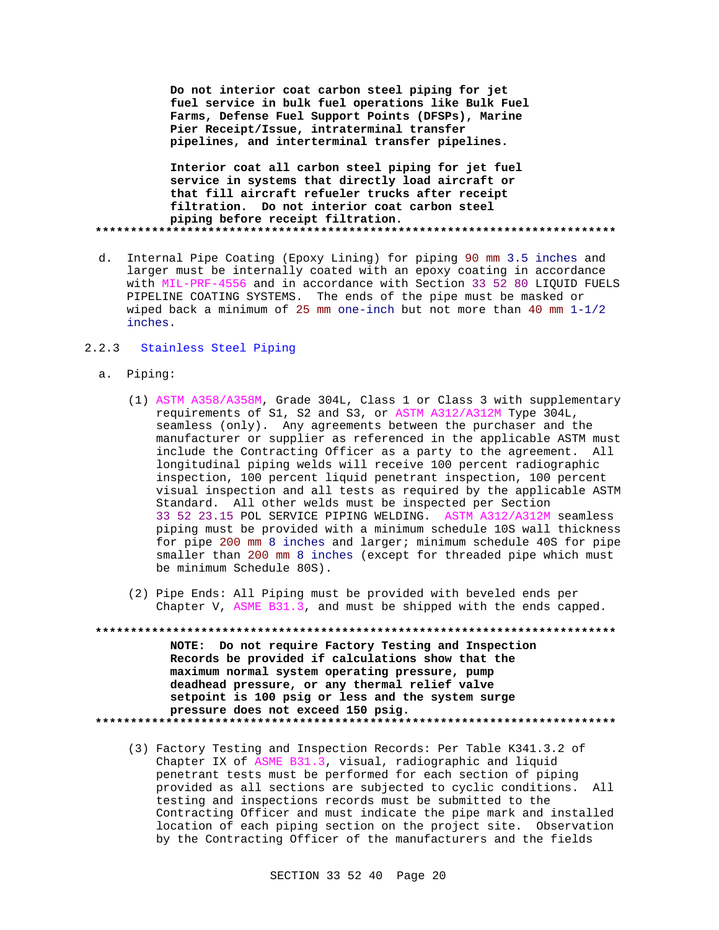**Do not interior coat carbon steel piping for jet fuel service in bulk fuel operations like Bulk Fuel Farms, Defense Fuel Support Points (DFSPs), Marine Pier Receipt/Issue, intraterminal transfer pipelines, and interterminal transfer pipelines.**

**Interior coat all carbon steel piping for jet fuel service in systems that directly load aircraft or that fill aircraft refueler trucks after receipt filtration. Do not interior coat carbon steel piping before receipt filtration. \*\*\*\*\*\*\*\*\*\*\*\*\*\*\*\*\*\*\*\*\*\*\*\*\*\*\*\*\*\*\*\*\*\*\*\*\*\*\*\*\*\*\*\*\*\*\*\*\*\*\*\*\*\*\*\*\*\*\*\*\*\*\*\*\*\*\*\*\*\*\*\*\*\***

d. Internal Pipe Coating (Epoxy Lining) for piping 90 mm 3.5 inches and larger must be internally coated with an epoxy coating in accordance with MIL-PRF-4556 and in accordance with Section 33 52 80 LIQUID FUELS PIPELINE COATING SYSTEMS. The ends of the pipe must be masked or wiped back a minimum of 25 mm one-inch but not more than 40 mm 1-1/2 inches.

# 2.2.3 Stainless Steel Piping

- a. Piping:
	- (1) ASTM A358/A358M, Grade 304L, Class 1 or Class 3 with supplementary requirements of S1, S2 and S3, or ASTM A312/A312M Type 304L, seamless (only). Any agreements between the purchaser and the manufacturer or supplier as referenced in the applicable ASTM must include the Contracting Officer as a party to the agreement. All longitudinal piping welds will receive 100 percent radiographic inspection, 100 percent liquid penetrant inspection, 100 percent visual inspection and all tests as required by the applicable ASTM Standard. All other welds must be inspected per Section 33 52 23.15 POL SERVICE PIPING WELDING. ASTM A312/A312M seamless piping must be provided with a minimum schedule 10S wall thickness for pipe 200 mm 8 inches and larger; minimum schedule 40S for pipe smaller than 200 mm 8 inches (except for threaded pipe which must be minimum Schedule 80S).
	- (2) Pipe Ends: All Piping must be provided with beveled ends per Chapter V, ASME B31.3, and must be shipped with the ends capped.
- **\*\*\*\*\*\*\*\*\*\*\*\*\*\*\*\*\*\*\*\*\*\*\*\*\*\*\*\*\*\*\*\*\*\*\*\*\*\*\*\*\*\*\*\*\*\*\*\*\*\*\*\*\*\*\*\*\*\*\*\*\*\*\*\*\*\*\*\*\*\*\*\*\*\* NOTE: Do not require Factory Testing and Inspection Records be provided if calculations show that the maximum normal system operating pressure, pump deadhead pressure, or any thermal relief valve setpoint is 100 psig or less and the system surge pressure does not exceed 150 psig. \*\*\*\*\*\*\*\*\*\*\*\*\*\*\*\*\*\*\*\*\*\*\*\*\*\*\*\*\*\*\*\*\*\*\*\*\*\*\*\*\*\*\*\*\*\*\*\*\*\*\*\*\*\*\*\*\*\*\*\*\*\*\*\*\*\*\*\*\*\*\*\*\*\***
	- (3) Factory Testing and Inspection Records: Per Table K341.3.2 of Chapter IX of ASME B31.3, visual, radiographic and liquid penetrant tests must be performed for each section of piping provided as all sections are subjected to cyclic conditions. All testing and inspections records must be submitted to the Contracting Officer and must indicate the pipe mark and installed location of each piping section on the project site. Observation by the Contracting Officer of the manufacturers and the fields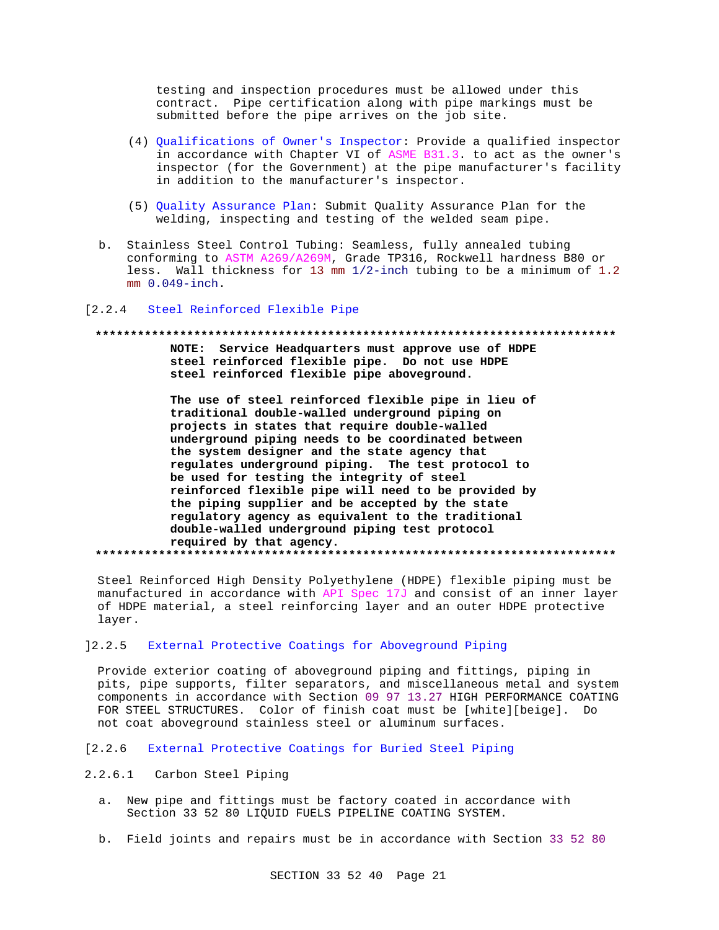testing and inspection procedures must be allowed under this contract. Pipe certification along with pipe markings must be submitted before the pipe arrives on the job site.

- (4) Qualifications of Owner's Inspector: Provide a qualified inspector in accordance with Chapter VI of ASME B31.3. to act as the owner's inspector (for the Government) at the pipe manufacturer's facility in addition to the manufacturer's inspector.
- (5) Quality Assurance Plan: Submit Quality Assurance Plan for the welding, inspecting and testing of the welded seam pipe.
- b. Stainless Steel Control Tubing: Seamless, fully annealed tubing conforming to ASTM A269/A269M, Grade TP316, Rockwell hardness B80 or less. Wall thickness for 13 mm 1/2-inch tubing to be a minimum of 1.2  $mm 0.049$ -inch.

#### [2.2.4 Steel Reinforced Flexible Pipe

# NOTE: Service Headquarters must approve use of HDPE steel reinforced flexible pipe. Do not use HDPE steel reinforced flexible pipe aboveground.

The use of steel reinforced flexible pipe in lieu of traditional double-walled underground piping on projects in states that require double-walled underground piping needs to be coordinated between the system designer and the state agency that regulates underground piping. The test protocol to be used for testing the integrity of steel reinforced flexible pipe will need to be provided by the piping supplier and be accepted by the state regulatory agency as equivalent to the traditional double-walled underground piping test protocol required by that agency. 

Steel Reinforced High Density Polyethylene (HDPE) flexible piping must be manufactured in accordance with API Spec 17J and consist of an inner layer of HDPE material, a steel reinforcing layer and an outer HDPE protective layer.

#### $12.2.5$ External Protective Coatings for Aboveground Piping

Provide exterior coating of aboveground piping and fittings, piping in pits, pipe supports, filter separators, and miscellaneous metal and system components in accordance with Section 09 97 13.27 HIGH PERFORMANCE COATING FOR STEEL STRUCTURES. Color of finish coat must be [white][beige]. Do not coat aboveground stainless steel or aluminum surfaces.

 $12.2.6$ External Protective Coatings for Buried Steel Piping

#### $2.2.6.1$ Carbon Steel Piping

- a. New pipe and fittings must be factory coated in accordance with Section 33 52 80 LIQUID FUELS PIPELINE COATING SYSTEM.
- b. Field joints and repairs must be in accordance with Section 33 52 80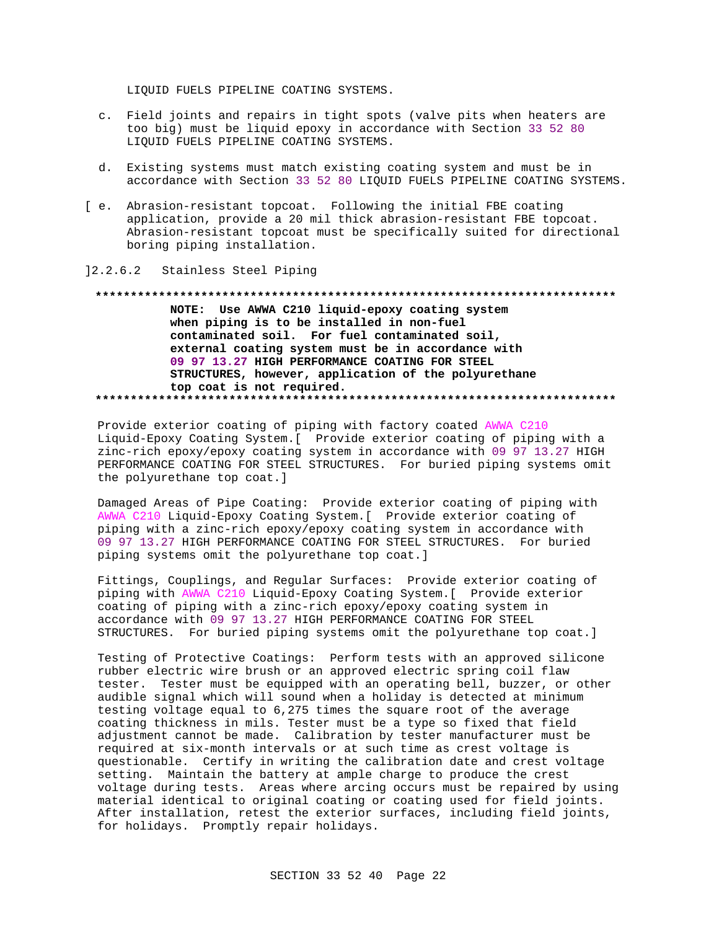LIQUID FUELS PIPELINE COATING SYSTEMS.

- c. Field joints and repairs in tight spots (valve pits when heaters are too big) must be liquid epoxy in accordance with Section 33 52 80 LIQUID FUELS PIPELINE COATING SYSTEMS.
- d. Existing systems must match existing coating system and must be in accordance with Section 33 52 80 LIQUID FUELS PIPELINE COATING SYSTEMS.
- [ e. Abrasion-resistant topcoat. Following the initial FBE coating application, provide a 20 mil thick abrasion-resistant FBE topcoat. Abrasion-resistant topcoat must be specifically suited for directional boring piping installation.

# ]2.2.6.2 Stainless Steel Piping

# **\*\*\*\*\*\*\*\*\*\*\*\*\*\*\*\*\*\*\*\*\*\*\*\*\*\*\*\*\*\*\*\*\*\*\*\*\*\*\*\*\*\*\*\*\*\*\*\*\*\*\*\*\*\*\*\*\*\*\*\*\*\*\*\*\*\*\*\*\*\*\*\*\*\***

**NOTE: Use AWWA C210 liquid-epoxy coating system when piping is to be installed in non-fuel contaminated soil. For fuel contaminated soil, external coating system must be in accordance with 09 97 13.27 HIGH PERFORMANCE COATING FOR STEEL STRUCTURES, however, application of the polyurethane top coat is not required. \*\*\*\*\*\*\*\*\*\*\*\*\*\*\*\*\*\*\*\*\*\*\*\*\*\*\*\*\*\*\*\*\*\*\*\*\*\*\*\*\*\*\*\*\*\*\*\*\*\*\*\*\*\*\*\*\*\*\*\*\*\*\*\*\*\*\*\*\*\*\*\*\*\***

Provide exterior coating of piping with factory coated AWWA C210 Liquid-Epoxy Coating System.[ Provide exterior coating of piping with a zinc-rich epoxy/epoxy coating system in accordance with 09 97 13.27 HIGH PERFORMANCE COATING FOR STEEL STRUCTURES. For buried piping systems omit the polyurethane top coat.]

Damaged Areas of Pipe Coating: Provide exterior coating of piping with AWWA C210 Liquid-Epoxy Coating System.[ Provide exterior coating of piping with a zinc-rich epoxy/epoxy coating system in accordance with 09 97 13.27 HIGH PERFORMANCE COATING FOR STEEL STRUCTURES. For buried piping systems omit the polyurethane top coat.]

Fittings, Couplings, and Regular Surfaces: Provide exterior coating of piping with AWWA C210 Liquid-Epoxy Coating System.[ Provide exterior coating of piping with a zinc-rich epoxy/epoxy coating system in accordance with 09 97 13.27 HIGH PERFORMANCE COATING FOR STEEL STRUCTURES. For buried piping systems omit the polyurethane top coat.]

Testing of Protective Coatings: Perform tests with an approved silicone rubber electric wire brush or an approved electric spring coil flaw tester. Tester must be equipped with an operating bell, buzzer, or other audible signal which will sound when a holiday is detected at minimum testing voltage equal to 6,275 times the square root of the average coating thickness in mils. Tester must be a type so fixed that field adjustment cannot be made. Calibration by tester manufacturer must be required at six-month intervals or at such time as crest voltage is questionable. Certify in writing the calibration date and crest voltage setting. Maintain the battery at ample charge to produce the crest voltage during tests. Areas where arcing occurs must be repaired by using material identical to original coating or coating used for field joints. After installation, retest the exterior surfaces, including field joints, for holidays. Promptly repair holidays.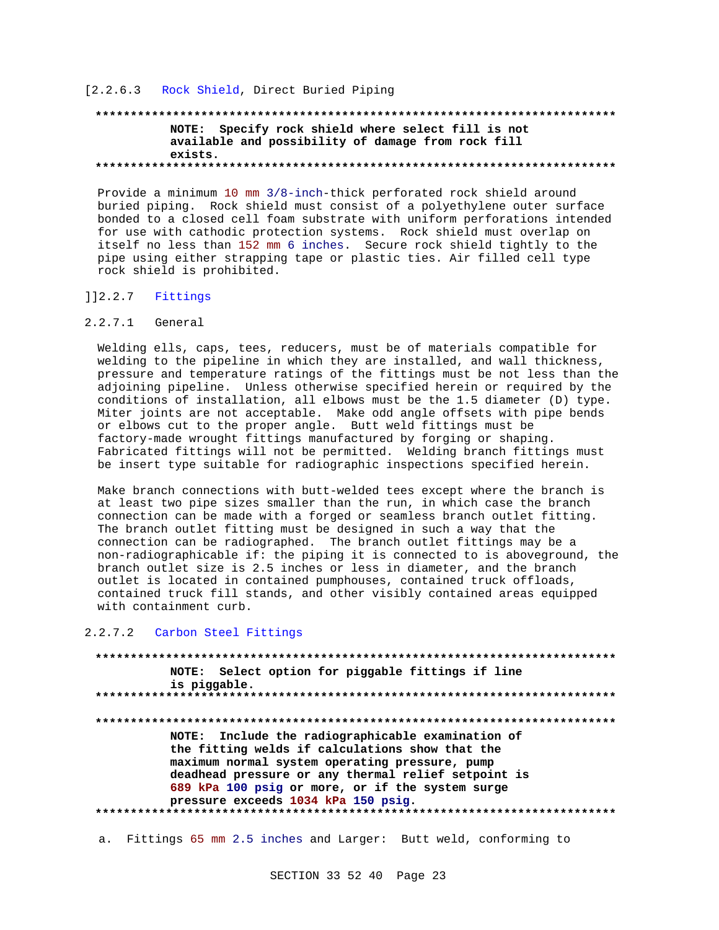#### [2.2.6.3 Rock Shield, Direct Buried Piping

# **\*\*\*\*\*\*\*\*\*\*\*\*\*\*\*\*\*\*\*\*\*\*\*\*\*\*\*\*\*\*\*\*\*\*\*\*\*\*\*\*\*\*\*\*\*\*\*\*\*\*\*\*\*\*\*\*\*\*\*\*\*\*\*\*\*\*\*\*\*\*\*\*\*\* NOTE: Specify rock shield where select fill is not available and possibility of damage from rock fill exists. \*\*\*\*\*\*\*\*\*\*\*\*\*\*\*\*\*\*\*\*\*\*\*\*\*\*\*\*\*\*\*\*\*\*\*\*\*\*\*\*\*\*\*\*\*\*\*\*\*\*\*\*\*\*\*\*\*\*\*\*\*\*\*\*\*\*\*\*\*\*\*\*\*\***

Provide a minimum 10 mm 3/8-inch-thick perforated rock shield around buried piping. Rock shield must consist of a polyethylene outer surface bonded to a closed cell foam substrate with uniform perforations intended for use with cathodic protection systems. Rock shield must overlap on itself no less than 152 mm 6 inches. Secure rock shield tightly to the pipe using either strapping tape or plastic ties. Air filled cell type rock shield is prohibited.

#### ]]2.2.7 Fittings

#### 2.2.7.1 General

Welding ells, caps, tees, reducers, must be of materials compatible for welding to the pipeline in which they are installed, and wall thickness, pressure and temperature ratings of the fittings must be not less than the adjoining pipeline. Unless otherwise specified herein or required by the conditions of installation, all elbows must be the 1.5 diameter (D) type. Miter joints are not acceptable. Make odd angle offsets with pipe bends or elbows cut to the proper angle. Butt weld fittings must be factory-made wrought fittings manufactured by forging or shaping. Fabricated fittings will not be permitted. Welding branch fittings must be insert type suitable for radiographic inspections specified herein.

Make branch connections with butt-welded tees except where the branch is at least two pipe sizes smaller than the run, in which case the branch connection can be made with a forged or seamless branch outlet fitting. The branch outlet fitting must be designed in such a way that the connection can be radiographed. The branch outlet fittings may be a non-radiographicable if: the piping it is connected to is aboveground, the branch outlet size is 2.5 inches or less in diameter, and the branch outlet is located in contained pumphouses, contained truck offloads, contained truck fill stands, and other visibly contained areas equipped with containment curb.

### 2.2.7.2 Carbon Steel Fittings

**\*\*\*\*\*\*\*\*\*\*\*\*\*\*\*\*\*\*\*\*\*\*\*\*\*\*\*\*\*\*\*\*\*\*\*\*\*\*\*\*\*\*\*\*\*\*\*\*\*\*\*\*\*\*\*\*\*\*\*\*\*\*\*\*\*\*\*\*\*\*\*\*\*\* NOTE: Select option for piggable fittings if line is piggable. \*\*\*\*\*\*\*\*\*\*\*\*\*\*\*\*\*\*\*\*\*\*\*\*\*\*\*\*\*\*\*\*\*\*\*\*\*\*\*\*\*\*\*\*\*\*\*\*\*\*\*\*\*\*\*\*\*\*\*\*\*\*\*\*\*\*\*\*\*\*\*\*\*\* \*\*\*\*\*\*\*\*\*\*\*\*\*\*\*\*\*\*\*\*\*\*\*\*\*\*\*\*\*\*\*\*\*\*\*\*\*\*\*\*\*\*\*\*\*\*\*\*\*\*\*\*\*\*\*\*\*\*\*\*\*\*\*\*\*\*\*\*\*\*\*\*\*\* NOTE: Include the radiographicable examination of the fitting welds if calculations show that the maximum normal system operating pressure, pump deadhead pressure or any thermal relief setpoint is 689 kPa 100 psig or more, or if the system surge pressure exceeds 1034 kPa 150 psig. \*\*\*\*\*\*\*\*\*\*\*\*\*\*\*\*\*\*\*\*\*\*\*\*\*\*\*\*\*\*\*\*\*\*\*\*\*\*\*\*\*\*\*\*\*\*\*\*\*\*\*\*\*\*\*\*\*\*\*\*\*\*\*\*\*\*\*\*\*\*\*\*\*\***

a. Fittings 65 mm 2.5 inches and Larger: Butt weld, conforming to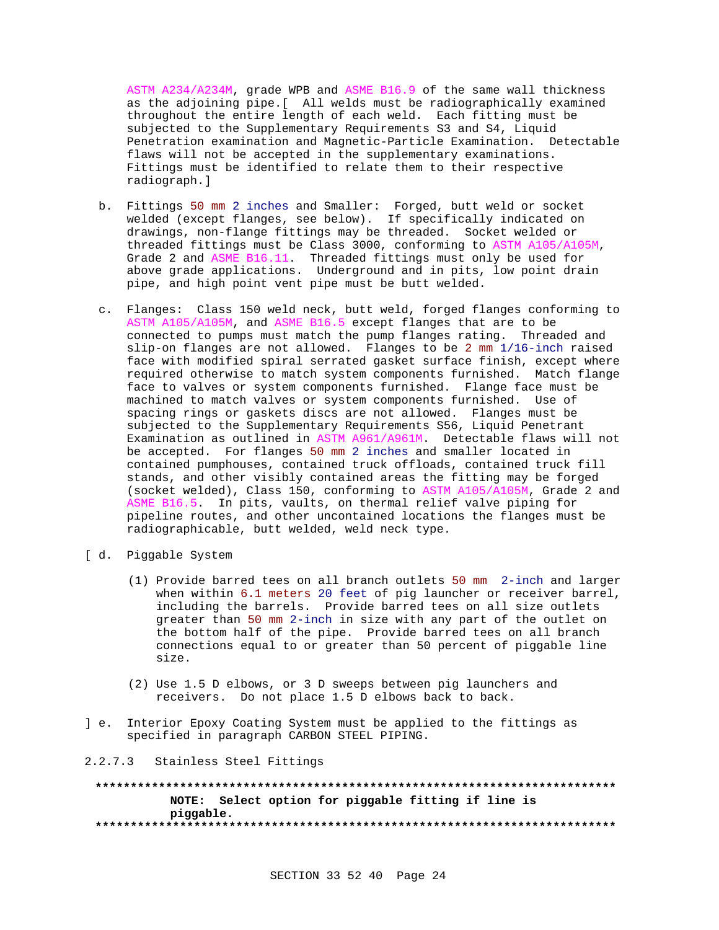ASTM A234/A234M, grade WPB and ASME B16.9 of the same wall thickness as the adjoining pipe.[ All welds must be radiographically examined throughout the entire length of each weld. Each fitting must be subjected to the Supplementary Requirements S3 and S4, Liquid Penetration examination and Magnetic-Particle Examination. Detectable flaws will not be accepted in the supplementary examinations. Fittings must be identified to relate them to their respective radiograph.]

- b. Fittings 50 mm 2 inches and Smaller: Forged, butt weld or socket welded (except flanges, see below). If specifically indicated on drawings, non-flange fittings may be threaded. Socket welded or threaded fittings must be Class 3000, conforming to ASTM A105/A105M, Grade 2 and ASME B16.11. Threaded fittings must only be used for above grade applications. Underground and in pits, low point drain pipe, and high point vent pipe must be butt welded.
- c. Flanges: Class 150 weld neck, butt weld, forged flanges conforming to ASTM A105/A105M, and ASME B16.5 except flanges that are to be connected to pumps must match the pump flanges rating. Threaded and slip-on flanges are not allowed. Flanges to be 2 mm 1/16-inch raised face with modified spiral serrated gasket surface finish, except where required otherwise to match system components furnished. Match flange face to valves or system components furnished. Flange face must be machined to match valves or system components furnished. Use of spacing rings or gaskets discs are not allowed. Flanges must be subjected to the Supplementary Requirements S56, Liquid Penetrant Examination as outlined in ASTM A961/A961M. Detectable flaws will not be accepted. For flanges 50 mm 2 inches and smaller located in contained pumphouses, contained truck offloads, contained truck fill stands, and other visibly contained areas the fitting may be forged (socket welded), Class 150, conforming to ASTM A105/A105M, Grade 2 and ASME B16.5. In pits, vaults, on thermal relief valve piping for pipeline routes, and other uncontained locations the flanges must be radiographicable, butt welded, weld neck type.
- [ d. Piggable System
	- (1) Provide barred tees on all branch outlets 50 mm 2-inch and larger when within 6.1 meters 20 feet of pig launcher or receiver barrel, including the barrels. Provide barred tees on all size outlets greater than 50 mm 2-inch in size with any part of the outlet on the bottom half of the pipe. Provide barred tees on all branch connections equal to or greater than 50 percent of piggable line size.
	- (2) Use 1.5 D elbows, or 3 D sweeps between pig launchers and receivers. Do not place 1.5 D elbows back to back.
- ] e. Interior Epoxy Coating System must be applied to the fittings as specified in paragraph CARBON STEEL PIPING.

#### 2.2.7.3 Stainless Steel Fittings

**\*\*\*\*\*\*\*\*\*\*\*\*\*\*\*\*\*\*\*\*\*\*\*\*\*\*\*\*\*\*\*\*\*\*\*\*\*\*\*\*\*\*\*\*\*\*\*\*\*\*\*\*\*\*\*\*\*\*\*\*\*\*\*\*\*\*\*\*\*\*\*\*\*\* NOTE: Select option for piggable fitting if line is piggable. \*\*\*\*\*\*\*\*\*\*\*\*\*\*\*\*\*\*\*\*\*\*\*\*\*\*\*\*\*\*\*\*\*\*\*\*\*\*\*\*\*\*\*\*\*\*\*\*\*\*\*\*\*\*\*\*\*\*\*\*\*\*\*\*\*\*\*\*\*\*\*\*\*\***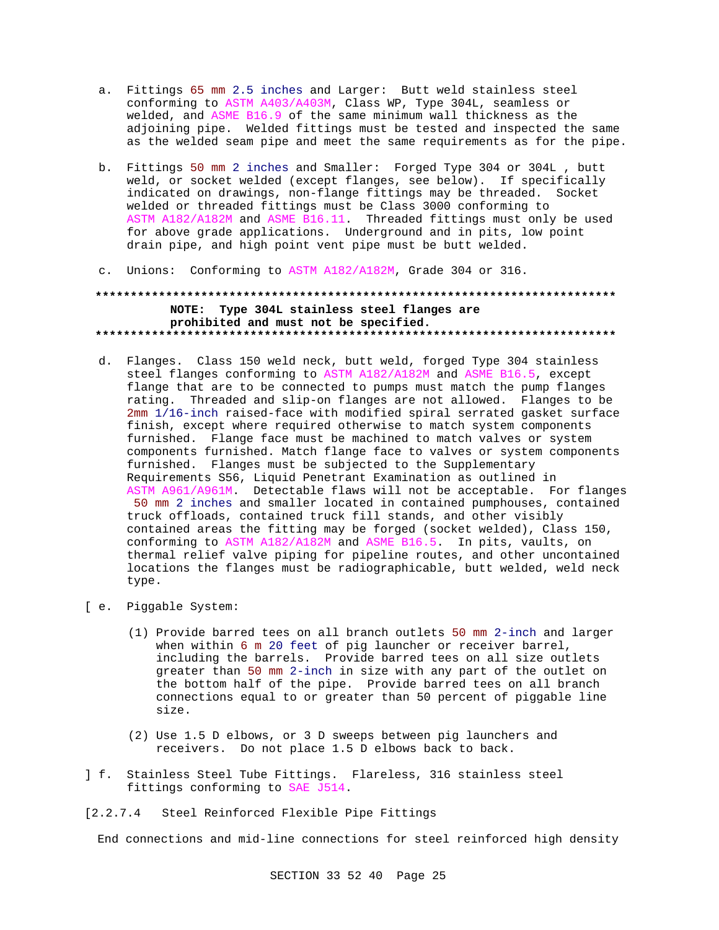- a. Fittings 65 mm 2.5 inches and Larger: Butt weld stainless steel conforming to ASTM A403/A403M, Class WP, Type 304L, seamless or welded, and ASME B16.9 of the same minimum wall thickness as the adjoining pipe. Welded fittings must be tested and inspected the same as the welded seam pipe and meet the same requirements as for the pipe.
- b. Fittings 50 mm 2 inches and Smaller: Forged Type 304 or 304L , butt weld, or socket welded (except flanges, see below). If specifically indicated on drawings, non-flange fittings may be threaded. Socket welded or threaded fittings must be Class 3000 conforming to ASTM A182/A182M and ASME B16.11. Threaded fittings must only be used for above grade applications. Underground and in pits, low point drain pipe, and high point vent pipe must be butt welded.
- c. Unions: Conforming to ASTM A182/A182M, Grade 304 or 316.

# **\*\*\*\*\*\*\*\*\*\*\*\*\*\*\*\*\*\*\*\*\*\*\*\*\*\*\*\*\*\*\*\*\*\*\*\*\*\*\*\*\*\*\*\*\*\*\*\*\*\*\*\*\*\*\*\*\*\*\*\*\*\*\*\*\*\*\*\*\*\*\*\*\*\* NOTE: Type 304L stainless steel flanges are prohibited and must not be specified. \*\*\*\*\*\*\*\*\*\*\*\*\*\*\*\*\*\*\*\*\*\*\*\*\*\*\*\*\*\*\*\*\*\*\*\*\*\*\*\*\*\*\*\*\*\*\*\*\*\*\*\*\*\*\*\*\*\*\*\*\*\*\*\*\*\*\*\*\*\*\*\*\*\***

- d. Flanges. Class 150 weld neck, butt weld, forged Type 304 stainless steel flanges conforming to ASTM A182/A182M and ASME B16.5, except flange that are to be connected to pumps must match the pump flanges rating. Threaded and slip-on flanges are not allowed. Flanges to be 2mm 1/16-inch raised-face with modified spiral serrated gasket surface finish, except where required otherwise to match system components furnished. Flange face must be machined to match valves or system components furnished. Match flange face to valves or system components furnished. Flanges must be subjected to the Supplementary Requirements S56, Liquid Penetrant Examination as outlined in ASTM A961/A961M. Detectable flaws will not be acceptable. For flanges 50 mm 2 inches and smaller located in contained pumphouses, contained truck offloads, contained truck fill stands, and other visibly contained areas the fitting may be forged (socket welded), Class 150, conforming to ASTM A182/A182M and ASME B16.5. In pits, vaults, on thermal relief valve piping for pipeline routes, and other uncontained locations the flanges must be radiographicable, butt welded, weld neck type.
- [ e. Piggable System:
	- (1) Provide barred tees on all branch outlets 50 mm 2-inch and larger when within 6 m 20 feet of pig launcher or receiver barrel, including the barrels. Provide barred tees on all size outlets greater than 50 mm 2-inch in size with any part of the outlet on the bottom half of the pipe. Provide barred tees on all branch connections equal to or greater than 50 percent of piggable line size.
	- (2) Use 1.5 D elbows, or 3 D sweeps between pig launchers and receivers. Do not place 1.5 D elbows back to back.
- ] f. Stainless Steel Tube Fittings. Flareless, 316 stainless steel fittings conforming to SAE J514.
- [2.2.7.4 Steel Reinforced Flexible Pipe Fittings

End connections and mid-line connections for steel reinforced high density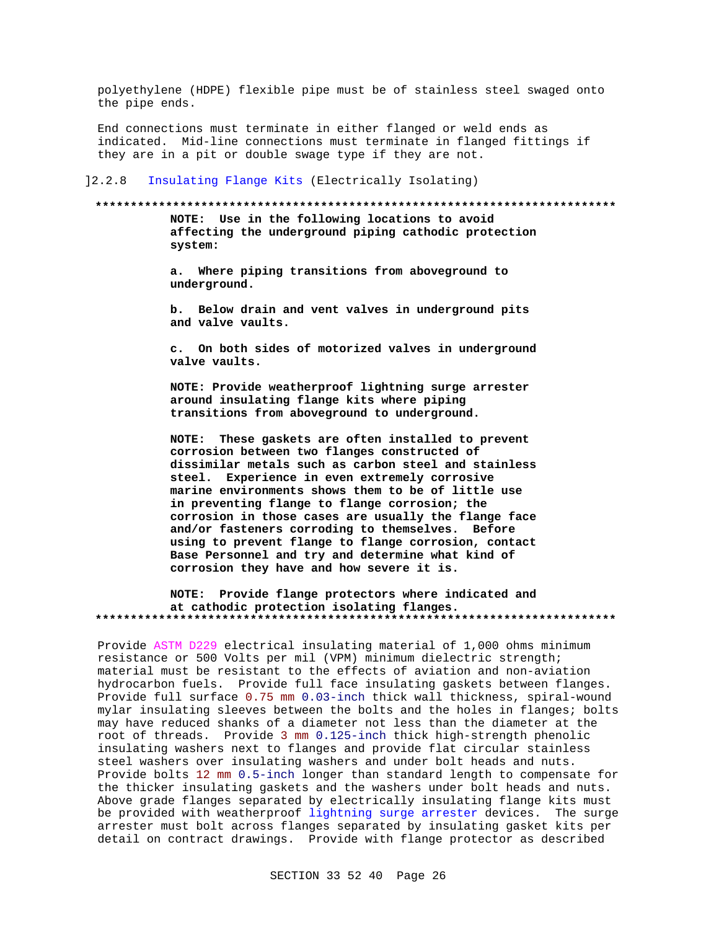polyethylene (HDPE) flexible pipe must be of stainless steel swaged onto the pipe ends.

End connections must terminate in either flanged or weld ends as indicated. Mid-line connections must terminate in flanged fittings if they are in a pit or double swage type if they are not.

 $] 2.2.8$ Insulating Flange Kits (Electrically Isolating)

#### 

NOTE: Use in the following locations to avoid affecting the underground piping cathodic protection system:

a. Where piping transitions from aboveground to underground.

b. Below drain and vent valves in underground pits and valve vaults.

c. On both sides of motorized valves in underground valve vaults.

NOTE: Provide weatherproof lightning surge arrester around insulating flange kits where piping transitions from aboveground to underground.

NOTE: These gaskets are often installed to prevent corrosion between two flanges constructed of dissimilar metals such as carbon steel and stainless steel. Experience in even extremely corrosive marine environments shows them to be of little use in preventing flange to flange corrosion; the corrosion in those cases are usually the flange face and/or fasteners corroding to themselves. Before using to prevent flange to flange corrosion, contact Base Personnel and try and determine what kind of corrosion they have and how severe it is.

NOTE: Provide flange protectors where indicated and at cathodic protection isolating flanges. 

Provide ASTM D229 electrical insulating material of 1,000 ohms minimum resistance or 500 Volts per mil (VPM) minimum dielectric strength; material must be resistant to the effects of aviation and non-aviation hydrocarbon fuels. Provide full face insulating gaskets between flanges. Provide full surface 0.75 mm 0.03-inch thick wall thickness, spiral-wound mylar insulating sleeves between the bolts and the holes in flanges; bolts may have reduced shanks of a diameter not less than the diameter at the root of threads. Provide 3 mm 0.125-inch thick high-strength phenolic insulating washers next to flanges and provide flat circular stainless steel washers over insulating washers and under bolt heads and nuts. Provide bolts 12 mm 0.5-inch longer than standard length to compensate for the thicker insulating gaskets and the washers under bolt heads and nuts. Above grade flanges separated by electrically insulating flange kits must be provided with weatherproof lightning surge arrester devices. The surge arrester must bolt across flanges separated by insulating gasket kits per detail on contract drawings. Provide with flange protector as described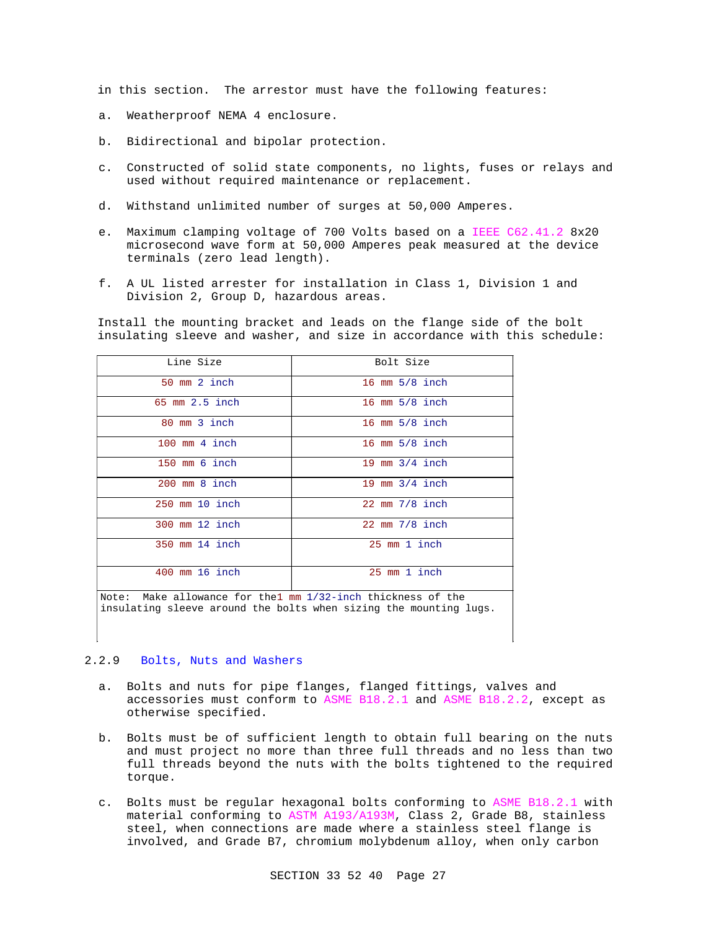in this section. The arrestor must have the following features:

- a. Weatherproof NEMA 4 enclosure.
- b. Bidirectional and bipolar protection.
- c. Constructed of solid state components, no lights, fuses or relays and used without required maintenance or replacement.
- d. Withstand unlimited number of surges at 50,000 Amperes.
- e. Maximum clamping voltage of 700 Volts based on a IEEE C62.41.2 8x20 microsecond wave form at 50,000 Amperes peak measured at the device terminals (zero lead length).
- f. A UL listed arrester for installation in Class 1, Division 1 and Division 2, Group D, hazardous areas.

Install the mounting bracket and leads on the flange side of the bolt insulating sleeve and washer, and size in accordance with this schedule:

| Line Size               | Bolt Size        |
|-------------------------|------------------|
| 50 mm 2 inch            | 16 mm 5/8 inch   |
| $65$ mm $2.5$ inch      | 16 mm $5/8$ inch |
| 80 mm 3 inch            | 16 mm $5/8$ inch |
| $100 \text{ mm}$ 4 inch | 16 mm $5/8$ inch |
| 150 mm 6 inch           | 19 mm $3/4$ inch |
| $200$ mm $8$ inch       | 19 mm $3/4$ inch |
| $250$ mm $10$ inch      | 22 mm 7/8 inch   |
| 300 mm 12 inch          | 22 mm 7/8 inch   |
| 350 mm 14 inch          | 25 mm 1 inch     |
| 400 mm 16 inch          | 25 mm 1 inch     |

Note: Make allowance for the1 mm 1/32-inch thickness of the insulating sleeve around the bolts when sizing the mounting lugs.

# 2.2.9 Bolts, Nuts and Washers

- a. Bolts and nuts for pipe flanges, flanged fittings, valves and accessories must conform to ASME B18.2.1 and ASME B18.2.2, except as otherwise specified.
- b. Bolts must be of sufficient length to obtain full bearing on the nuts and must project no more than three full threads and no less than two full threads beyond the nuts with the bolts tightened to the required torque.
- c. Bolts must be regular hexagonal bolts conforming to ASME B18.2.1 with material conforming to ASTM A193/A193M, Class 2, Grade B8, stainless steel, when connections are made where a stainless steel flange is involved, and Grade B7, chromium molybdenum alloy, when only carbon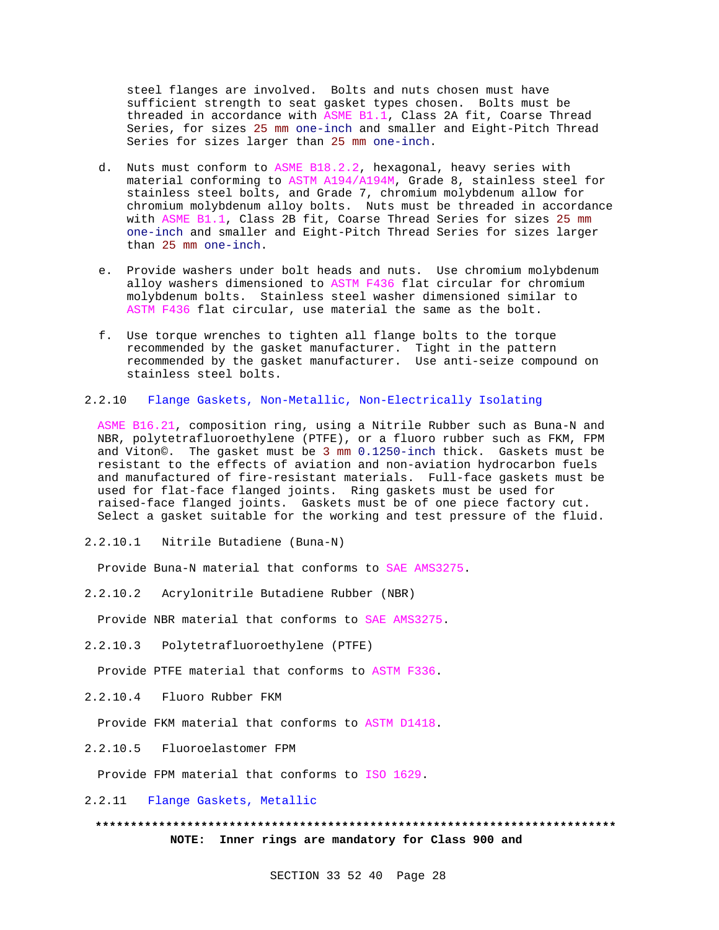steel flanges are involved. Bolts and nuts chosen must have sufficient strength to seat gasket types chosen. Bolts must be threaded in accordance with ASME B1.1, Class 2A fit, Coarse Thread Series, for sizes 25 mm one-inch and smaller and Eight-Pitch Thread Series for sizes larger than 25 mm one-inch.

- d. Nuts must conform to ASME B18.2.2, hexagonal, heavy series with material conforming to ASTM A194/A194M, Grade 8, stainless steel for stainless steel bolts, and Grade 7, chromium molybdenum allow for chromium molybdenum alloy bolts. Nuts must be threaded in accordance with ASME B1.1, Class 2B fit, Coarse Thread Series for sizes 25 mm one-inch and smaller and Eight-Pitch Thread Series for sizes larger than 25 mm one-inch.
- e. Provide washers under bolt heads and nuts. Use chromium molybdenum alloy washers dimensioned to ASTM F436 flat circular for chromium molybdenum bolts. Stainless steel washer dimensioned similar to ASTM F436 flat circular, use material the same as the bolt.
- f. Use torque wrenches to tighten all flange bolts to the torque recommended by the gasket manufacturer. Tight in the pattern recommended by the gasket manufacturer. Use anti-seize compound on stainless steel bolts.
- 2.2.10 Flange Gaskets, Non-Metallic, Non-Electrically Isolating

ASME B16.21, composition ring, using a Nitrile Rubber such as Buna-N and NBR, polytetrafluoroethylene (PTFE), or a fluoro rubber such as FKM, FPM and Viton©. The gasket must be 3 mm 0.1250-inch thick. Gaskets must be resistant to the effects of aviation and non-aviation hydrocarbon fuels and manufactured of fire-resistant materials. Full-face gaskets must be used for flat-face flanged joints. Ring gaskets must be used for raised-face flanged joints. Gaskets must be of one piece factory cut. Select a gasket suitable for the working and test pressure of the fluid.

2.2.10.1 Nitrile Butadiene (Buna-N)

Provide Buna-N material that conforms to SAE AMS3275.

2.2.10.2 Acrylonitrile Butadiene Rubber (NBR)

Provide NBR material that conforms to SAE AMS3275.

2.2.10.3 Polytetrafluoroethylene (PTFE)

Provide PTFE material that conforms to ASTM F336.

2.2.10.4 Fluoro Rubber FKM

Provide FKM material that conforms to ASTM D1418.

2.2.10.5 Fluoroelastomer FPM

Provide FPM material that conforms to ISO 1629.

2.2.11 Flange Gaskets, Metallic

**\*\*\*\*\*\*\*\*\*\*\*\*\*\*\*\*\*\*\*\*\*\*\*\*\*\*\*\*\*\*\*\*\*\*\*\*\*\*\*\*\*\*\*\*\*\*\*\*\*\*\*\*\*\*\*\*\*\*\*\*\*\*\*\*\*\*\*\*\*\*\*\*\*\* NOTE: Inner rings are mandatory for Class 900 and**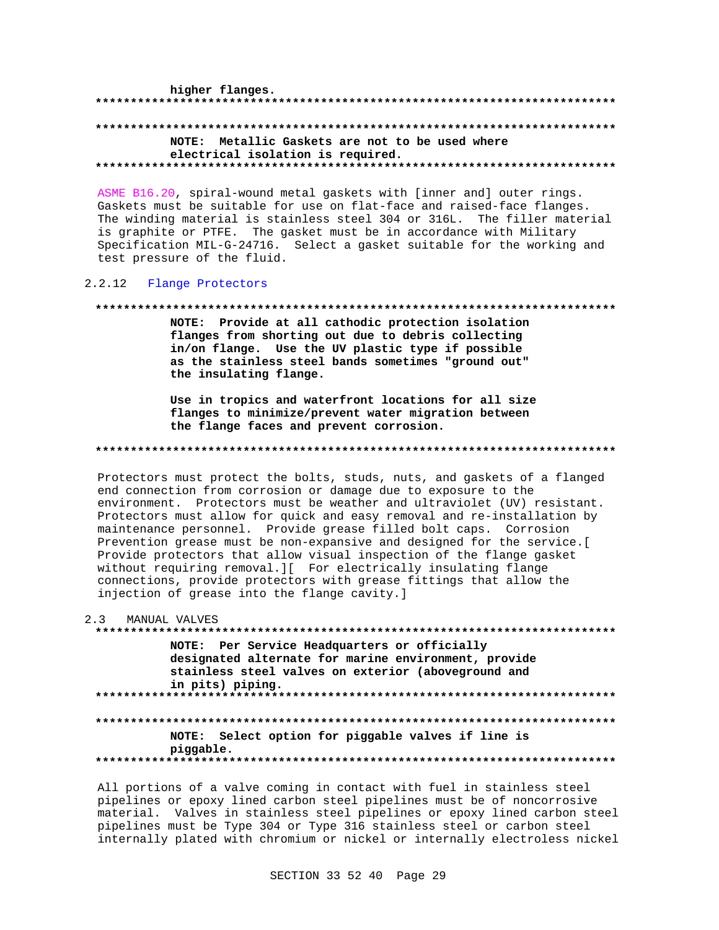higher flanges. NOTE: Metallic Gaskets are not to be used where electrical isolation is required.

ASME B16.20, spiral-wound metal gaskets with [inner and] outer rings. Gaskets must be suitable for use on flat-face and raised-face flanges. The winding material is stainless steel 304 or 316L. The filler material is graphite or PTFE. The gasket must be in accordance with Military Specification MIL-G-24716. Select a gasket suitable for the working and test pressure of the fluid.

# 2.2.12 Flange Protectors

#### 

NOTE: Provide at all cathodic protection isolation flanges from shorting out due to debris collecting in/on flange. Use the UV plastic type if possible as the stainless steel bands sometimes "ground out" the insulating flange.

Use in tropics and waterfront locations for all size flanges to minimize/prevent water migration between the flange faces and prevent corrosion.

#### 

Protectors must protect the bolts, studs, nuts, and gaskets of a flanged end connection from corrosion or damage due to exposure to the environment. Protectors must be weather and ultraviolet (UV) resistant. Protectors must allow for quick and easy removal and re-installation by maintenance personnel. Provide grease filled bolt caps. Corrosion Prevention grease must be non-expansive and designed for the service. [ Provide protectors that allow visual inspection of the flange gasket without requiring removal. I[ For electrically insulating flange connections, provide protectors with grease fittings that allow the injection of grease into the flange cavity.]

| 2.3 | MANUAL VALVES                                                                                                                                                                   |
|-----|---------------------------------------------------------------------------------------------------------------------------------------------------------------------------------|
|     |                                                                                                                                                                                 |
|     | NOTE: Per Service Headquarters or officially<br>designated alternate for marine environment, provide<br>stainless steel valves on exterior (aboveground and<br>in pits) piping. |
|     | NOTE: Select option for piggable valves if line is<br>piqqable.                                                                                                                 |

All portions of a valve coming in contact with fuel in stainless steel pipelines or epoxy lined carbon steel pipelines must be of noncorrosive material. Valves in stainless steel pipelines or epoxy lined carbon steel pipelines must be Type 304 or Type 316 stainless steel or carbon steel internally plated with chromium or nickel or internally electroless nickel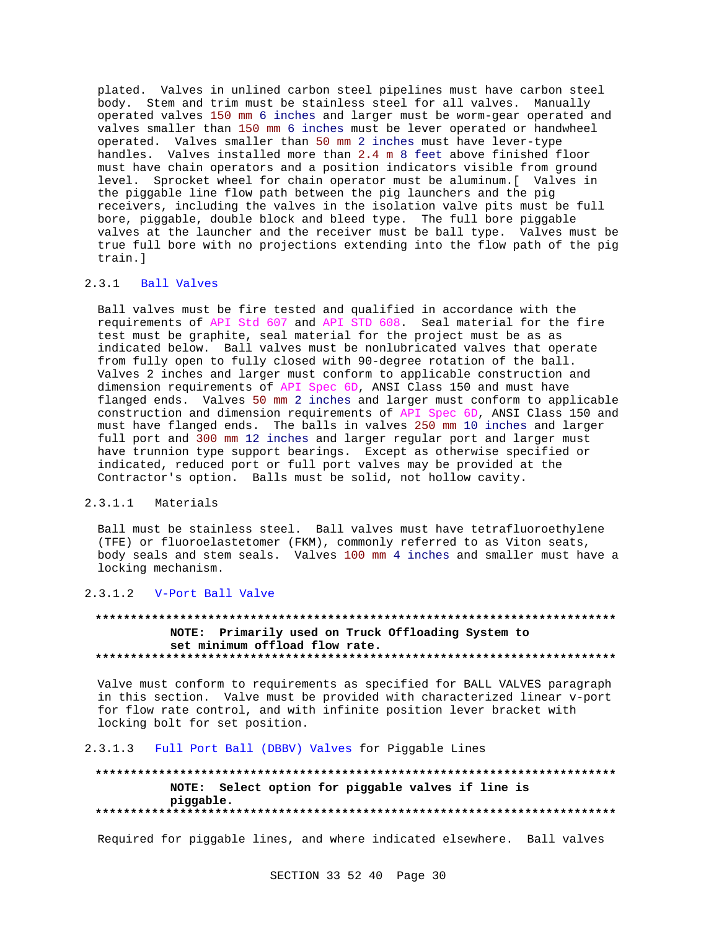plated. Valves in unlined carbon steel pipelines must have carbon steel body. Stem and trim must be stainless steel for all valves. Manually operated valves 150 mm 6 inches and larger must be worm-gear operated and valves smaller than 150 mm 6 inches must be lever operated or handwheel operated. Valves smaller than 50 mm 2 inches must have lever-type handles. Valves installed more than 2.4 m 8 feet above finished floor must have chain operators and a position indicators visible from ground level. Sprocket wheel for chain operator must be aluminum.[ Valves in the piggable line flow path between the pig launchers and the pig receivers, including the valves in the isolation valve pits must be full bore, piggable, double block and bleed type. The full bore piggable valves at the launcher and the receiver must be ball type. Valves must be true full bore with no projections extending into the flow path of the pig train.]

# 2.3.1 Ball Valves

Ball valves must be fire tested and qualified in accordance with the requirements of API Std 607 and API STD 608. Seal material for the fire test must be graphite, seal material for the project must be as as indicated below. Ball valves must be nonlubricated valves that operate from fully open to fully closed with 90-degree rotation of the ball. Valves 2 inches and larger must conform to applicable construction and dimension requirements of API Spec 6D, ANSI Class 150 and must have flanged ends. Valves 50 mm 2 inches and larger must conform to applicable construction and dimension requirements of API Spec 6D, ANSI Class 150 and must have flanged ends. The balls in valves 250 mm 10 inches and larger full port and 300 mm 12 inches and larger regular port and larger must have trunnion type support bearings. Except as otherwise specified or indicated, reduced port or full port valves may be provided at the Contractor's option. Balls must be solid, not hollow cavity.

# 2.3.1.1 Materials

Ball must be stainless steel. Ball valves must have tetrafluoroethylene (TFE) or fluoroelastetomer (FKM), commonly referred to as Viton seats, body seals and stem seals. Valves 100 mm 4 inches and smaller must have a locking mechanism.

# 2.3.1.2 V-Port Ball Valve

# **\*\*\*\*\*\*\*\*\*\*\*\*\*\*\*\*\*\*\*\*\*\*\*\*\*\*\*\*\*\*\*\*\*\*\*\*\*\*\*\*\*\*\*\*\*\*\*\*\*\*\*\*\*\*\*\*\*\*\*\*\*\*\*\*\*\*\*\*\*\*\*\*\*\* NOTE: Primarily used on Truck Offloading System to set minimum offload flow rate. \*\*\*\*\*\*\*\*\*\*\*\*\*\*\*\*\*\*\*\*\*\*\*\*\*\*\*\*\*\*\*\*\*\*\*\*\*\*\*\*\*\*\*\*\*\*\*\*\*\*\*\*\*\*\*\*\*\*\*\*\*\*\*\*\*\*\*\*\*\*\*\*\*\***

Valve must conform to requirements as specified for BALL VALVES paragraph in this section. Valve must be provided with characterized linear v-port for flow rate control, and with infinite position lever bracket with locking bolt for set position.

# 2.3.1.3 Full Port Ball (DBBV) Valves for Piggable Lines

**\*\*\*\*\*\*\*\*\*\*\*\*\*\*\*\*\*\*\*\*\*\*\*\*\*\*\*\*\*\*\*\*\*\*\*\*\*\*\*\*\*\*\*\*\*\*\*\*\*\*\*\*\*\*\*\*\*\*\*\*\*\*\*\*\*\*\*\*\*\*\*\*\*\* NOTE: Select option for piggable valves if line is piggable. \*\*\*\*\*\*\*\*\*\*\*\*\*\*\*\*\*\*\*\*\*\*\*\*\*\*\*\*\*\*\*\*\*\*\*\*\*\*\*\*\*\*\*\*\*\*\*\*\*\*\*\*\*\*\*\*\*\*\*\*\*\*\*\*\*\*\*\*\*\*\*\*\*\***

Required for piggable lines, and where indicated elsewhere. Ball valves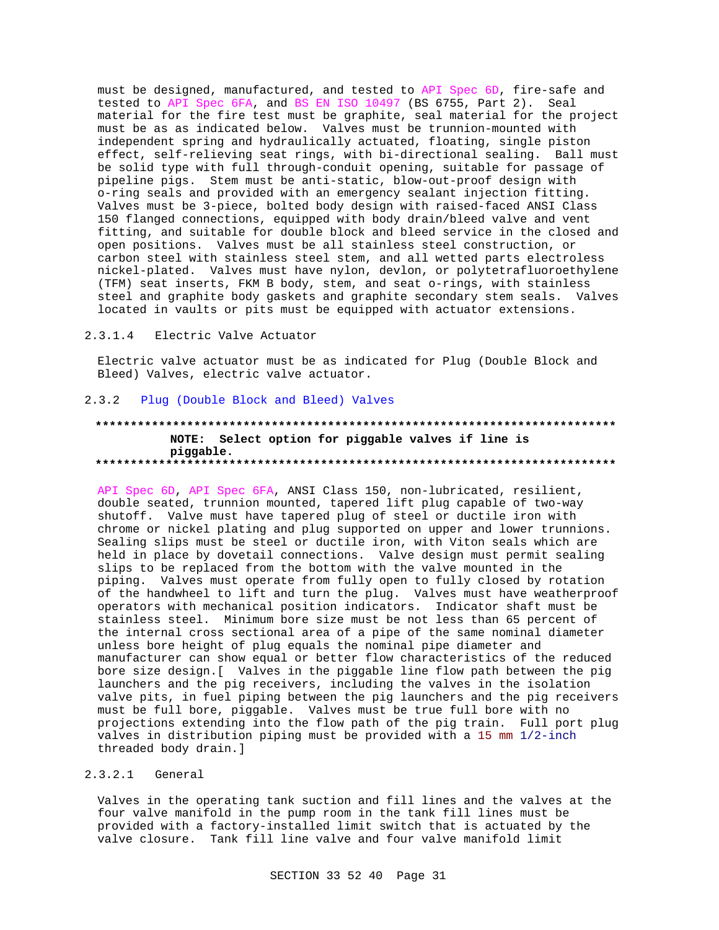must be designed, manufactured, and tested to API Spec 6D, fire-safe and tested to API Spec 6FA, and BS EN ISO 10497 (BS 6755, Part 2). Seal material for the fire test must be graphite, seal material for the project must be as as indicated below. Valves must be trunnion-mounted with independent spring and hydraulically actuated, floating, single piston effect, self-relieving seat rings, with bi-directional sealing. Ball must be solid type with full through-conduit opening, suitable for passage of pipeline pigs. Stem must be anti-static, blow-out-proof design with o-ring seals and provided with an emergency sealant injection fitting. Valves must be 3-piece, bolted body design with raised-faced ANSI Class 150 flanged connections, equipped with body drain/bleed valve and vent fitting, and suitable for double block and bleed service in the closed and open positions. Valves must be all stainless steel construction, or carbon steel with stainless steel stem, and all wetted parts electroless nickel-plated. Valves must have nylon, devlon, or polytetrafluoroethylene (TFM) seat inserts, FKM B body, stem, and seat o-rings, with stainless steel and graphite body gaskets and graphite secondary stem seals. Valves located in vaults or pits must be equipped with actuator extensions.

#### $2.3.1.4$ Electric Valve Actuator

Electric valve actuator must be as indicated for Plug (Double Block and Bleed) Valves, electric valve actuator.

#### $2.3.2$ Plug (Double Block and Bleed) Valves

### NOTE: Select option for piggable valves if line is piggable.

API Spec 6D, API Spec 6FA, ANSI Class 150, non-lubricated, resilient, double seated, trunnion mounted, tapered lift plug capable of two-way shutoff. Valve must have tapered plug of steel or ductile iron with chrome or nickel plating and plug supported on upper and lower trunnions. Sealing slips must be steel or ductile iron, with Viton seals which are held in place by dovetail connections. Valve design must permit sealing slips to be replaced from the bottom with the valve mounted in the piping. Valves must operate from fully open to fully closed by rotation of the handwheel to lift and turn the plug. Valves must have weatherproof operators with mechanical position indicators. Indicator shaft must be stainless steel. Minimum bore size must be not less than 65 percent of the internal cross sectional area of a pipe of the same nominal diameter unless bore height of plug equals the nominal pipe diameter and manufacturer can show equal or better flow characteristics of the reduced bore size design. [ Valves in the piggable line flow path between the pig launchers and the pig receivers, including the valves in the isolation valve pits, in fuel piping between the pig launchers and the pig receivers must be full bore, piggable. Valves must be true full bore with no projections extending into the flow path of the pig train. Full port plug valves in distribution piping must be provided with a 15 mm 1/2-inch threaded body drain.]

#### $2.3.2.1$ General

Valves in the operating tank suction and fill lines and the valves at the four valve manifold in the pump room in the tank fill lines must be provided with a factory-installed limit switch that is actuated by the valve closure. Tank fill line valve and four valve manifold limit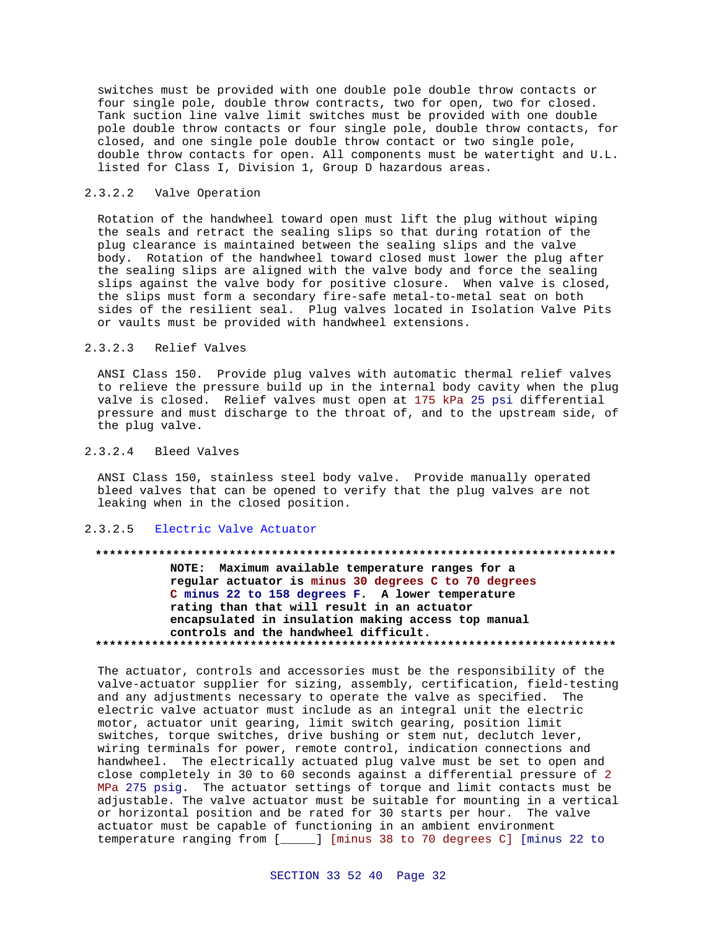switches must be provided with one double pole double throw contacts or four single pole, double throw contracts, two for open, two for closed. Tank suction line valve limit switches must be provided with one double pole double throw contacts or four single pole, double throw contacts, for closed, and one single pole double throw contact or two single pole, double throw contacts for open. All components must be watertight and U.L. listed for Class I, Division 1, Group D hazardous areas.

### 2.3.2.2 Valve Operation

Rotation of the handwheel toward open must lift the plug without wiping the seals and retract the sealing slips so that during rotation of the plug clearance is maintained between the sealing slips and the valve body. Rotation of the handwheel toward closed must lower the plug after the sealing slips are aligned with the valve body and force the sealing slips against the valve body for positive closure. When valve is closed, the slips must form a secondary fire-safe metal-to-metal seat on both sides of the resilient seal. Plug valves located in Isolation Valve Pits or vaults must be provided with handwheel extensions.

#### 2.3.2.3 Relief Valves

ANSI Class 150. Provide plug valves with automatic thermal relief valves to relieve the pressure build up in the internal body cavity when the plug valve is closed. Relief valves must open at 175 kPa 25 psi differential pressure and must discharge to the throat of, and to the upstream side, of the plug valve.

#### 2.3.2.4 Bleed Valves

ANSI Class 150, stainless steel body valve. Provide manually operated bleed valves that can be opened to verify that the plug valves are not leaking when in the closed position.

#### 2.3.2.5 Electric Valve Actuator

# **\*\*\*\*\*\*\*\*\*\*\*\*\*\*\*\*\*\*\*\*\*\*\*\*\*\*\*\*\*\*\*\*\*\*\*\*\*\*\*\*\*\*\*\*\*\*\*\*\*\*\*\*\*\*\*\*\*\*\*\*\*\*\*\*\*\*\*\*\*\*\*\*\*\* NOTE: Maximum available temperature ranges for a regular actuator is minus 30 degrees C to 70 degrees C minus 22 to 158 degrees F. A lower temperature rating than that will result in an actuator encapsulated in insulation making access top manual controls and the handwheel difficult. \*\*\*\*\*\*\*\*\*\*\*\*\*\*\*\*\*\*\*\*\*\*\*\*\*\*\*\*\*\*\*\*\*\*\*\*\*\*\*\*\*\*\*\*\*\*\*\*\*\*\*\*\*\*\*\*\*\*\*\*\*\*\*\*\*\*\*\*\*\*\*\*\*\***

The actuator, controls and accessories must be the responsibility of the valve-actuator supplier for sizing, assembly, certification, field-testing and any adjustments necessary to operate the valve as specified. The electric valve actuator must include as an integral unit the electric motor, actuator unit gearing, limit switch gearing, position limit switches, torque switches, drive bushing or stem nut, declutch lever, wiring terminals for power, remote control, indication connections and handwheel. The electrically actuated plug valve must be set to open and close completely in 30 to 60 seconds against a differential pressure of 2 MPa 275 psig. The actuator settings of torque and limit contacts must be adjustable. The valve actuator must be suitable for mounting in a vertical or horizontal position and be rated for 30 starts per hour. The valve actuator must be capable of functioning in an ambient environment temperature ranging from [\_\_\_\_\_] [minus 38 to 70 degrees C] [minus 22 to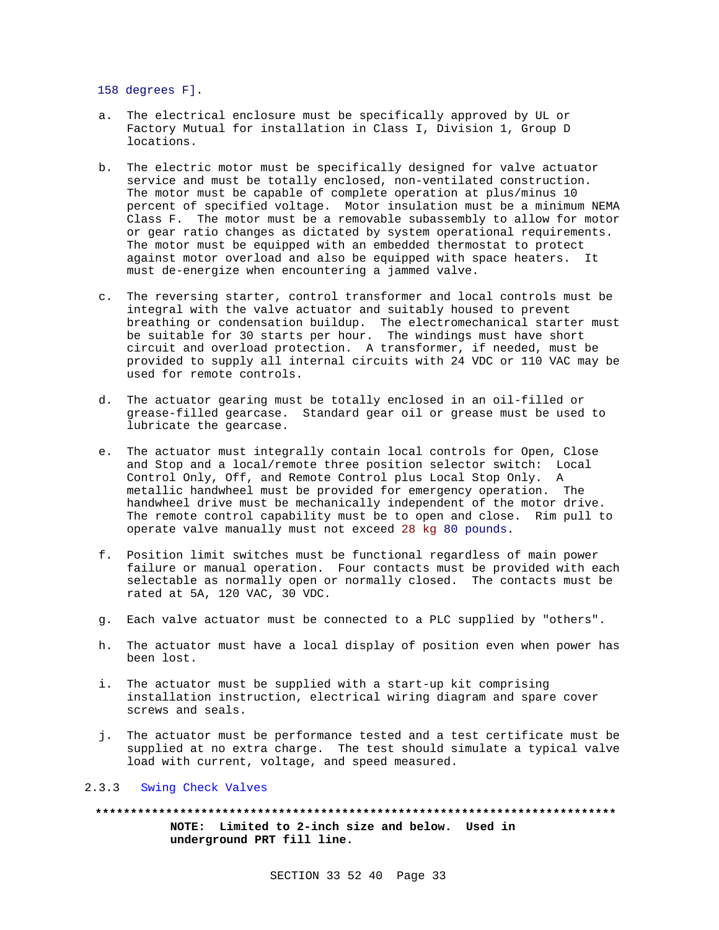158 degrees F].

- a. The electrical enclosure must be specifically approved by UL or Factory Mutual for installation in Class I, Division 1, Group D locations.
- b. The electric motor must be specifically designed for valve actuator service and must be totally enclosed, non-ventilated construction. The motor must be capable of complete operation at plus/minus 10 percent of specified voltage. Motor insulation must be a minimum NEMA Class F. The motor must be a removable subassembly to allow for motor or gear ratio changes as dictated by system operational requirements. The motor must be equipped with an embedded thermostat to protect against motor overload and also be equipped with space heaters. It must de-energize when encountering a jammed valve.
- c. The reversing starter, control transformer and local controls must be integral with the valve actuator and suitably housed to prevent breathing or condensation buildup. The electromechanical starter must be suitable for 30 starts per hour. The windings must have short circuit and overload protection. A transformer, if needed, must be provided to supply all internal circuits with 24 VDC or 110 VAC may be used for remote controls.
- d. The actuator gearing must be totally enclosed in an oil-filled or grease-filled gearcase. Standard gear oil or grease must be used to lubricate the gearcase.
- e. The actuator must integrally contain local controls for Open, Close and Stop and a local/remote three position selector switch: Local Control Only, Off, and Remote Control plus Local Stop Only. A metallic handwheel must be provided for emergency operation. The handwheel drive must be mechanically independent of the motor drive. The remote control capability must be to open and close. Rim pull to operate valve manually must not exceed 28 kg 80 pounds.
- f. Position limit switches must be functional regardless of main power failure or manual operation. Four contacts must be provided with each selectable as normally open or normally closed. The contacts must be rated at 5A, 120 VAC, 30 VDC.
- g. Each valve actuator must be connected to a PLC supplied by "others".
- h. The actuator must have a local display of position even when power has been lost.
- i. The actuator must be supplied with a start-up kit comprising installation instruction, electrical wiring diagram and spare cover screws and seals.
- j. The actuator must be performance tested and a test certificate must be supplied at no extra charge. The test should simulate a typical valve load with current, voltage, and speed measured.

# 2.3.3 Swing Check Valves

**\*\*\*\*\*\*\*\*\*\*\*\*\*\*\*\*\*\*\*\*\*\*\*\*\*\*\*\*\*\*\*\*\*\*\*\*\*\*\*\*\*\*\*\*\*\*\*\*\*\*\*\*\*\*\*\*\*\*\*\*\*\*\*\*\*\*\*\*\*\*\*\*\*\* NOTE: Limited to 2-inch size and below. Used in underground PRT fill line.**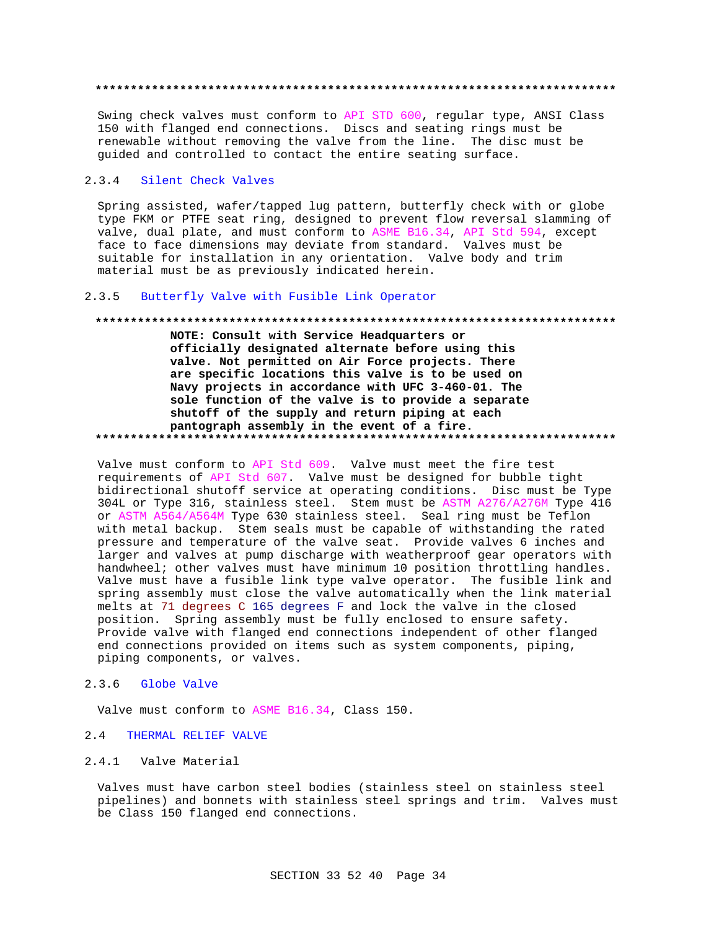Swing check valves must conform to API STD 600, regular type, ANSI Class 150 with flanged end connections. Discs and seating rings must be renewable without removing the valve from the line. The disc must be guided and controlled to contact the entire seating surface.

#### $2.3.4$ Silent Check Valves

Spring assisted, wafer/tapped lug pattern, butterfly check with or globe type FKM or PTFE seat ring, designed to prevent flow reversal slamming of valve, dual plate, and must conform to ASME B16.34, API Std 594, except face to face dimensions may deviate from standard. Valves must be suitable for installation in any orientation. Valve body and trim material must be as previously indicated herein.

#### $2.3.5$ Butterfly Valve with Fusible Link Operator

# NOTE: Consult with Service Headquarters or officially designated alternate before using this valve. Not permitted on Air Force projects. There are specific locations this valve is to be used on Navy projects in accordance with UFC 3-460-01. The sole function of the valve is to provide a separate shutoff of the supply and return piping at each pantograph assembly in the event of a fire.

Valve must conform to API Std 609. Valve must meet the fire test requirements of API Std 607. Valve must be designed for bubble tight bidirectional shutoff service at operating conditions. Disc must be Type 304L or Type 316, stainless steel. Stem must be ASTM A276/A276M Type 416 or ASTM A564/A564M Type 630 stainless steel. Seal ring must be Teflon with metal backup. Stem seals must be capable of withstanding the rated pressure and temperature of the valve seat. Provide valves 6 inches and larger and valves at pump discharge with weatherproof gear operators with handwheel; other valves must have minimum 10 position throttling handles. Valve must have a fusible link type valve operator. The fusible link and spring assembly must close the valve automatically when the link material melts at 71 degrees C 165 degrees F and lock the valve in the closed position. Spring assembly must be fully enclosed to ensure safety. Provide valve with flanged end connections independent of other flanged end connections provided on items such as system components, piping, piping components, or valves.

#### $2.3.6$ Globe Valve

Valve must conform to ASME B16.34, Class 150.

#### THERMAL RELIEF VALVE  $2.4$

#### $2.4.1$ Valve Material

Valves must have carbon steel bodies (stainless steel on stainless steel pipelines) and bonnets with stainless steel springs and trim. Valves must be Class 150 flanged end connections.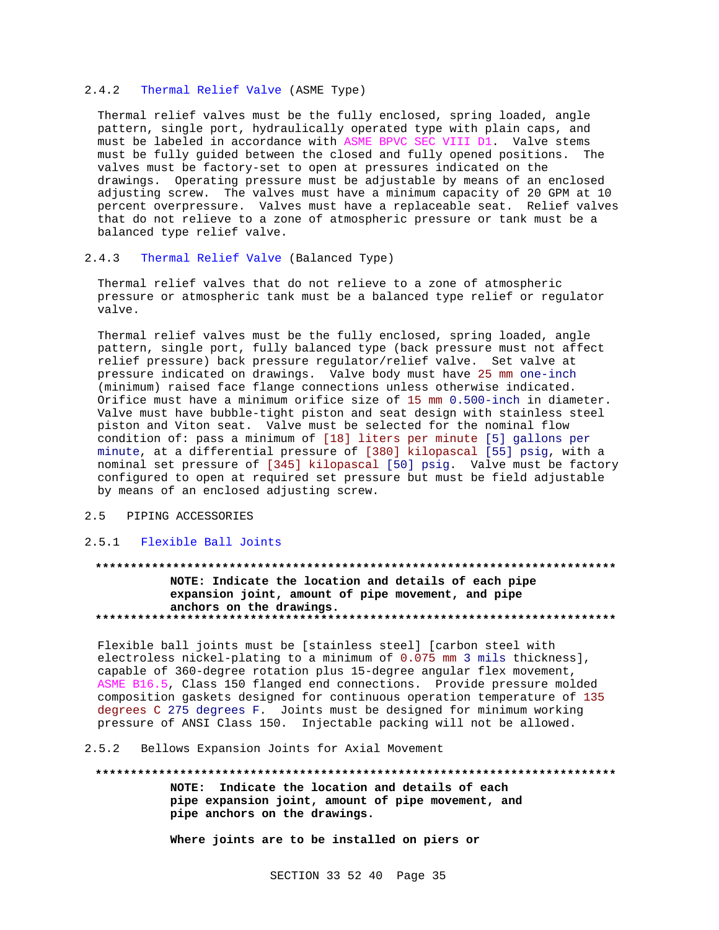### 2.4.2 Thermal Relief Valve (ASME Type)

Thermal relief valves must be the fully enclosed, spring loaded, angle pattern, single port, hydraulically operated type with plain caps, and must be labeled in accordance with ASME BPVC SEC VIII D1. Valve stems must be fully guided between the closed and fully opened positions. The valves must be factory-set to open at pressures indicated on the drawings. Operating pressure must be adjustable by means of an enclosed adjusting screw. The valves must have a minimum capacity of 20 GPM at 10 percent overpressure. Valves must have a replaceable seat. Relief valves that do not relieve to a zone of atmospheric pressure or tank must be a balanced type relief valve.

### 2.4.3 Thermal Relief Valve (Balanced Type)

Thermal relief valves that do not relieve to a zone of atmospheric pressure or atmospheric tank must be a balanced type relief or regulator valve.

Thermal relief valves must be the fully enclosed, spring loaded, angle pattern, single port, fully balanced type (back pressure must not affect relief pressure) back pressure regulator/relief valve. Set valve at pressure indicated on drawings. Valve body must have 25 mm one-inch (minimum) raised face flange connections unless otherwise indicated. Orifice must have a minimum orifice size of 15 mm 0.500-inch in diameter. Valve must have bubble-tight piston and seat design with stainless steel piston and Viton seat. Valve must be selected for the nominal flow condition of: pass a minimum of [18] liters per minute [5] gallons per minute, at a differential pressure of [380] kilopascal [55] psig, with a nominal set pressure of [345] kilopascal [50] psig. Valve must be factory configured to open at required set pressure but must be field adjustable by means of an enclosed adjusting screw.

### 2.5 PIPING ACCESSORIES

#### 2.5.1 Flexible Ball Joints

# **\*\*\*\*\*\*\*\*\*\*\*\*\*\*\*\*\*\*\*\*\*\*\*\*\*\*\*\*\*\*\*\*\*\*\*\*\*\*\*\*\*\*\*\*\*\*\*\*\*\*\*\*\*\*\*\*\*\*\*\*\*\*\*\*\*\*\*\*\*\*\*\*\*\* NOTE: Indicate the location and details of each pipe expansion joint, amount of pipe movement, and pipe anchors on the drawings. \*\*\*\*\*\*\*\*\*\*\*\*\*\*\*\*\*\*\*\*\*\*\*\*\*\*\*\*\*\*\*\*\*\*\*\*\*\*\*\*\*\*\*\*\*\*\*\*\*\*\*\*\*\*\*\*\*\*\*\*\*\*\*\*\*\*\*\*\*\*\*\*\*\***

Flexible ball joints must be [stainless steel] [carbon steel with electroless nickel-plating to a minimum of 0.075 mm 3 mils thickness], capable of 360-degree rotation plus 15-degree angular flex movement, ASME B16.5, Class 150 flanged end connections. Provide pressure molded composition gaskets designed for continuous operation temperature of 135 degrees C 275 degrees F. Joints must be designed for minimum working pressure of ANSI Class 150. Injectable packing will not be allowed.

2.5.2 Bellows Expansion Joints for Axial Movement

# **\*\*\*\*\*\*\*\*\*\*\*\*\*\*\*\*\*\*\*\*\*\*\*\*\*\*\*\*\*\*\*\*\*\*\*\*\*\*\*\*\*\*\*\*\*\*\*\*\*\*\*\*\*\*\*\*\*\*\*\*\*\*\*\*\*\*\*\*\*\*\*\*\*\* NOTE: Indicate the location and details of each pipe expansion joint, amount of pipe movement, and**

**pipe anchors on the drawings.**

**Where joints are to be installed on piers or**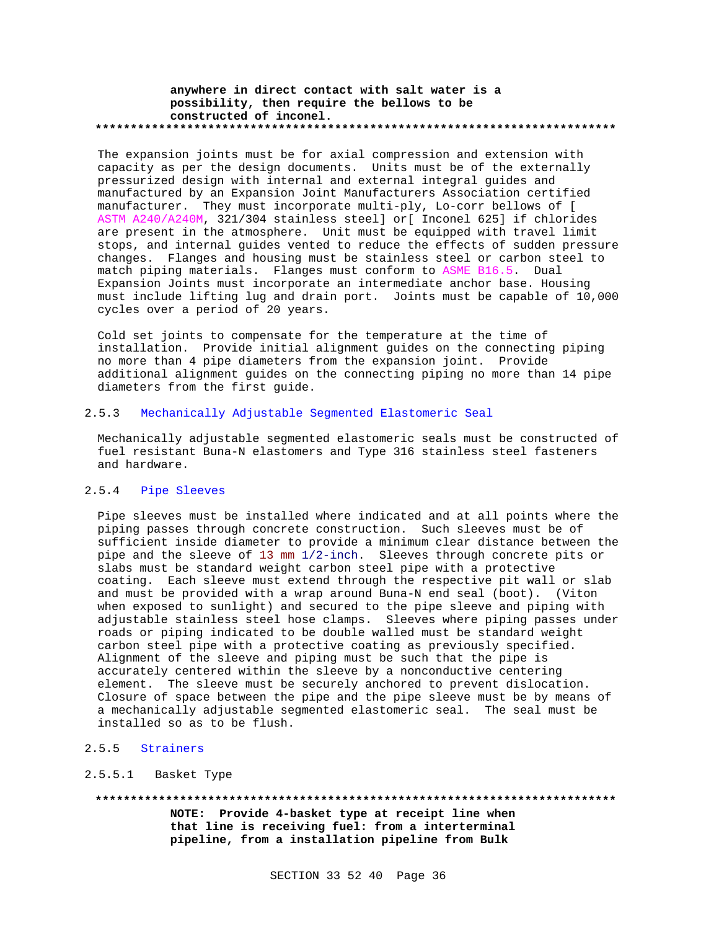### **anywhere in direct contact with salt water is a possibility, then require the bellows to be constructed of inconel. \*\*\*\*\*\*\*\*\*\*\*\*\*\*\*\*\*\*\*\*\*\*\*\*\*\*\*\*\*\*\*\*\*\*\*\*\*\*\*\*\*\*\*\*\*\*\*\*\*\*\*\*\*\*\*\*\*\*\*\*\*\*\*\*\*\*\*\*\*\*\*\*\*\***

The expansion joints must be for axial compression and extension with capacity as per the design documents. Units must be of the externally pressurized design with internal and external integral guides and manufactured by an Expansion Joint Manufacturers Association certified manufacturer. They must incorporate multi-ply, Lo-corr bellows of [ ASTM A240/A240M, 321/304 stainless steel] or[ Inconel 625] if chlorides are present in the atmosphere. Unit must be equipped with travel limit stops, and internal guides vented to reduce the effects of sudden pressure changes. Flanges and housing must be stainless steel or carbon steel to match piping materials. Flanges must conform to ASME B16.5. Dual Expansion Joints must incorporate an intermediate anchor base. Housing must include lifting lug and drain port. Joints must be capable of 10,000 cycles over a period of 20 years.

Cold set joints to compensate for the temperature at the time of installation. Provide initial alignment guides on the connecting piping no more than 4 pipe diameters from the expansion joint. Provide additional alignment guides on the connecting piping no more than 14 pipe diameters from the first guide.

# 2.5.3 Mechanically Adjustable Segmented Elastomeric Seal

Mechanically adjustable segmented elastomeric seals must be constructed of fuel resistant Buna-N elastomers and Type 316 stainless steel fasteners and hardware.

### 2.5.4 Pipe Sleeves

Pipe sleeves must be installed where indicated and at all points where the piping passes through concrete construction. Such sleeves must be of sufficient inside diameter to provide a minimum clear distance between the pipe and the sleeve of 13 mm 1/2-inch. Sleeves through concrete pits or slabs must be standard weight carbon steel pipe with a protective coating. Each sleeve must extend through the respective pit wall or slab and must be provided with a wrap around Buna-N end seal (boot). (Viton when exposed to sunlight) and secured to the pipe sleeve and piping with adjustable stainless steel hose clamps. Sleeves where piping passes under roads or piping indicated to be double walled must be standard weight carbon steel pipe with a protective coating as previously specified. Alignment of the sleeve and piping must be such that the pipe is accurately centered within the sleeve by a nonconductive centering element. The sleeve must be securely anchored to prevent dislocation. Closure of space between the pipe and the pipe sleeve must be by means of a mechanically adjustable segmented elastomeric seal. The seal must be installed so as to be flush.

# 2.5.5 Strainers

#### 2.5.5.1 Basket Type

**\*\*\*\*\*\*\*\*\*\*\*\*\*\*\*\*\*\*\*\*\*\*\*\*\*\*\*\*\*\*\*\*\*\*\*\*\*\*\*\*\*\*\*\*\*\*\*\*\*\*\*\*\*\*\*\*\*\*\*\*\*\*\*\*\*\*\*\*\*\*\*\*\*\***

**NOTE: Provide 4-basket type at receipt line when that line is receiving fuel: from a interterminal pipeline, from a installation pipeline from Bulk**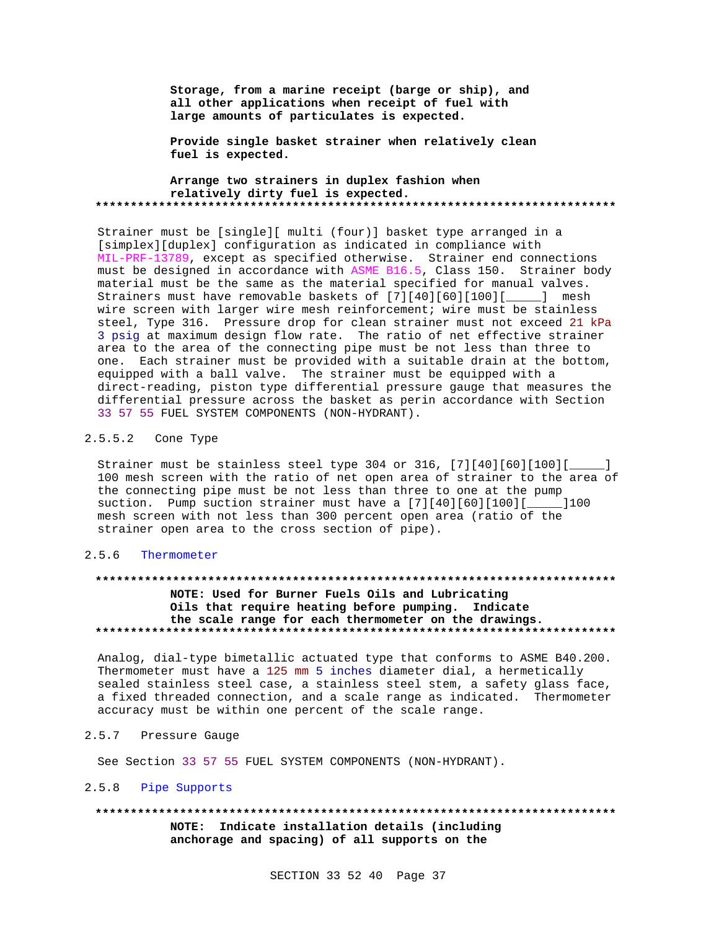**Storage, from a marine receipt (barge or ship), and all other applications when receipt of fuel with large amounts of particulates is expected.**

**Provide single basket strainer when relatively clean fuel is expected.**

**Arrange two strainers in duplex fashion when relatively dirty fuel is expected. \*\*\*\*\*\*\*\*\*\*\*\*\*\*\*\*\*\*\*\*\*\*\*\*\*\*\*\*\*\*\*\*\*\*\*\*\*\*\*\*\*\*\*\*\*\*\*\*\*\*\*\*\*\*\*\*\*\*\*\*\*\*\*\*\*\*\*\*\*\*\*\*\*\***

Strainer must be [single][ multi (four)] basket type arranged in a [simplex][duplex] configuration as indicated in compliance with MIL-PRF-13789, except as specified otherwise. Strainer end connections must be designed in accordance with ASME B16.5, Class 150. Strainer body material must be the same as the material specified for manual valves. Strainers must have removable baskets of [7][40][60][100][\_\_\_\_\_] mesh wire screen with larger wire mesh reinforcement; wire must be stainless steel, Type 316. Pressure drop for clean strainer must not exceed 21 kPa 3 psig at maximum design flow rate. The ratio of net effective strainer area to the area of the connecting pipe must be not less than three to one. Each strainer must be provided with a suitable drain at the bottom, equipped with a ball valve. The strainer must be equipped with a direct-reading, piston type differential pressure gauge that measures the differential pressure across the basket as perin accordance with Section 33 57 55 FUEL SYSTEM COMPONENTS (NON-HYDRANT).

#### 2.5.5.2 Cone Type

Strainer must be stainless steel type 304 or 316, [7][40][60][100][\_\_\_\_\_] 100 mesh screen with the ratio of net open area of strainer to the area of the connecting pipe must be not less than three to one at the pump suction. Pump suction strainer must have a [7][40][60][100][\_\_\_\_\_]100 mesh screen with not less than 300 percent open area (ratio of the strainer open area to the cross section of pipe).

#### 2.5.6 Thermometer

#### **\*\*\*\*\*\*\*\*\*\*\*\*\*\*\*\*\*\*\*\*\*\*\*\*\*\*\*\*\*\*\*\*\*\*\*\*\*\*\*\*\*\*\*\*\*\*\*\*\*\*\*\*\*\*\*\*\*\*\*\*\*\*\*\*\*\*\*\*\*\*\*\*\*\***

### **NOTE: Used for Burner Fuels Oils and Lubricating Oils that require heating before pumping. Indicate the scale range for each thermometer on the drawings. \*\*\*\*\*\*\*\*\*\*\*\*\*\*\*\*\*\*\*\*\*\*\*\*\*\*\*\*\*\*\*\*\*\*\*\*\*\*\*\*\*\*\*\*\*\*\*\*\*\*\*\*\*\*\*\*\*\*\*\*\*\*\*\*\*\*\*\*\*\*\*\*\*\***

Analog, dial-type bimetallic actuated type that conforms to ASME B40.200. Thermometer must have a 125 mm 5 inches diameter dial, a hermetically sealed stainless steel case, a stainless steel stem, a safety glass face, a fixed threaded connection, and a scale range as indicated. Thermometer accuracy must be within one percent of the scale range.

#### 2.5.7 Pressure Gauge

See Section 33 57 55 FUEL SYSTEM COMPONENTS (NON-HYDRANT).

# 2.5.8 Pipe Supports

**\*\*\*\*\*\*\*\*\*\*\*\*\*\*\*\*\*\*\*\*\*\*\*\*\*\*\*\*\*\*\*\*\*\*\*\*\*\*\*\*\*\*\*\*\*\*\*\*\*\*\*\*\*\*\*\*\*\*\*\*\*\*\*\*\*\*\*\*\*\*\*\*\*\* NOTE: Indicate installation details (including anchorage and spacing) of all supports on the**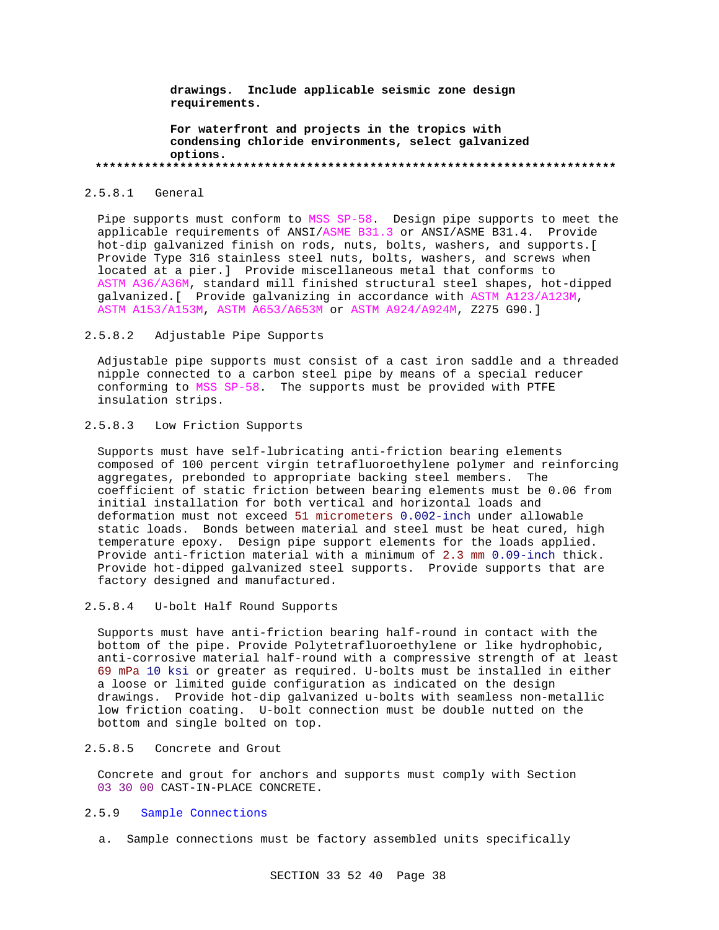**drawings. Include applicable seismic zone design requirements.**

**For waterfront and projects in the tropics with condensing chloride environments, select galvanized options. \*\*\*\*\*\*\*\*\*\*\*\*\*\*\*\*\*\*\*\*\*\*\*\*\*\*\*\*\*\*\*\*\*\*\*\*\*\*\*\*\*\*\*\*\*\*\*\*\*\*\*\*\*\*\*\*\*\*\*\*\*\*\*\*\*\*\*\*\*\*\*\*\*\***

#### 2.5.8.1 General

Pipe supports must conform to MSS SP-58. Design pipe supports to meet the applicable requirements of ANSI/ASME B31.3 or ANSI/ASME B31.4. Provide hot-dip galvanized finish on rods, nuts, bolts, washers, and supports.[ Provide Type 316 stainless steel nuts, bolts, washers, and screws when located at a pier.] Provide miscellaneous metal that conforms to ASTM A36/A36M, standard mill finished structural steel shapes, hot-dipped galvanized.[ Provide galvanizing in accordance with ASTM A123/A123M, ASTM A153/A153M, ASTM A653/A653M or ASTM A924/A924M, Z275 G90.]

### 2.5.8.2 Adjustable Pipe Supports

Adjustable pipe supports must consist of a cast iron saddle and a threaded nipple connected to a carbon steel pipe by means of a special reducer conforming to MSS SP-58. The supports must be provided with PTFE insulation strips.

# 2.5.8.3 Low Friction Supports

Supports must have self-lubricating anti-friction bearing elements composed of 100 percent virgin tetrafluoroethylene polymer and reinforcing aggregates, prebonded to appropriate backing steel members. The coefficient of static friction between bearing elements must be 0.06 from initial installation for both vertical and horizontal loads and deformation must not exceed 51 micrometers 0.002-inch under allowable static loads. Bonds between material and steel must be heat cured, high temperature epoxy. Design pipe support elements for the loads applied. Provide anti-friction material with a minimum of 2.3 mm 0.09-inch thick. Provide hot-dipped galvanized steel supports. Provide supports that are factory designed and manufactured.

#### 2.5.8.4 U-bolt Half Round Supports

Supports must have anti-friction bearing half-round in contact with the bottom of the pipe. Provide Polytetrafluoroethylene or like hydrophobic, anti-corrosive material half-round with a compressive strength of at least 69 mPa 10 ksi or greater as required. U-bolts must be installed in either a loose or limited guide configuration as indicated on the design drawings. Provide hot-dip galvanized u-bolts with seamless non-metallic low friction coating. U-bolt connection must be double nutted on the bottom and single bolted on top.

# 2.5.8.5 Concrete and Grout

Concrete and grout for anchors and supports must comply with Section 03 30 00 CAST-IN-PLACE CONCRETE.

# 2.5.9 Sample Connections

a. Sample connections must be factory assembled units specifically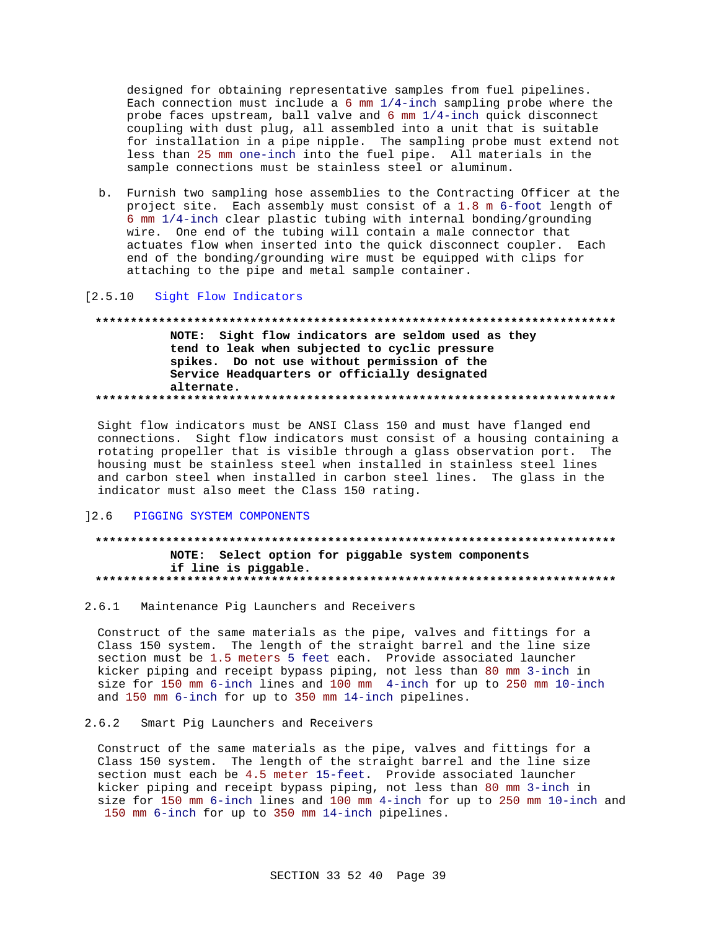designed for obtaining representative samples from fuel pipelines. Each connection must include a  $6 \text{ mm } 1/4$ -inch sampling probe where the probe faces upstream, ball valve and 6 mm 1/4-inch quick disconnect coupling with dust plug, all assembled into a unit that is suitable for installation in a pipe nipple. The sampling probe must extend not less than 25 mm one-inch into the fuel pipe. All materials in the sample connections must be stainless steel or aluminum.

b. Furnish two sampling hose assemblies to the Contracting Officer at the project site. Each assembly must consist of a 1.8 m 6-foot length of 6 mm 1/4-inch clear plastic tubing with internal bonding/grounding wire. One end of the tubing will contain a male connector that actuates flow when inserted into the quick disconnect coupler. Each end of the bonding/grounding wire must be equipped with clips for attaching to the pipe and metal sample container.

#### $[2.5.10]$ Sight Flow Indicators

# NOTE: Sight flow indicators are seldom used as they tend to leak when subjected to cyclic pressure spikes. Do not use without permission of the Service Headquarters or officially designated alternate.

Sight flow indicators must be ANSI Class 150 and must have flanged end connections. Sight flow indicators must consist of a housing containing a rotating propeller that is visible through a glass observation port. The housing must be stainless steel when installed in stainless steel lines and carbon steel when installed in carbon steel lines. The glass in the indicator must also meet the Class 150 rating.

#### $12.6$ PIGGING SYSTEM COMPONENTS

# NOTE: Select option for piggable system components if line is piggable.

#### 2.6.1 Maintenance Pig Launchers and Receivers

Construct of the same materials as the pipe, valves and fittings for a Class 150 system. The length of the straight barrel and the line size section must be 1.5 meters 5 feet each. Provide associated launcher kicker piping and receipt bypass piping, not less than 80 mm 3-inch in size for 150 mm 6-inch lines and 100 mm 4-inch for up to 250 mm 10-inch and 150 mm 6-inch for up to 350 mm 14-inch pipelines.

#### $2.6.2$ Smart Pig Launchers and Receivers

Construct of the same materials as the pipe, valves and fittings for a Class 150 system. The length of the straight barrel and the line size section must each be 4.5 meter 15-feet. Provide associated launcher kicker piping and receipt bypass piping, not less than 80 mm 3-inch in size for 150 mm 6-inch lines and 100 mm 4-inch for up to 250 mm 10-inch and 150 mm 6-inch for up to 350 mm 14-inch pipelines.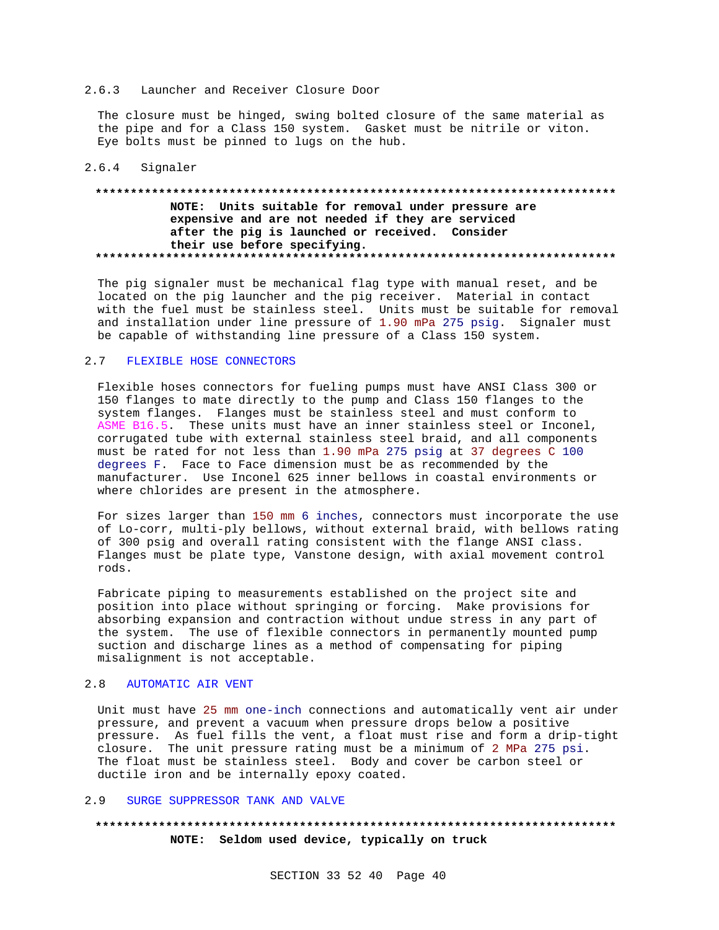#### 2.6.3 Launcher and Receiver Closure Door

The closure must be hinged, swing bolted closure of the same material as the pipe and for a Class 150 system. Gasket must be nitrile or viton. Eye bolts must be pinned to lugs on the hub.

### 2.6.4 Signaler

# **\*\*\*\*\*\*\*\*\*\*\*\*\*\*\*\*\*\*\*\*\*\*\*\*\*\*\*\*\*\*\*\*\*\*\*\*\*\*\*\*\*\*\*\*\*\*\*\*\*\*\*\*\*\*\*\*\*\*\*\*\*\*\*\*\*\*\*\*\*\*\*\*\*\* NOTE: Units suitable for removal under pressure are expensive and are not needed if they are serviced after the pig is launched or received. Consider their use before specifying. \*\*\*\*\*\*\*\*\*\*\*\*\*\*\*\*\*\*\*\*\*\*\*\*\*\*\*\*\*\*\*\*\*\*\*\*\*\*\*\*\*\*\*\*\*\*\*\*\*\*\*\*\*\*\*\*\*\*\*\*\*\*\*\*\*\*\*\*\*\*\*\*\*\***

The pig signaler must be mechanical flag type with manual reset, and be located on the pig launcher and the pig receiver. Material in contact with the fuel must be stainless steel. Units must be suitable for removal and installation under line pressure of 1.90 mPa 275 psig. Signaler must be capable of withstanding line pressure of a Class 150 system.

# 2.7 FLEXIBLE HOSE CONNECTORS

Flexible hoses connectors for fueling pumps must have ANSI Class 300 or 150 flanges to mate directly to the pump and Class 150 flanges to the system flanges. Flanges must be stainless steel and must conform to ASME B16.5. These units must have an inner stainless steel or Inconel, corrugated tube with external stainless steel braid, and all components must be rated for not less than 1.90 mPa 275 psig at 37 degrees C 100 degrees F. Face to Face dimension must be as recommended by the manufacturer. Use Inconel 625 inner bellows in coastal environments or where chlorides are present in the atmosphere.

For sizes larger than 150 mm 6 inches, connectors must incorporate the use of Lo-corr, multi-ply bellows, without external braid, with bellows rating of 300 psig and overall rating consistent with the flange ANSI class. Flanges must be plate type, Vanstone design, with axial movement control rods.

Fabricate piping to measurements established on the project site and position into place without springing or forcing. Make provisions for absorbing expansion and contraction without undue stress in any part of the system. The use of flexible connectors in permanently mounted pump suction and discharge lines as a method of compensating for piping misalignment is not acceptable.

#### 2.8 AUTOMATIC AIR VENT

Unit must have 25 mm one-inch connections and automatically vent air under pressure, and prevent a vacuum when pressure drops below a positive pressure. As fuel fills the vent, a float must rise and form a drip-tight closure. The unit pressure rating must be a minimum of 2 MPa 275 psi. The float must be stainless steel. Body and cover be carbon steel or ductile iron and be internally epoxy coated.

#### 2.9 SURGE SUPPRESSOR TANK AND VALVE

# **\*\*\*\*\*\*\*\*\*\*\*\*\*\*\*\*\*\*\*\*\*\*\*\*\*\*\*\*\*\*\*\*\*\*\*\*\*\*\*\*\*\*\*\*\*\*\*\*\*\*\*\*\*\*\*\*\*\*\*\*\*\*\*\*\*\*\*\*\*\*\*\*\*\* NOTE: Seldom used device, typically on truck**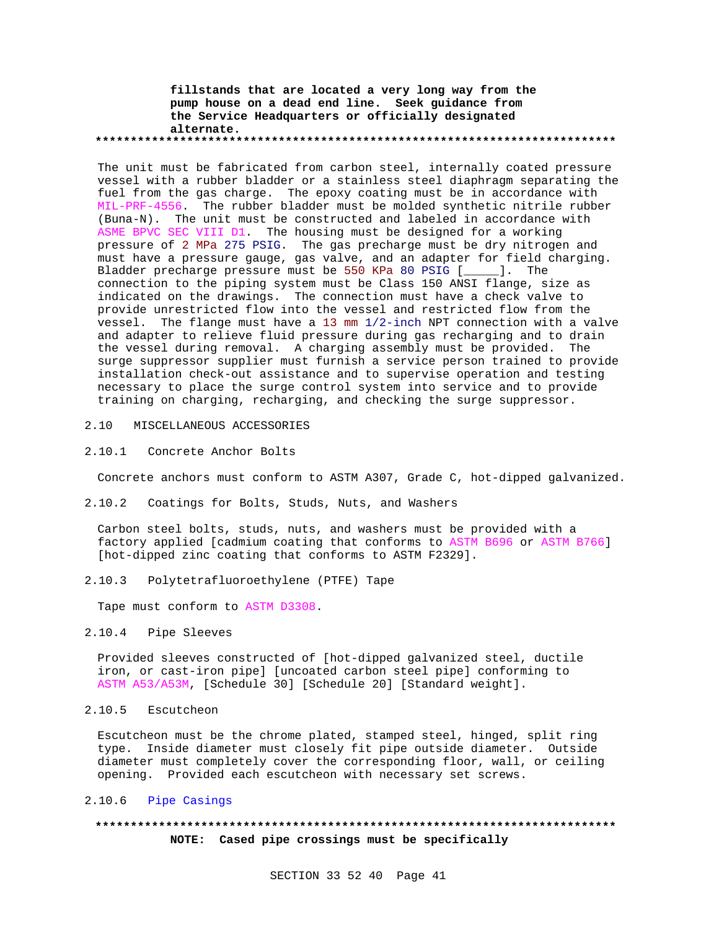#### **fillstands that are located a very long way from the pump house on a dead end line. Seek guidance from the Service Headquarters or officially designated alternate. \*\*\*\*\*\*\*\*\*\*\*\*\*\*\*\*\*\*\*\*\*\*\*\*\*\*\*\*\*\*\*\*\*\*\*\*\*\*\*\*\*\*\*\*\*\*\*\*\*\*\*\*\*\*\*\*\*\*\*\*\*\*\*\*\*\*\*\*\*\*\*\*\*\***

The unit must be fabricated from carbon steel, internally coated pressure vessel with a rubber bladder or a stainless steel diaphragm separating the fuel from the gas charge. The epoxy coating must be in accordance with MIL-PRF-4556. The rubber bladder must be molded synthetic nitrile rubber (Buna-N). The unit must be constructed and labeled in accordance with ASME BPVC SEC VIII D1. The housing must be designed for a working pressure of 2 MPa 275 PSIG. The gas precharge must be dry nitrogen and must have a pressure gauge, gas valve, and an adapter for field charging. Bladder precharge pressure must be 550 KPa 80 PSIG [\_\_\_\_\_]. The connection to the piping system must be Class 150 ANSI flange, size as indicated on the drawings. The connection must have a check valve to provide unrestricted flow into the vessel and restricted flow from the vessel. The flange must have a 13 mm 1/2-inch NPT connection with a valve and adapter to relieve fluid pressure during gas recharging and to drain the vessel during removal. A charging assembly must be provided. The surge suppressor supplier must furnish a service person trained to provide installation check-out assistance and to supervise operation and testing necessary to place the surge control system into service and to provide training on charging, recharging, and checking the surge suppressor.

### 2.10 MISCELLANEOUS ACCESSORIES

### 2.10.1 Concrete Anchor Bolts

Concrete anchors must conform to ASTM A307, Grade C, hot-dipped galvanized.

#### 2.10.2 Coatings for Bolts, Studs, Nuts, and Washers

Carbon steel bolts, studs, nuts, and washers must be provided with a factory applied [cadmium coating that conforms to ASTM B696 or ASTM B766] [hot-dipped zinc coating that conforms to ASTM F2329].

2.10.3 Polytetrafluoroethylene (PTFE) Tape

Tape must conform to ASTM D3308.

# 2.10.4 Pipe Sleeves

Provided sleeves constructed of [hot-dipped galvanized steel, ductile iron, or cast-iron pipe] [uncoated carbon steel pipe] conforming to ASTM A53/A53M, [Schedule 30] [Schedule 20] [Standard weight].

2.10.5 Escutcheon

Escutcheon must be the chrome plated, stamped steel, hinged, split ring type. Inside diameter must closely fit pipe outside diameter. Outside diameter must completely cover the corresponding floor, wall, or ceiling opening. Provided each escutcheon with necessary set screws.

# 2.10.6 Pipe Casings

# **\*\*\*\*\*\*\*\*\*\*\*\*\*\*\*\*\*\*\*\*\*\*\*\*\*\*\*\*\*\*\*\*\*\*\*\*\*\*\*\*\*\*\*\*\*\*\*\*\*\*\*\*\*\*\*\*\*\*\*\*\*\*\*\*\*\*\*\*\*\*\*\*\*\* NOTE: Cased pipe crossings must be specifically**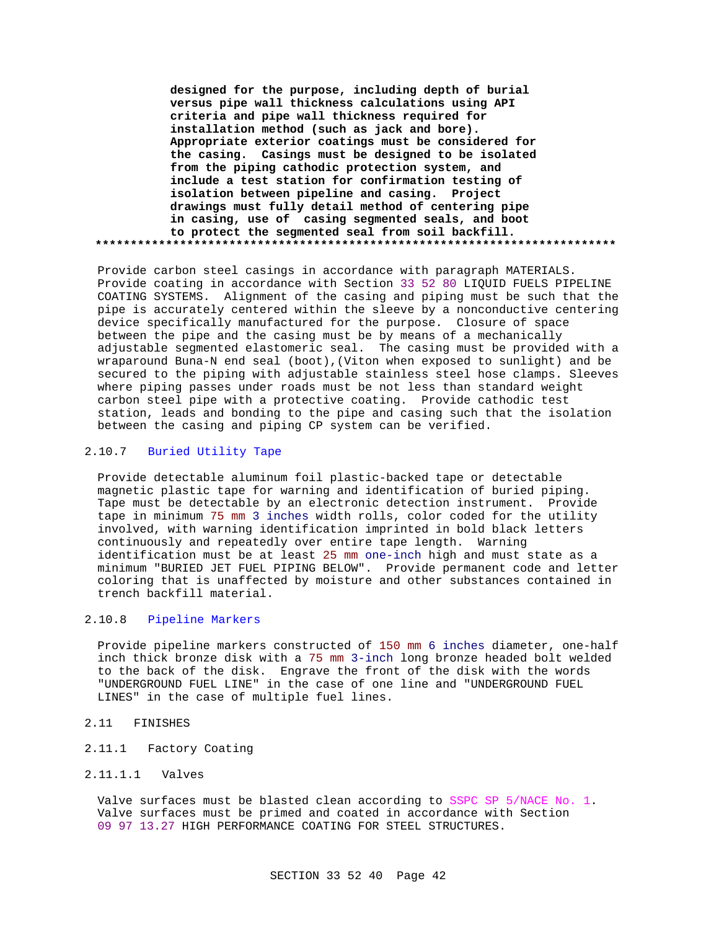**designed for the purpose, including depth of burial versus pipe wall thickness calculations using API criteria and pipe wall thickness required for installation method (such as jack and bore). Appropriate exterior coatings must be considered for the casing. Casings must be designed to be isolated from the piping cathodic protection system, and include a test station for confirmation testing of isolation between pipeline and casing. Project drawings must fully detail method of centering pipe in casing, use of casing segmented seals, and boot to protect the segmented seal from soil backfill. \*\*\*\*\*\*\*\*\*\*\*\*\*\*\*\*\*\*\*\*\*\*\*\*\*\*\*\*\*\*\*\*\*\*\*\*\*\*\*\*\*\*\*\*\*\*\*\*\*\*\*\*\*\*\*\*\*\*\*\*\*\*\*\*\*\*\*\*\*\*\*\*\*\***

Provide carbon steel casings in accordance with paragraph MATERIALS. Provide coating in accordance with Section 33 52 80 LIQUID FUELS PIPELINE COATING SYSTEMS. Alignment of the casing and piping must be such that the pipe is accurately centered within the sleeve by a nonconductive centering device specifically manufactured for the purpose. Closure of space between the pipe and the casing must be by means of a mechanically adjustable segmented elastomeric seal. The casing must be provided with a wraparound Buna-N end seal (boot),(Viton when exposed to sunlight) and be secured to the piping with adjustable stainless steel hose clamps. Sleeves where piping passes under roads must be not less than standard weight carbon steel pipe with a protective coating. Provide cathodic test station, leads and bonding to the pipe and casing such that the isolation between the casing and piping CP system can be verified.

# 2.10.7 Buried Utility Tape

Provide detectable aluminum foil plastic-backed tape or detectable magnetic plastic tape for warning and identification of buried piping. Tape must be detectable by an electronic detection instrument. Provide tape in minimum 75 mm 3 inches width rolls, color coded for the utility involved, with warning identification imprinted in bold black letters continuously and repeatedly over entire tape length. Warning identification must be at least 25 mm one-inch high and must state as a minimum "BURIED JET FUEL PIPING BELOW". Provide permanent code and letter coloring that is unaffected by moisture and other substances contained in trench backfill material.

# 2.10.8 Pipeline Markers

Provide pipeline markers constructed of 150 mm 6 inches diameter, one-half inch thick bronze disk with a 75 mm 3-inch long bronze headed bolt welded to the back of the disk. Engrave the front of the disk with the words "UNDERGROUND FUEL LINE" in the case of one line and "UNDERGROUND FUEL LINES" in the case of multiple fuel lines.

#### 2.11 FINISHES

- 2.11.1 Factory Coating
- 2.11.1.1 Valves

Valve surfaces must be blasted clean according to SSPC SP 5/NACE No. 1. Valve surfaces must be primed and coated in accordance with Section 09 97 13.27 HIGH PERFORMANCE COATING FOR STEEL STRUCTURES.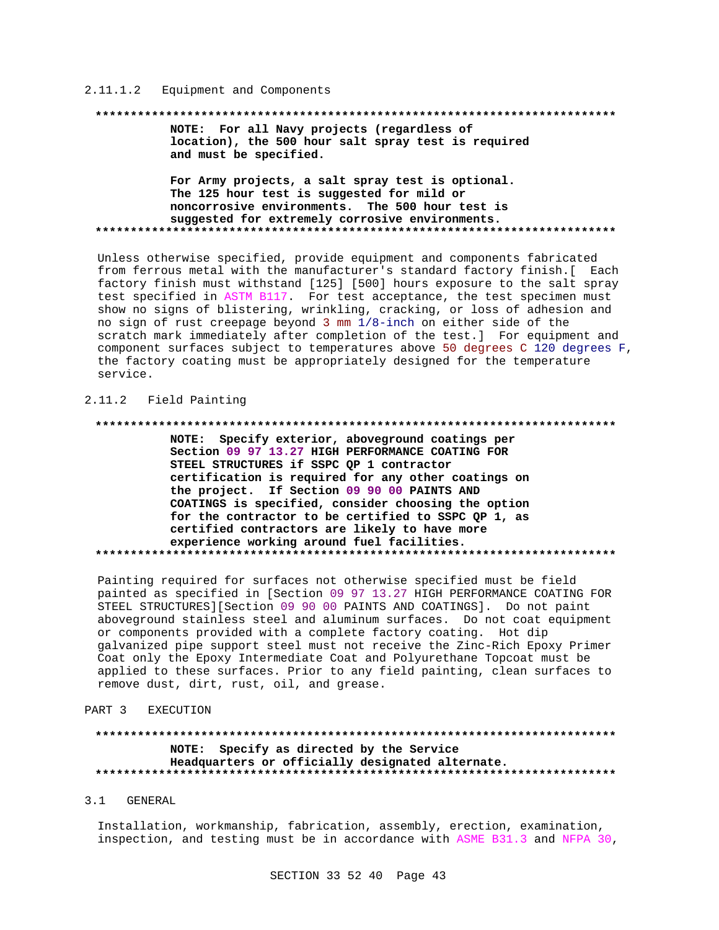#### Equipment and Components  $2.11.1.2$

#### 

NOTE: For all Navy projects (regardless of location), the 500 hour salt spray test is required and must be specified.

For Army projects, a salt spray test is optional. The 125 hour test is suggested for mild or noncorrosive environments. The 500 hour test is suggested for extremely corrosive environments. 

Unless otherwise specified, provide equipment and components fabricated from ferrous metal with the manufacturer's standard factory finish.[ Each factory finish must withstand [125] [500] hours exposure to the salt spray test specified in ASTM B117. For test acceptance, the test specimen must show no signs of blistering, wrinkling, cracking, or loss of adhesion and no sign of rust creepage beyond 3 mm  $1/8$ -inch on either side of the scratch mark immediately after completion of the test.] For equipment and component surfaces subject to temperatures above 50 degrees C 120 degrees F, the factory coating must be appropriately designed for the temperature service.

### 2.11.2 Field Painting

#### \*\*\*\*\*\*\*\*\*\*\*\*\*\*\*\*

NOTE: Specify exterior, aboveground coatings per Section 09 97 13.27 HIGH PERFORMANCE COATING FOR STEEL STRUCTURES if SSPC QP 1 contractor certification is required for any other coatings on the project. If Section 09 90 00 PAINTS AND COATINGS is specified, consider choosing the option for the contractor to be certified to SSPC QP 1, as certified contractors are likely to have more experience working around fuel facilities. 

Painting required for surfaces not otherwise specified must be field painted as specified in [Section 09 97 13.27 HIGH PERFORMANCE COATING FOR STEEL STRUCTURES][Section 09 90 00 PAINTS AND COATINGS]. Do not paint aboveground stainless steel and aluminum surfaces. Do not coat equipment or components provided with a complete factory coating. Hot dip galvanized pipe support steel must not receive the Zinc-Rich Epoxy Primer Coat only the Epoxy Intermediate Coat and Polyurethane Topcoat must be applied to these surfaces. Prior to any field painting, clean surfaces to remove dust, dirt, rust, oil, and grease.

#### PART<sub>3</sub> EXECUTION

#### \*\*\*\*\*\*\*\*\*\*\*\*\*\*\*\*\*\*\*\*\*\*\*\* \*\*\*\*\*\*\*\*\*\*\*\*\*\*\*\*\*\* NOTE: Specify as directed by the Service Headquarters or officially designated alternate.

#### $3.1$ GENERAL

Installation, workmanship, fabrication, assembly, erection, examination, inspection, and testing must be in accordance with ASME B31.3 and NFPA 30,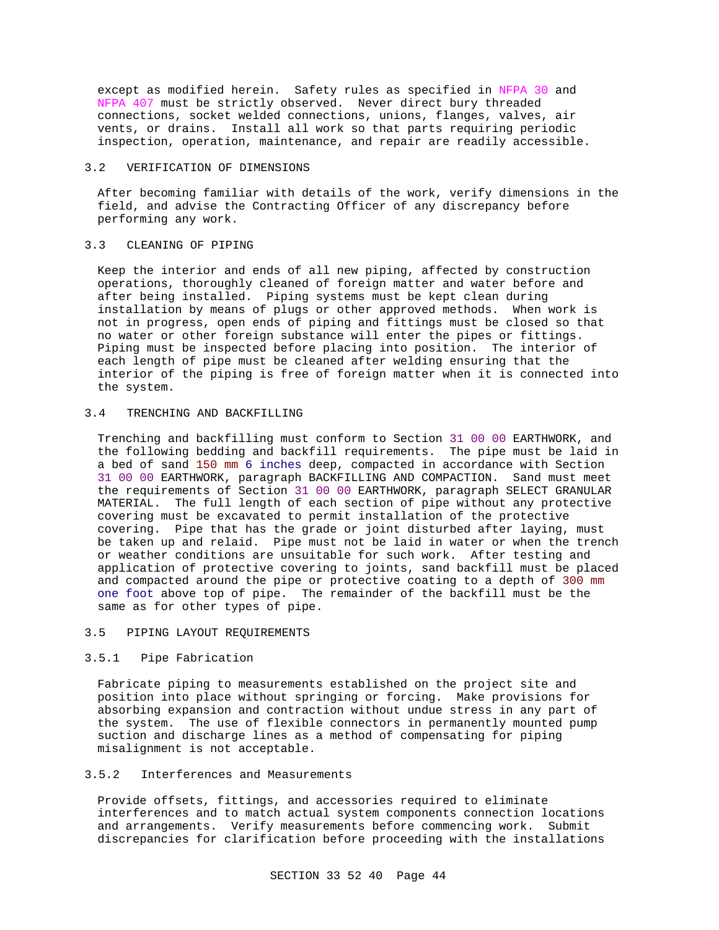except as modified herein. Safety rules as specified in NFPA 30 and NFPA 407 must be strictly observed. Never direct bury threaded connections, socket welded connections, unions, flanges, valves, air vents, or drains. Install all work so that parts requiring periodic inspection, operation, maintenance, and repair are readily accessible.

#### 3.2 VERIFICATION OF DIMENSIONS

After becoming familiar with details of the work, verify dimensions in the field, and advise the Contracting Officer of any discrepancy before performing any work.

#### 3.3 CLEANING OF PIPING

Keep the interior and ends of all new piping, affected by construction operations, thoroughly cleaned of foreign matter and water before and after being installed. Piping systems must be kept clean during installation by means of plugs or other approved methods. When work is not in progress, open ends of piping and fittings must be closed so that no water or other foreign substance will enter the pipes or fittings. Piping must be inspected before placing into position. The interior of each length of pipe must be cleaned after welding ensuring that the interior of the piping is free of foreign matter when it is connected into the system.

# 3.4 TRENCHING AND BACKFILLING

Trenching and backfilling must conform to Section 31 00 00 EARTHWORK, and the following bedding and backfill requirements. The pipe must be laid in a bed of sand 150 mm 6 inches deep, compacted in accordance with Section 31 00 00 EARTHWORK, paragraph BACKFILLING AND COMPACTION. Sand must meet the requirements of Section 31 00 00 EARTHWORK, paragraph SELECT GRANULAR MATERIAL. The full length of each section of pipe without any protective covering must be excavated to permit installation of the protective covering. Pipe that has the grade or joint disturbed after laying, must be taken up and relaid. Pipe must not be laid in water or when the trench or weather conditions are unsuitable for such work. After testing and application of protective covering to joints, sand backfill must be placed and compacted around the pipe or protective coating to a depth of 300 mm one foot above top of pipe. The remainder of the backfill must be the same as for other types of pipe.

#### 3.5 PIPING LAYOUT REQUIREMENTS

# 3.5.1 Pipe Fabrication

Fabricate piping to measurements established on the project site and position into place without springing or forcing. Make provisions for absorbing expansion and contraction without undue stress in any part of the system. The use of flexible connectors in permanently mounted pump suction and discharge lines as a method of compensating for piping misalignment is not acceptable.

# 3.5.2 Interferences and Measurements

Provide offsets, fittings, and accessories required to eliminate interferences and to match actual system components connection locations and arrangements. Verify measurements before commencing work. Submit discrepancies for clarification before proceeding with the installations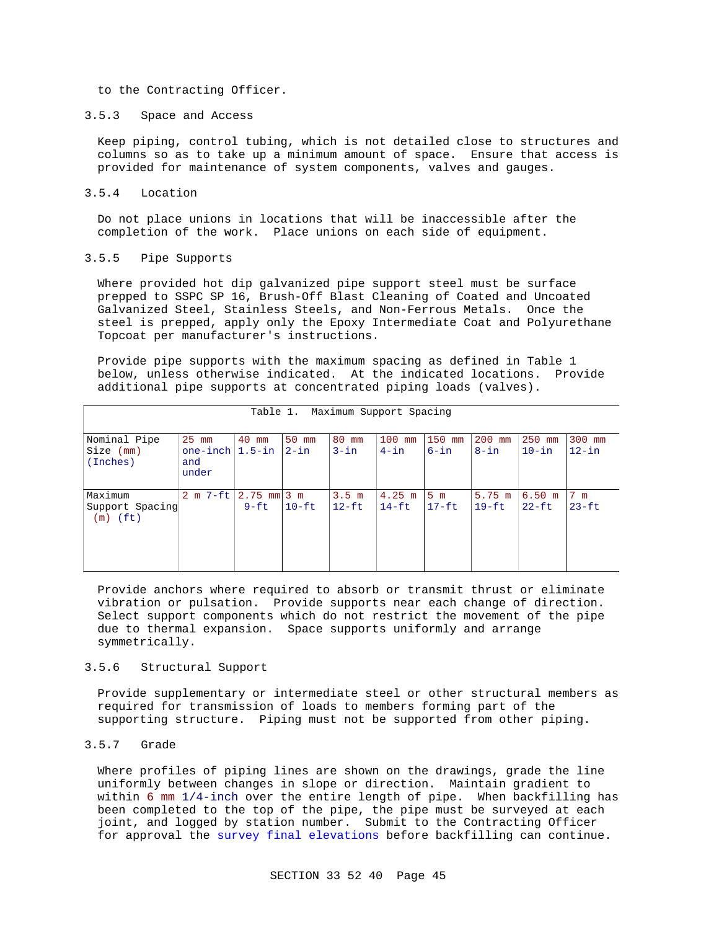to the Contracting Officer.

#### 3.5.3 Space and Access

Keep piping, control tubing, which is not detailed close to structures and columns so as to take up a minimum amount of space. Ensure that access is provided for maintenance of system components, valves and gauges.

#### 3.5.4 Location

Do not place unions in locations that will be inaccessible after the completion of the work. Place unions on each side of equipment.

### 3.5.5 Pipe Supports

Where provided hot dip galvanized pipe support steel must be surface prepped to SSPC SP 16, Brush-Off Blast Cleaning of Coated and Uncoated Galvanized Steel, Stainless Steels, and Non-Ferrous Metals. Once the steel is prepped, apply only the Epoxy Intermediate Coat and Polyurethane Topcoat per manufacturer's instructions.

Provide pipe supports with the maximum spacing as defined in Table 1 below, unless otherwise indicated. At the indicated locations. Provide additional pipe supports at concentrated piping loads (valves).

| Maximum Support Spacing<br>Table 1.      |                                               |                           |                   |                             |                      |                           |                             |                       |                          |
|------------------------------------------|-----------------------------------------------|---------------------------|-------------------|-----------------------------|----------------------|---------------------------|-----------------------------|-----------------------|--------------------------|
| Nominal Pipe<br>Size (mm)<br>(Inches)    | $25$ mm<br>one-inch $1.5$ -in<br>and<br>under | 40 mm                     | 50 mm<br>$2 - in$ | 80 mm<br>$3 - in$           | $100$ mm<br>$4 - in$ | 150 mm<br>$6 - in$        | 200 mm<br>$8 - in$          | $250$ mm<br>$10 - in$ | 300 mm<br>$12 - in$      |
| Maximum<br>Support Spacing<br>$(m)$ (ft) | $2 m 7-ft$                                    | $2.75$ mm $3$ m<br>$9-ft$ | $10-ft$           | 3.5 <sub>m</sub><br>$12-Ft$ | $4.25$ m<br>$14-ft$  | 5 <sub>m</sub><br>$17-ft$ | $5.75 \text{ m}$<br>$19-ft$ | 6.50 m<br>$22-ft$     | $7 \text{ m}$<br>$23-ft$ |

Provide anchors where required to absorb or transmit thrust or eliminate vibration or pulsation. Provide supports near each change of direction. Select support components which do not restrict the movement of the pipe due to thermal expansion. Space supports uniformly and arrange symmetrically.

#### 3.5.6 Structural Support

Provide supplementary or intermediate steel or other structural members as required for transmission of loads to members forming part of the supporting structure. Piping must not be supported from other piping.

#### 3.5.7 Grade

Where profiles of piping lines are shown on the drawings, grade the line uniformly between changes in slope or direction. Maintain gradient to within 6 mm 1/4-inch over the entire length of pipe. When backfilling has been completed to the top of the pipe, the pipe must be surveyed at each joint, and logged by station number. Submit to the Contracting Officer for approval the survey final elevations before backfilling can continue.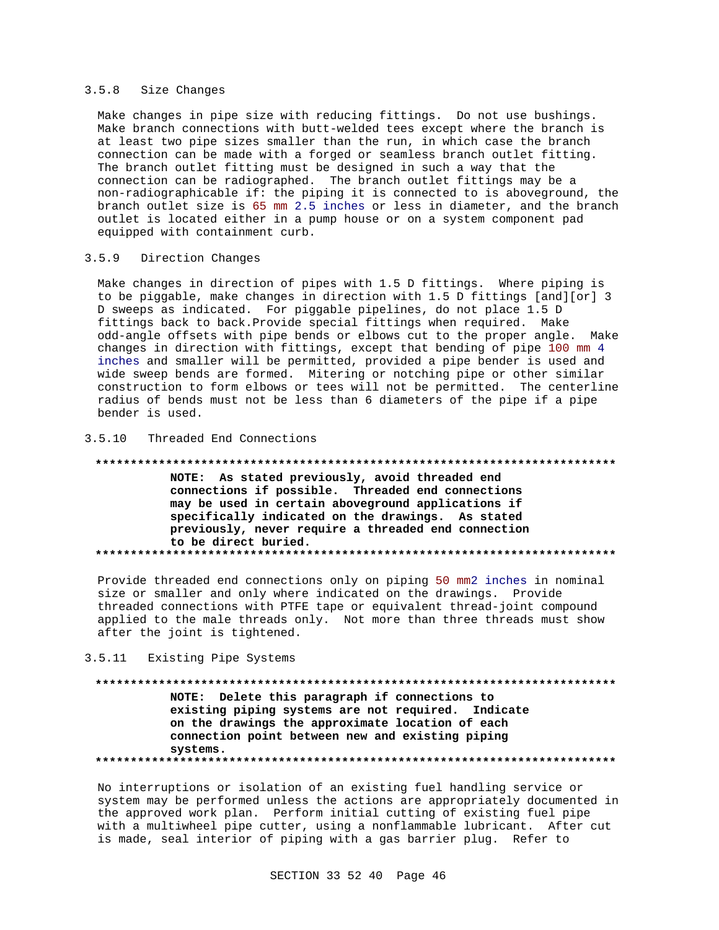### 3.5.8 Size Changes

Make changes in pipe size with reducing fittings. Do not use bushings. Make branch connections with butt-welded tees except where the branch is at least two pipe sizes smaller than the run, in which case the branch connection can be made with a forged or seamless branch outlet fitting. The branch outlet fitting must be designed in such a way that the connection can be radiographed. The branch outlet fittings may be a non-radiographicable if: the piping it is connected to is aboveground, the branch outlet size is 65 mm 2.5 inches or less in diameter, and the branch outlet is located either in a pump house or on a system component pad equipped with containment curb.

#### 3.5.9 Direction Changes

Make changes in direction of pipes with 1.5 D fittings. Where piping is to be piggable, make changes in direction with 1.5 D fittings [and][or] 3 D sweeps as indicated. For piggable pipelines, do not place 1.5 D fittings back to back.Provide special fittings when required. Make odd-angle offsets with pipe bends or elbows cut to the proper angle. Make changes in direction with fittings, except that bending of pipe 100 mm 4 inches and smaller will be permitted, provided a pipe bender is used and wide sweep bends are formed. Mitering or notching pipe or other similar construction to form elbows or tees will not be permitted. The centerline radius of bends must not be less than 6 diameters of the pipe if a pipe bender is used.

# 3.5.10 Threaded End Connections

# **\*\*\*\*\*\*\*\*\*\*\*\*\*\*\*\*\*\*\*\*\*\*\*\*\*\*\*\*\*\*\*\*\*\*\*\*\*\*\*\*\*\*\*\*\*\*\*\*\*\*\*\*\*\*\*\*\*\*\*\*\*\*\*\*\*\*\*\*\*\*\*\*\*\* NOTE: As stated previously, avoid threaded end**

**connections if possible. Threaded end connections may be used in certain aboveground applications if specifically indicated on the drawings. As stated previously, never require a threaded end connection to be direct buried. \*\*\*\*\*\*\*\*\*\*\*\*\*\*\*\*\*\*\*\*\*\*\*\*\*\*\*\*\*\*\*\*\*\*\*\*\*\*\*\*\*\*\*\*\*\*\*\*\*\*\*\*\*\*\*\*\*\*\*\*\*\*\*\*\*\*\*\*\*\*\*\*\*\***

Provide threaded end connections only on piping 50 mm2 inches in nominal size or smaller and only where indicated on the drawings. Provide threaded connections with PTFE tape or equivalent thread-joint compound applied to the male threads only. Not more than three threads must show after the joint is tightened.

#### 3.5.11 Existing Pipe Systems

# **\*\*\*\*\*\*\*\*\*\*\*\*\*\*\*\*\*\*\*\*\*\*\*\*\*\*\*\*\*\*\*\*\*\*\*\*\*\*\*\*\*\*\*\*\*\*\*\*\*\*\*\*\*\*\*\*\*\*\*\*\*\*\*\*\*\*\*\*\*\*\*\*\*\* NOTE: Delete this paragraph if connections to existing piping systems are not required. Indicate on the drawings the approximate location of each connection point between new and existing piping systems. \*\*\*\*\*\*\*\*\*\*\*\*\*\*\*\*\*\*\*\*\*\*\*\*\*\*\*\*\*\*\*\*\*\*\*\*\*\*\*\*\*\*\*\*\*\*\*\*\*\*\*\*\*\*\*\*\*\*\*\*\*\*\*\*\*\*\*\*\*\*\*\*\*\***

No interruptions or isolation of an existing fuel handling service or system may be performed unless the actions are appropriately documented in the approved work plan. Perform initial cutting of existing fuel pipe with a multiwheel pipe cutter, using a nonflammable lubricant. After cut is made, seal interior of piping with a gas barrier plug. Refer to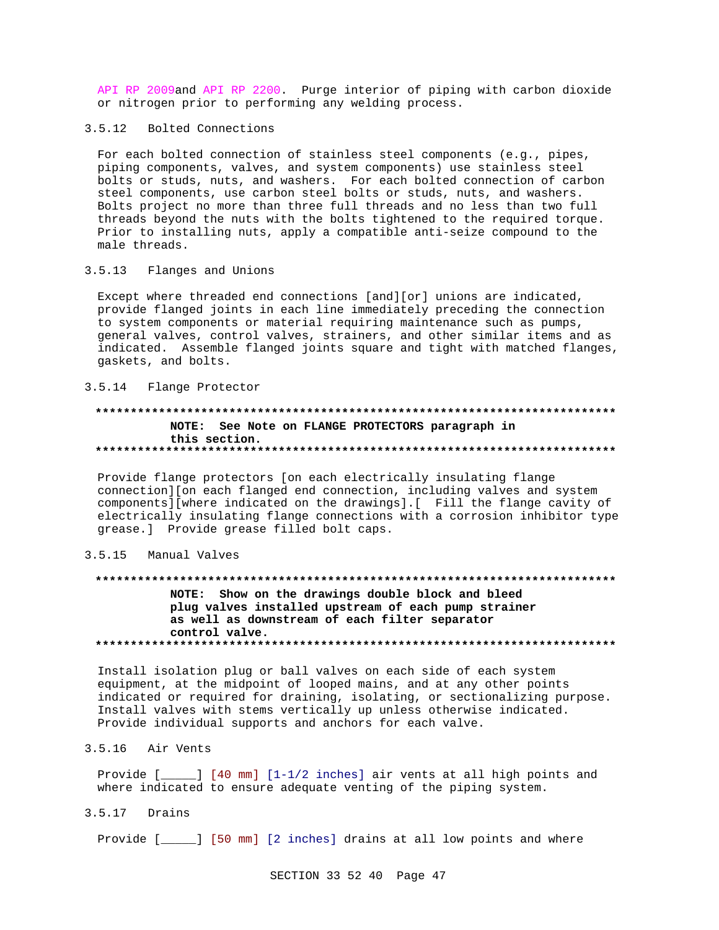API RP 2009and API RP 2200. Purge interior of piping with carbon dioxide or nitrogen prior to performing any welding process.

# 3.5.12 Bolted Connections

For each bolted connection of stainless steel components (e.g., pipes, piping components, valves, and system components) use stainless steel bolts or studs, nuts, and washers. For each bolted connection of carbon steel components, use carbon steel bolts or studs, nuts, and washers. Bolts project no more than three full threads and no less than two full threads beyond the nuts with the bolts tightened to the required torque. Prior to installing nuts, apply a compatible anti-seize compound to the male threads.

#### $3.5.13$ Flanges and Unions

Except where threaded end connections [and][or] unions are indicated, provide flanged joints in each line immediately preceding the connection to system components or material requiring maintenance such as pumps, general valves, control valves, strainers, and other similar items and as indicated. Assemble flanged joints square and tight with matched flanges, gaskets, and bolts.

# 3.5.14 Flange Protector

# NOTE: See Note on FLANGE PROTECTORS paragraph in this section.

Provide flange protectors [on each electrically insulating flange connection][on each flanged end connection, including valves and system components][where indicated on the drawings].[ Fill the flange cavity of electrically insulating flange connections with a corrosion inhibitor type grease.] Provide grease filled bolt caps.

#### $3.5.15$ Manual Valves

# NOTE: Show on the drawings double block and bleed plug valves installed upstream of each pump strainer as well as downstream of each filter separator control valve.

Install isolation plug or ball valves on each side of each system equipment, at the midpoint of looped mains, and at any other points indicated or required for draining, isolating, or sectionalizing purpose. Install valves with stems vertically up unless otherwise indicated. Provide individual supports and anchors for each valve.

# 3.5.16 Air Vents

Provide  $[\_$  [40 mm]  $[1-1/2$  inches] air vents at all high points and where indicated to ensure adequate venting of the piping system.

 $3.5.17$  Drains

Provide [\_\_\_\_] [50 mm] [2 inches] drains at all low points and where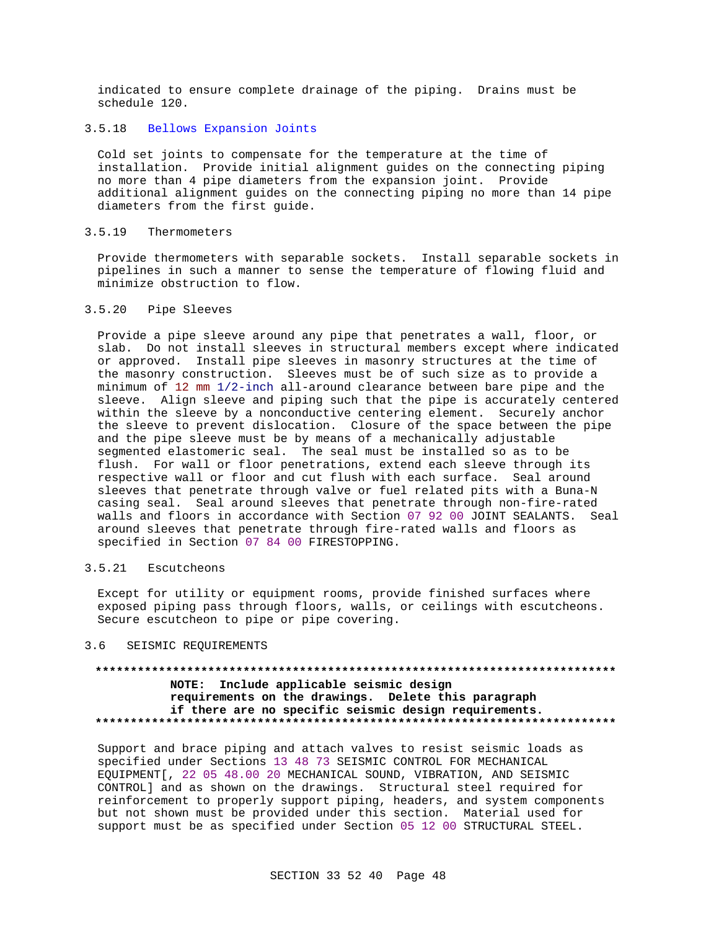indicated to ensure complete drainage of the piping. Drains must be schedule 120.

# 3.5.18 Bellows Expansion Joints

Cold set joints to compensate for the temperature at the time of installation. Provide initial alignment guides on the connecting piping no more than 4 pipe diameters from the expansion joint. Provide additional alignment guides on the connecting piping no more than 14 pipe diameters from the first guide.

### 3.5.19 Thermometers

Provide thermometers with separable sockets. Install separable sockets in pipelines in such a manner to sense the temperature of flowing fluid and minimize obstruction to flow.

### 3.5.20 Pipe Sleeves

Provide a pipe sleeve around any pipe that penetrates a wall, floor, or slab. Do not install sleeves in structural members except where indicated or approved. Install pipe sleeves in masonry structures at the time of the masonry construction. Sleeves must be of such size as to provide a minimum of 12 mm 1/2-inch all-around clearance between bare pipe and the sleeve. Align sleeve and piping such that the pipe is accurately centered within the sleeve by a nonconductive centering element. Securely anchor the sleeve to prevent dislocation. Closure of the space between the pipe and the pipe sleeve must be by means of a mechanically adjustable segmented elastomeric seal. The seal must be installed so as to be flush. For wall or floor penetrations, extend each sleeve through its respective wall or floor and cut flush with each surface. Seal around sleeves that penetrate through valve or fuel related pits with a Buna-N casing seal. Seal around sleeves that penetrate through non-fire-rated walls and floors in accordance with Section 07 92 00 JOINT SEALANTS. Seal around sleeves that penetrate through fire-rated walls and floors as specified in Section 07 84 00 FIRESTOPPING.

# 3.5.21 Escutcheons

Except for utility or equipment rooms, provide finished surfaces where exposed piping pass through floors, walls, or ceilings with escutcheons. Secure escutcheon to pipe or pipe covering.

#### 3.6 SEISMIC REQUIREMENTS

# **\*\*\*\*\*\*\*\*\*\*\*\*\*\*\*\*\*\*\*\*\*\*\*\*\*\*\*\*\*\*\*\*\*\*\*\*\*\*\*\*\*\*\*\*\*\*\*\*\*\*\*\*\*\*\*\*\*\*\*\*\*\*\*\*\*\*\*\*\*\*\*\*\*\* NOTE: Include applicable seismic design requirements on the drawings. Delete this paragraph if there are no specific seismic design requirements. \*\*\*\*\*\*\*\*\*\*\*\*\*\*\*\*\*\*\*\*\*\*\*\*\*\*\*\*\*\*\*\*\*\*\*\*\*\*\*\*\*\*\*\*\*\*\*\*\*\*\*\*\*\*\*\*\*\*\*\*\*\*\*\*\*\*\*\*\*\*\*\*\*\***

Support and brace piping and attach valves to resist seismic loads as specified under Sections 13 48 73 SEISMIC CONTROL FOR MECHANICAL EQUIPMENT[, 22 05 48.00 20 MECHANICAL SOUND, VIBRATION, AND SEISMIC CONTROL] and as shown on the drawings. Structural steel required for reinforcement to properly support piping, headers, and system components but not shown must be provided under this section. Material used for support must be as specified under Section 05 12 00 STRUCTURAL STEEL.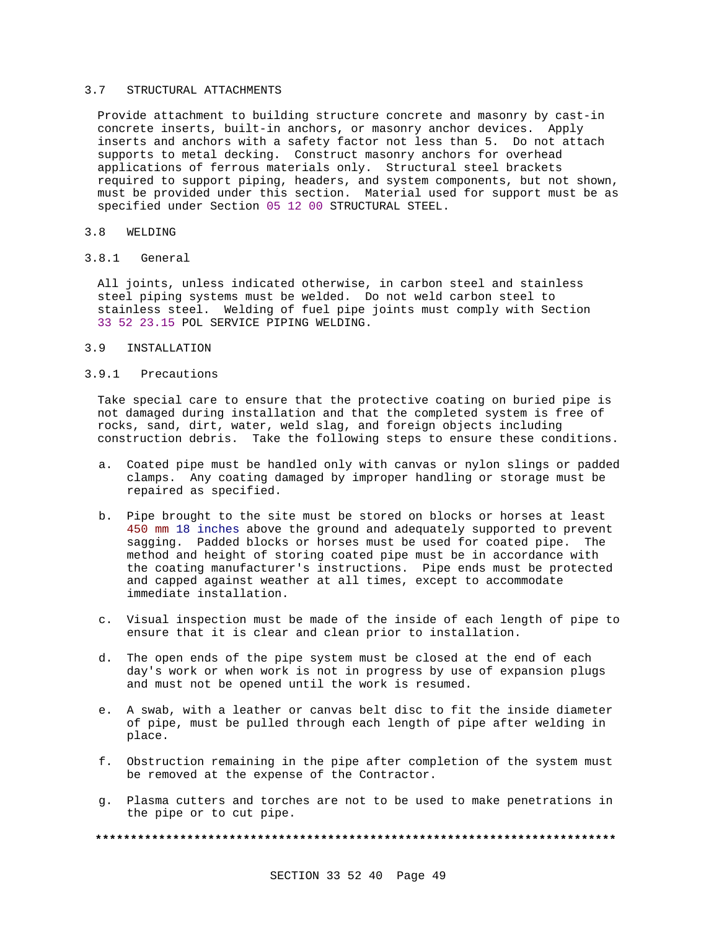#### 3.7 STRUCTURAL ATTACHMENTS

Provide attachment to building structure concrete and masonry by cast-in concrete inserts, built-in anchors, or masonry anchor devices. Apply inserts and anchors with a safety factor not less than 5. Do not attach supports to metal decking. Construct masonry anchors for overhead applications of ferrous materials only. Structural steel brackets required to support piping, headers, and system components, but not shown, must be provided under this section. Material used for support must be as specified under Section 05 12 00 STRUCTURAL STEEL.

#### 3.8 WELDING

3.8.1 General

All joints, unless indicated otherwise, in carbon steel and stainless steel piping systems must be welded. Do not weld carbon steel to stainless steel. Welding of fuel pipe joints must comply with Section 33 52 23.15 POL SERVICE PIPING WELDING.

### 3.9 INSTALLATION

#### 3.9.1 Precautions

Take special care to ensure that the protective coating on buried pipe is not damaged during installation and that the completed system is free of rocks, sand, dirt, water, weld slag, and foreign objects including construction debris. Take the following steps to ensure these conditions.

- a. Coated pipe must be handled only with canvas or nylon slings or padded clamps. Any coating damaged by improper handling or storage must be repaired as specified.
- b. Pipe brought to the site must be stored on blocks or horses at least 450 mm 18 inches above the ground and adequately supported to prevent sagging. Padded blocks or horses must be used for coated pipe. The method and height of storing coated pipe must be in accordance with the coating manufacturer's instructions. Pipe ends must be protected and capped against weather at all times, except to accommodate immediate installation.
- c. Visual inspection must be made of the inside of each length of pipe to ensure that it is clear and clean prior to installation.
- d. The open ends of the pipe system must be closed at the end of each day's work or when work is not in progress by use of expansion plugs and must not be opened until the work is resumed.
- e. A swab, with a leather or canvas belt disc to fit the inside diameter of pipe, must be pulled through each length of pipe after welding in place.
- f. Obstruction remaining in the pipe after completion of the system must be removed at the expense of the Contractor.
- g. Plasma cutters and torches are not to be used to make penetrations in the pipe or to cut pipe.

**\*\*\*\*\*\*\*\*\*\*\*\*\*\*\*\*\*\*\*\*\*\*\*\*\*\*\*\*\*\*\*\*\*\*\*\*\*\*\*\*\*\*\*\*\*\*\*\*\*\*\*\*\*\*\*\*\*\*\*\*\*\*\*\*\*\*\*\*\*\*\*\*\*\***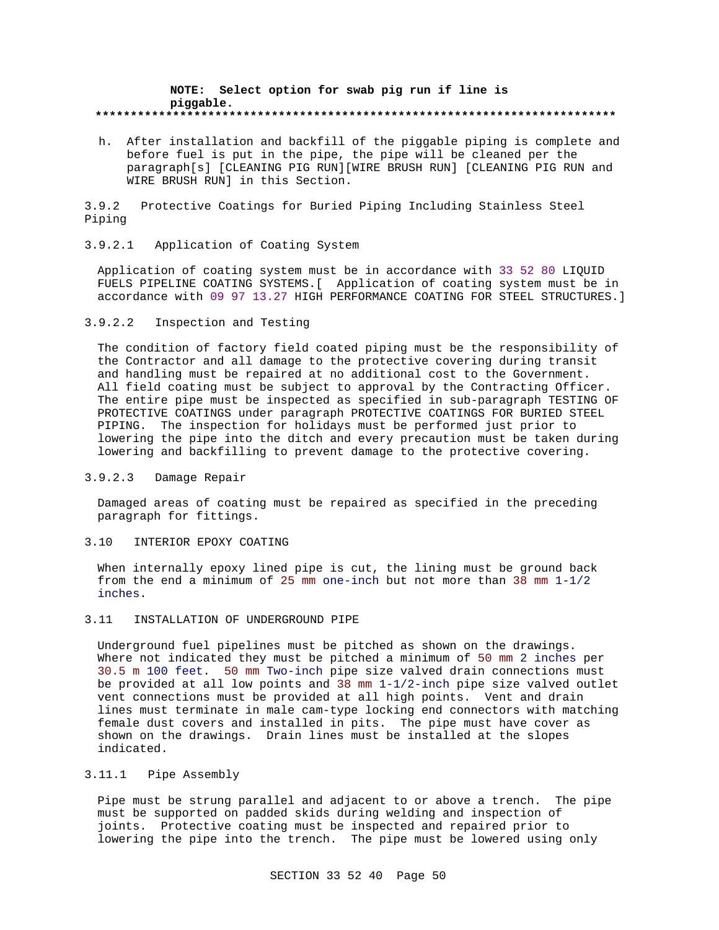#### **NOTE: Select option for swab pig run if line is piggable. \*\*\*\*\*\*\*\*\*\*\*\*\*\*\*\*\*\*\*\*\*\*\*\*\*\*\*\*\*\*\*\*\*\*\*\*\*\*\*\*\*\*\*\*\*\*\*\*\*\*\*\*\*\*\*\*\*\*\*\*\*\*\*\*\*\*\*\*\*\*\*\*\*\***

h. After installation and backfill of the piggable piping is complete and before fuel is put in the pipe, the pipe will be cleaned per the paragraph[s] [CLEANING PIG RUN][WIRE BRUSH RUN] [CLEANING PIG RUN and WIRE BRUSH RUN] in this Section.

3.9.2 Protective Coatings for Buried Piping Including Stainless Steel Piping

#### 3.9.2.1 Application of Coating System

Application of coating system must be in accordance with 33 52 80 LIQUID FUELS PIPELINE COATING SYSTEMS.[ Application of coating system must be in accordance with 09 97 13.27 HIGH PERFORMANCE COATING FOR STEEL STRUCTURES.]

# 3.9.2.2 Inspection and Testing

The condition of factory field coated piping must be the responsibility of the Contractor and all damage to the protective covering during transit and handling must be repaired at no additional cost to the Government. All field coating must be subject to approval by the Contracting Officer. The entire pipe must be inspected as specified in sub-paragraph TESTING OF PROTECTIVE COATINGS under paragraph PROTECTIVE COATINGS FOR BURIED STEEL PIPING. The inspection for holidays must be performed just prior to lowering the pipe into the ditch and every precaution must be taken during lowering and backfilling to prevent damage to the protective covering.

### 3.9.2.3 Damage Repair

Damaged areas of coating must be repaired as specified in the preceding paragraph for fittings.

#### 3.10 INTERIOR EPOXY COATING

When internally epoxy lined pipe is cut, the lining must be ground back from the end a minimum of 25 mm one-inch but not more than 38 mm 1-1/2 inches.

#### 3.11 INSTALLATION OF UNDERGROUND PIPE

Underground fuel pipelines must be pitched as shown on the drawings. Where not indicated they must be pitched a minimum of 50 mm 2 inches per 30.5 m 100 feet. 50 mm Two-inch pipe size valved drain connections must be provided at all low points and 38 mm 1-1/2-inch pipe size valved outlet vent connections must be provided at all high points. Vent and drain lines must terminate in male cam-type locking end connectors with matching female dust covers and installed in pits. The pipe must have cover as shown on the drawings. Drain lines must be installed at the slopes indicated.

#### 3.11.1 Pipe Assembly

Pipe must be strung parallel and adjacent to or above a trench. The pipe must be supported on padded skids during welding and inspection of joints. Protective coating must be inspected and repaired prior to lowering the pipe into the trench. The pipe must be lowered using only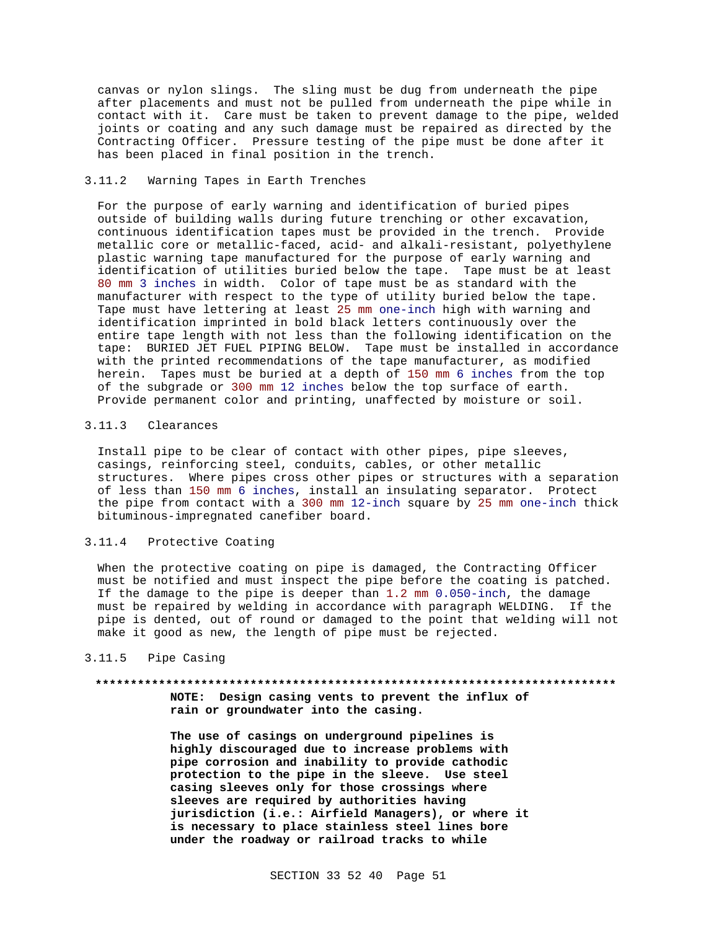canvas or nylon slings. The sling must be dug from underneath the pipe after placements and must not be pulled from underneath the pipe while in contact with it. Care must be taken to prevent damage to the pipe, welded joints or coating and any such damage must be repaired as directed by the Contracting Officer. Pressure testing of the pipe must be done after it has been placed in final position in the trench.

### 3.11.2 Warning Tapes in Earth Trenches

For the purpose of early warning and identification of buried pipes outside of building walls during future trenching or other excavation, continuous identification tapes must be provided in the trench. Provide metallic core or metallic-faced, acid- and alkali-resistant, polyethylene plastic warning tape manufactured for the purpose of early warning and identification of utilities buried below the tape. Tape must be at least 80 mm 3 inches in width. Color of tape must be as standard with the manufacturer with respect to the type of utility buried below the tape. Tape must have lettering at least 25 mm one-inch high with warning and identification imprinted in bold black letters continuously over the entire tape length with not less than the following identification on the tape: BURIED JET FUEL PIPING BELOW. Tape must be installed in accordance with the printed recommendations of the tape manufacturer, as modified herein. Tapes must be buried at a depth of 150 mm 6 inches from the top of the subgrade or 300 mm 12 inches below the top surface of earth. Provide permanent color and printing, unaffected by moisture or soil.

#### 3.11.3 Clearances

Install pipe to be clear of contact with other pipes, pipe sleeves, casings, reinforcing steel, conduits, cables, or other metallic structures. Where pipes cross other pipes or structures with a separation of less than 150 mm 6 inches, install an insulating separator. Protect the pipe from contact with a 300 mm 12-inch square by 25 mm one-inch thick bituminous-impregnated canefiber board.

# 3.11.4 Protective Coating

When the protective coating on pipe is damaged, the Contracting Officer must be notified and must inspect the pipe before the coating is patched. If the damage to the pipe is deeper than 1.2 mm 0.050-inch, the damage must be repaired by welding in accordance with paragraph WELDING. If the pipe is dented, out of round or damaged to the point that welding will not make it good as new, the length of pipe must be rejected.

# 3.11.5 Pipe Casing

# **\*\*\*\*\*\*\*\*\*\*\*\*\*\*\*\*\*\*\*\*\*\*\*\*\*\*\*\*\*\*\*\*\*\*\*\*\*\*\*\*\*\*\*\*\*\*\*\*\*\*\*\*\*\*\*\*\*\*\*\*\*\*\*\*\*\*\*\*\*\*\*\*\*\* NOTE: Design casing vents to prevent the influx of rain or groundwater into the casing.**

**The use of casings on underground pipelines is highly discouraged due to increase problems with pipe corrosion and inability to provide cathodic protection to the pipe in the sleeve. Use steel casing sleeves only for those crossings where sleeves are required by authorities having jurisdiction (i.e.: Airfield Managers), or where it is necessary to place stainless steel lines bore under the roadway or railroad tracks to while**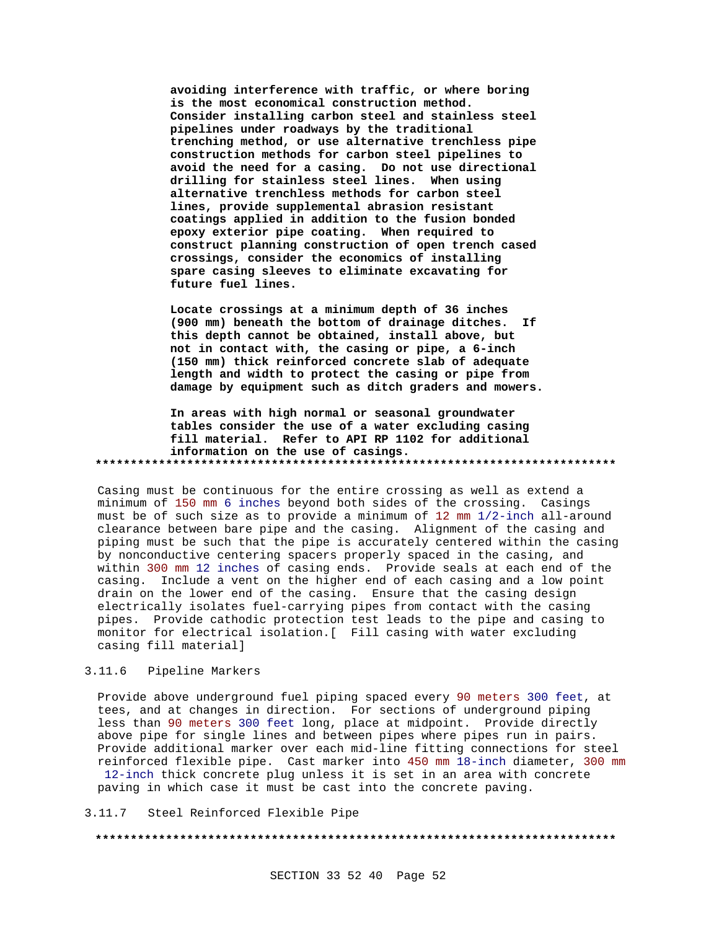**avoiding interference with traffic, or where boring is the most economical construction method. Consider installing carbon steel and stainless steel pipelines under roadways by the traditional trenching method, or use alternative trenchless pipe construction methods for carbon steel pipelines to avoid the need for a casing. Do not use directional drilling for stainless steel lines. When using alternative trenchless methods for carbon steel lines, provide supplemental abrasion resistant coatings applied in addition to the fusion bonded epoxy exterior pipe coating. When required to construct planning construction of open trench cased crossings, consider the economics of installing spare casing sleeves to eliminate excavating for future fuel lines.**

**Locate crossings at a minimum depth of 36 inches (900 mm) beneath the bottom of drainage ditches. If this depth cannot be obtained, install above, but not in contact with, the casing or pipe, a 6-inch (150 mm) thick reinforced concrete slab of adequate length and width to protect the casing or pipe from damage by equipment such as ditch graders and mowers.**

**In areas with high normal or seasonal groundwater tables consider the use of a water excluding casing fill material. Refer to API RP 1102 for additional information on the use of casings. \*\*\*\*\*\*\*\*\*\*\*\*\*\*\*\*\*\*\*\*\*\*\*\*\*\*\*\*\*\*\*\*\*\*\*\*\*\*\*\*\*\*\*\*\*\*\*\*\*\*\*\*\*\*\*\*\*\*\*\*\*\*\*\*\*\*\*\*\*\*\*\*\*\***

Casing must be continuous for the entire crossing as well as extend a minimum of 150 mm 6 inches beyond both sides of the crossing. Casings must be of such size as to provide a minimum of 12 mm 1/2-inch all-around clearance between bare pipe and the casing. Alignment of the casing and piping must be such that the pipe is accurately centered within the casing by nonconductive centering spacers properly spaced in the casing, and within 300 mm 12 inches of casing ends. Provide seals at each end of the casing. Include a vent on the higher end of each casing and a low point drain on the lower end of the casing. Ensure that the casing design electrically isolates fuel-carrying pipes from contact with the casing pipes. Provide cathodic protection test leads to the pipe and casing to monitor for electrical isolation.[ Fill casing with water excluding casing fill material]

#### 3.11.6 Pipeline Markers

Provide above underground fuel piping spaced every 90 meters 300 feet, at tees, and at changes in direction. For sections of underground piping less than 90 meters 300 feet long, place at midpoint. Provide directly above pipe for single lines and between pipes where pipes run in pairs. Provide additional marker over each mid-line fitting connections for steel reinforced flexible pipe. Cast marker into 450 mm 18-inch diameter, 300 mm 12-inch thick concrete plug unless it is set in an area with concrete paving in which case it must be cast into the concrete paving.

3.11.7 Steel Reinforced Flexible Pipe

#### **\*\*\*\*\*\*\*\*\*\*\*\*\*\*\*\*\*\*\*\*\*\*\*\*\*\*\*\*\*\*\*\*\*\*\*\*\*\*\*\*\*\*\*\*\*\*\*\*\*\*\*\*\*\*\*\*\*\*\*\*\*\*\*\*\*\*\*\*\*\*\*\*\*\***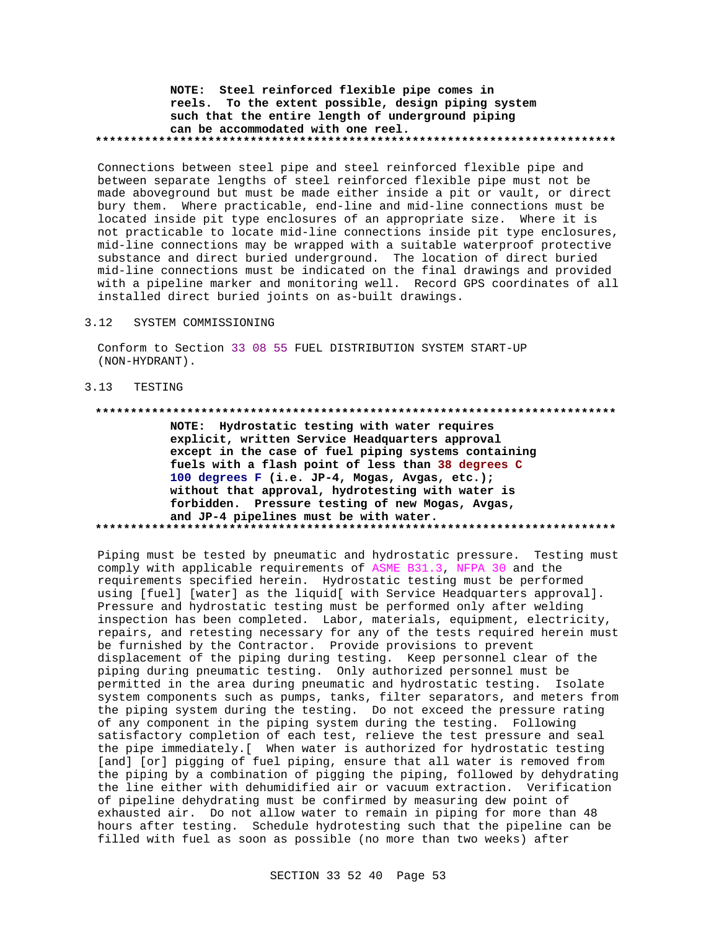# **NOTE: Steel reinforced flexible pipe comes in reels. To the extent possible, design piping system such that the entire length of underground piping can be accommodated with one reel. \*\*\*\*\*\*\*\*\*\*\*\*\*\*\*\*\*\*\*\*\*\*\*\*\*\*\*\*\*\*\*\*\*\*\*\*\*\*\*\*\*\*\*\*\*\*\*\*\*\*\*\*\*\*\*\*\*\*\*\*\*\*\*\*\*\*\*\*\*\*\*\*\*\***

Connections between steel pipe and steel reinforced flexible pipe and between separate lengths of steel reinforced flexible pipe must not be made aboveground but must be made either inside a pit or vault, or direct bury them. Where practicable, end-line and mid-line connections must be located inside pit type enclosures of an appropriate size. Where it is not practicable to locate mid-line connections inside pit type enclosures, mid-line connections may be wrapped with a suitable waterproof protective substance and direct buried underground. The location of direct buried mid-line connections must be indicated on the final drawings and provided with a pipeline marker and monitoring well. Record GPS coordinates of all installed direct buried joints on as-built drawings.

#### 3.12 SYSTEM COMMISSIONING

Conform to Section 33 08 55 FUEL DISTRIBUTION SYSTEM START-UP (NON-HYDRANT).

### 3.13 TESTING

**\*\*\*\*\*\*\*\*\*\*\*\*\*\*\*\*\*\*\*\*\*\*\*\*\*\*\*\*\*\*\*\*\*\*\*\*\*\*\*\*\*\*\*\*\*\*\*\*\*\*\*\*\*\*\*\*\*\*\*\*\*\*\*\*\*\*\*\*\*\*\*\*\*\***

**NOTE: Hydrostatic testing with water requires explicit, written Service Headquarters approval except in the case of fuel piping systems containing fuels with a flash point of less than 38 degrees C 100 degrees F (i.e. JP-4, Mogas, Avgas, etc.); without that approval, hydrotesting with water is forbidden. Pressure testing of new Mogas, Avgas, and JP-4 pipelines must be with water. \*\*\*\*\*\*\*\*\*\*\*\*\*\*\*\*\*\*\*\*\*\*\*\*\*\*\*\*\*\*\*\*\*\*\*\*\*\*\*\*\*\*\*\*\*\*\*\*\*\*\*\*\*\*\*\*\*\*\*\*\*\*\*\*\*\*\*\*\*\*\*\*\*\***

Piping must be tested by pneumatic and hydrostatic pressure. Testing must comply with applicable requirements of ASME B31.3, NFPA 30 and the requirements specified herein. Hydrostatic testing must be performed using [fuel] [water] as the liquid[ with Service Headquarters approval]. Pressure and hydrostatic testing must be performed only after welding inspection has been completed. Labor, materials, equipment, electricity, repairs, and retesting necessary for any of the tests required herein must be furnished by the Contractor. Provide provisions to prevent displacement of the piping during testing. Keep personnel clear of the piping during pneumatic testing. Only authorized personnel must be permitted in the area during pneumatic and hydrostatic testing. Isolate system components such as pumps, tanks, filter separators, and meters from the piping system during the testing. Do not exceed the pressure rating of any component in the piping system during the testing. Following satisfactory completion of each test, relieve the test pressure and seal the pipe immediately.[ When water is authorized for hydrostatic testing [and] [or] pigging of fuel piping, ensure that all water is removed from the piping by a combination of pigging the piping, followed by dehydrating the line either with dehumidified air or vacuum extraction. Verification of pipeline dehydrating must be confirmed by measuring dew point of exhausted air. Do not allow water to remain in piping for more than 48 hours after testing. Schedule hydrotesting such that the pipeline can be filled with fuel as soon as possible (no more than two weeks) after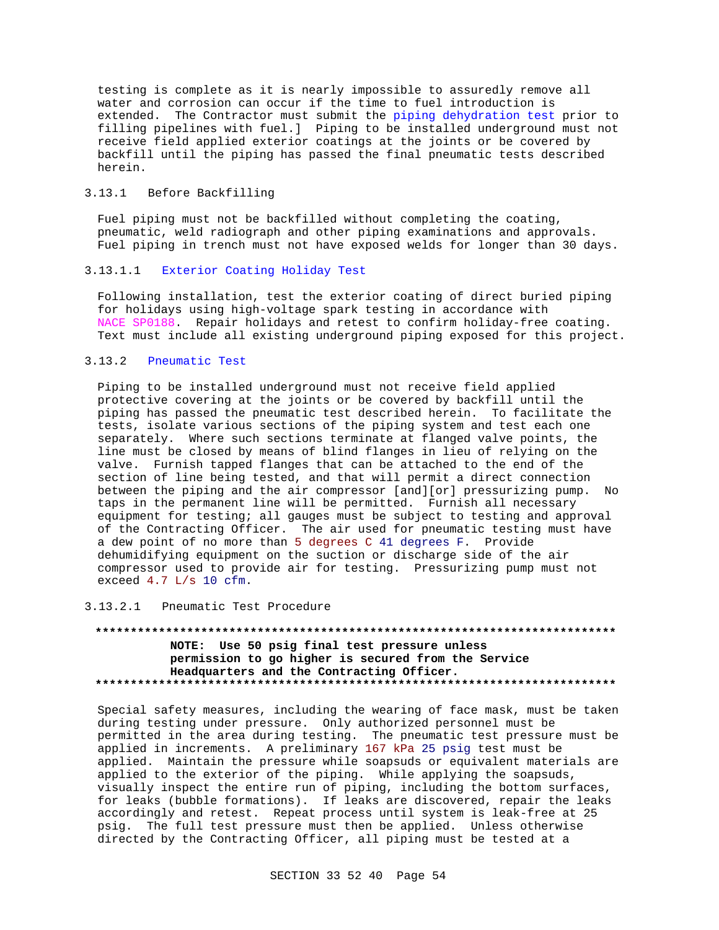testing is complete as it is nearly impossible to assuredly remove all water and corrosion can occur if the time to fuel introduction is extended. The Contractor must submit the piping dehydration test prior to filling pipelines with fuel.] Piping to be installed underground must not receive field applied exterior coatings at the joints or be covered by backfill until the piping has passed the final pneumatic tests described herein.

# 3.13.1 Before Backfilling

Fuel piping must not be backfilled without completing the coating, pneumatic, weld radiograph and other piping examinations and approvals. Fuel piping in trench must not have exposed welds for longer than 30 days.

# 3.13.1.1 Exterior Coating Holiday Test

Following installation, test the exterior coating of direct buried piping for holidays using high-voltage spark testing in accordance with NACE SP0188. Repair holidays and retest to confirm holiday-free coating. Text must include all existing underground piping exposed for this project.

#### 3.13.2 Pneumatic Test

Piping to be installed underground must not receive field applied protective covering at the joints or be covered by backfill until the piping has passed the pneumatic test described herein. To facilitate the tests, isolate various sections of the piping system and test each one separately. Where such sections terminate at flanged valve points, the line must be closed by means of blind flanges in lieu of relying on the valve. Furnish tapped flanges that can be attached to the end of the section of line being tested, and that will permit a direct connection between the piping and the air compressor [and][or] pressurizing pump. No taps in the permanent line will be permitted. Furnish all necessary equipment for testing; all gauges must be subject to testing and approval of the Contracting Officer. The air used for pneumatic testing must have a dew point of no more than 5 degrees C 41 degrees F. Provide dehumidifying equipment on the suction or discharge side of the air compressor used to provide air for testing. Pressurizing pump must not exceed 4.7 L/s 10 cfm.

3.13.2.1 Pneumatic Test Procedure

# **\*\*\*\*\*\*\*\*\*\*\*\*\*\*\*\*\*\*\*\*\*\*\*\*\*\*\*\*\*\*\*\*\*\*\*\*\*\*\*\*\*\*\*\*\*\*\*\*\*\*\*\*\*\*\*\*\*\*\*\*\*\*\*\*\*\*\*\*\*\*\*\*\*\* NOTE: Use 50 psig final test pressure unless permission to go higher is secured from the Service Headquarters and the Contracting Officer. \*\*\*\*\*\*\*\*\*\*\*\*\*\*\*\*\*\*\*\*\*\*\*\*\*\*\*\*\*\*\*\*\*\*\*\*\*\*\*\*\*\*\*\*\*\*\*\*\*\*\*\*\*\*\*\*\*\*\*\*\*\*\*\*\*\*\*\*\*\*\*\*\*\***

Special safety measures, including the wearing of face mask, must be taken during testing under pressure. Only authorized personnel must be permitted in the area during testing. The pneumatic test pressure must be applied in increments. A preliminary 167 kPa 25 psig test must be applied. Maintain the pressure while soapsuds or equivalent materials are applied to the exterior of the piping. While applying the soapsuds, visually inspect the entire run of piping, including the bottom surfaces, for leaks (bubble formations). If leaks are discovered, repair the leaks accordingly and retest. Repeat process until system is leak-free at 25 psig. The full test pressure must then be applied. Unless otherwise directed by the Contracting Officer, all piping must be tested at a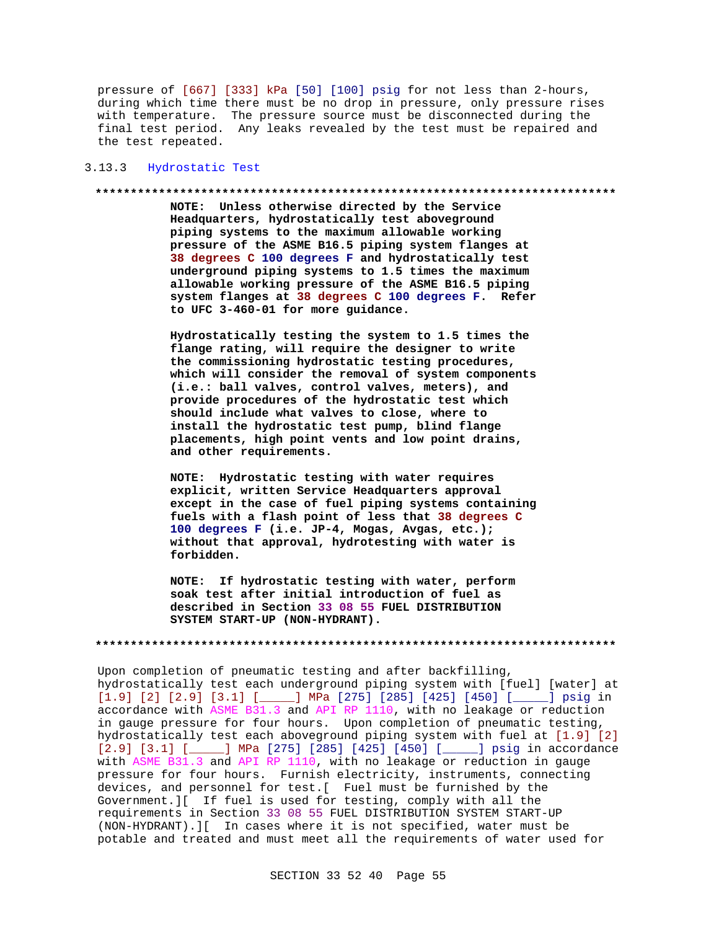pressure of [667] [333] kPa [50] [100] psig for not less than 2-hours, during which time there must be no drop in pressure, only pressure rises with temperature. The pressure source must be disconnected during the final test period. Any leaks revealed by the test must be repaired and the test repeated.

### 3.13.3 Hydrostatic Test

#### **\*\*\*\*\*\*\*\*\*\*\*\*\*\*\*\*\*\*\*\*\*\*\*\*\*\*\*\*\*\*\*\*\*\*\*\*\*\*\*\*\*\*\*\*\*\*\*\*\*\*\*\*\*\*\*\*\*\*\*\*\*\*\*\*\*\*\*\*\*\*\*\*\*\***

**NOTE: Unless otherwise directed by the Service Headquarters, hydrostatically test aboveground piping systems to the maximum allowable working pressure of the ASME B16.5 piping system flanges at 38 degrees C 100 degrees F and hydrostatically test underground piping systems to 1.5 times the maximum allowable working pressure of the ASME B16.5 piping system flanges at 38 degrees C 100 degrees F. Refer to UFC 3-460-01 for more guidance.**

**Hydrostatically testing the system to 1.5 times the flange rating, will require the designer to write the commissioning hydrostatic testing procedures, which will consider the removal of system components (i.e.: ball valves, control valves, meters), and provide procedures of the hydrostatic test which should include what valves to close, where to install the hydrostatic test pump, blind flange placements, high point vents and low point drains, and other requirements.**

**NOTE: Hydrostatic testing with water requires explicit, written Service Headquarters approval except in the case of fuel piping systems containing fuels with a flash point of less that 38 degrees C 100 degrees F (i.e. JP-4, Mogas, Avgas, etc.); without that approval, hydrotesting with water is forbidden.**

**NOTE: If hydrostatic testing with water, perform soak test after initial introduction of fuel as described in Section 33 08 55 FUEL DISTRIBUTION SYSTEM START-UP (NON-HYDRANT).**

#### **\*\*\*\*\*\*\*\*\*\*\*\*\*\*\*\*\*\*\*\*\*\*\*\*\*\*\*\*\*\*\*\*\*\*\*\*\*\*\*\*\*\*\*\*\*\*\*\*\*\*\*\*\*\*\*\*\*\*\*\*\*\*\*\*\*\*\*\*\*\*\*\*\*\***

Upon completion of pneumatic testing and after backfilling, hydrostatically test each underground piping system with [fuel] [water] at [1.9] [2] [2.9] [3.1] [\_\_\_\_\_] MPa [275] [285] [425] [450] [\_\_\_\_\_] psig in accordance with ASME B31.3 and API RP 1110, with no leakage or reduction in gauge pressure for four hours. Upon completion of pneumatic testing, hydrostatically test each aboveground piping system with fuel at [1.9] [2] [2.9] [3.1] [\_\_\_\_\_] MPa [275] [285] [425] [450] [\_\_\_\_\_] psig in accordance with ASME B31.3 and API RP 1110, with no leakage or reduction in gauge pressure for four hours. Furnish electricity, instruments, connecting devices, and personnel for test.[ Fuel must be furnished by the Government.][ If fuel is used for testing, comply with all the requirements in Section 33 08 55 FUEL DISTRIBUTION SYSTEM START-UP (NON-HYDRANT).][ In cases where it is not specified, water must be potable and treated and must meet all the requirements of water used for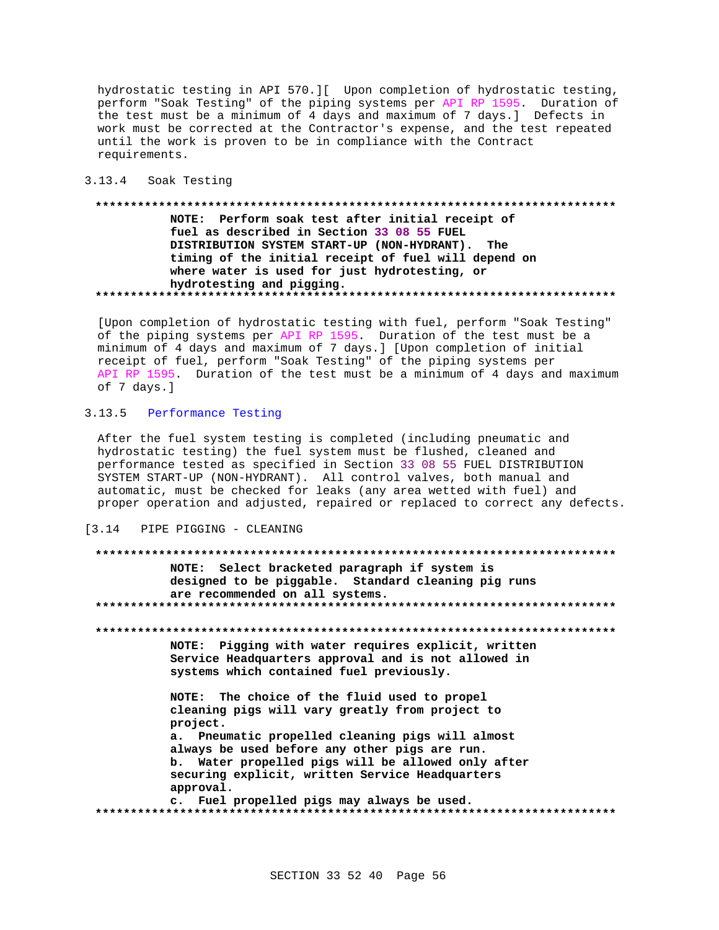hydrostatic testing in API 570.][ Upon completion of hydrostatic testing, perform "Soak Testing" of the piping systems per API RP 1595. Duration of the test must be a minimum of 4 days and maximum of 7 days.] Defects in work must be corrected at the Contractor's expense, and the test repeated until the work is proven to be in compliance with the Contract requirements.

#### 3.13.4 Soak Testing

# NOTE: Perform soak test after initial receipt of fuel as described in Section 33 08 55 FUEL DISTRIBUTION SYSTEM START-UP (NON-HYDRANT). The timing of the initial receipt of fuel will depend on where water is used for just hydrotesting, or hydrotesting and pigging.

[Upon completion of hydrostatic testing with fuel, perform "Soak Testing" of the piping systems per API RP 1595. Duration of the test must be a minimum of 4 days and maximum of 7 days.] [Upon completion of initial receipt of fuel, perform "Soak Testing" of the piping systems per API RP 1595. Duration of the test must be a minimum of 4 days and maximum of 7 days.]

# 3.13.5 Performance Testing

After the fuel system testing is completed (including pneumatic and hydrostatic testing) the fuel system must be flushed, cleaned and performance tested as specified in Section 33 08 55 FUEL DISTRIBUTION SYSTEM START-UP (NON-HYDRANT). All control valves, both manual and automatic, must be checked for leaks (any area wetted with fuel) and proper operation and adjusted, repaired or replaced to correct any defects.

#### $\begin{array}{ccc} \n 1 & 3 & 14 \n \end{array}$ PIPE PIGGING - CLEANING

# NOTE: Select bracketed paragraph if system is designed to be piggable. Standard cleaning pig runs are recommended on all systems. NOTE: Pigging with water requires explicit, written Service Headquarters approval and is not allowed in systems which contained fuel previously. NOTE: The choice of the fluid used to propel cleaning pigs will vary greatly from project to project. a. Pneumatic propelled cleaning pigs will almost always be used before any other pigs are run. b. Water propelled pigs will be allowed only after securing explicit, written Service Headquarters approval. c. Fuel propelled pigs may always be used.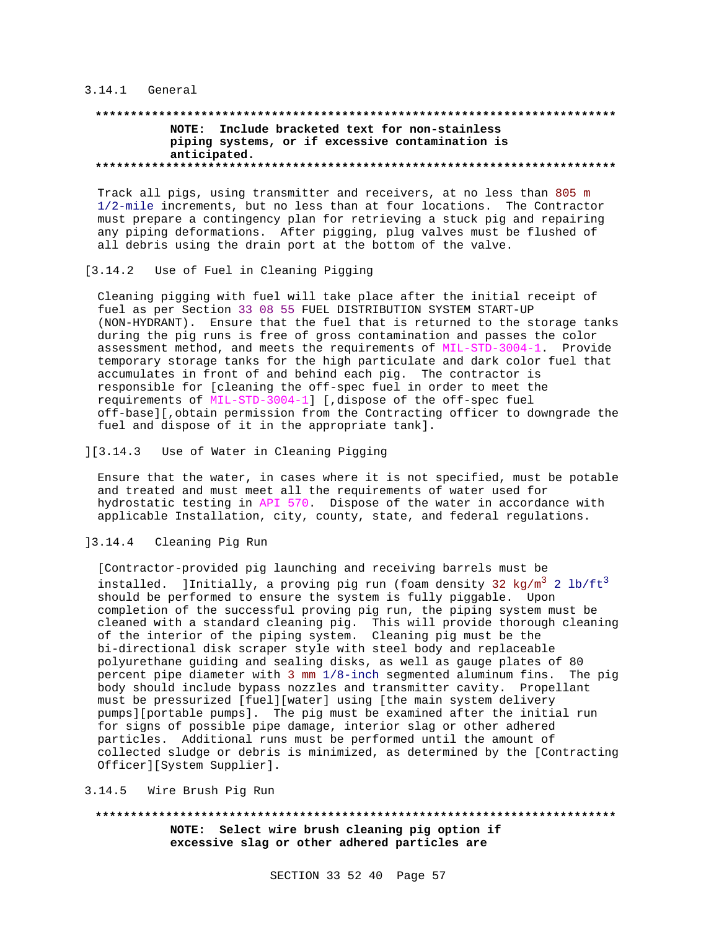#### 3.14.1 General

# **\*\*\*\*\*\*\*\*\*\*\*\*\*\*\*\*\*\*\*\*\*\*\*\*\*\*\*\*\*\*\*\*\*\*\*\*\*\*\*\*\*\*\*\*\*\*\*\*\*\*\*\*\*\*\*\*\*\*\*\*\*\*\*\*\*\*\*\*\*\*\*\*\*\* NOTE: Include bracketed text for non-stainless piping systems, or if excessive contamination is anticipated. \*\*\*\*\*\*\*\*\*\*\*\*\*\*\*\*\*\*\*\*\*\*\*\*\*\*\*\*\*\*\*\*\*\*\*\*\*\*\*\*\*\*\*\*\*\*\*\*\*\*\*\*\*\*\*\*\*\*\*\*\*\*\*\*\*\*\*\*\*\*\*\*\*\***

Track all pigs, using transmitter and receivers, at no less than 805 m 1/2-mile increments, but no less than at four locations. The Contractor must prepare a contingency plan for retrieving a stuck pig and repairing any piping deformations. After pigging, plug valves must be flushed of all debris using the drain port at the bottom of the valve.

# [3.14.2 Use of Fuel in Cleaning Pigging

Cleaning pigging with fuel will take place after the initial receipt of fuel as per Section 33 08 55 FUEL DISTRIBUTION SYSTEM START-UP (NON-HYDRANT). Ensure that the fuel that is returned to the storage tanks during the pig runs is free of gross contamination and passes the color assessment method, and meets the requirements of MIL-STD-3004-1. Provide temporary storage tanks for the high particulate and dark color fuel that accumulates in front of and behind each pig. The contractor is responsible for [cleaning the off-spec fuel in order to meet the requirements of MIL-STD-3004-1] [,dispose of the off-spec fuel off-base][,obtain permission from the Contracting officer to downgrade the fuel and dispose of it in the appropriate tank].

### ][3.14.3 Use of Water in Cleaning Pigging

Ensure that the water, in cases where it is not specified, must be potable and treated and must meet all the requirements of water used for hydrostatic testing in API 570. Dispose of the water in accordance with applicable Installation, city, county, state, and federal regulations.

# ]3.14.4 Cleaning Pig Run

[Contractor-provided pig launching and receiving barrels must be installed. ]Initially, a proving pig run (foam density 32 kg/m<sup>3</sup> 2 lb/ft<sup>3</sup> should be performed to ensure the system is fully piggable. Upon completion of the successful proving pig run, the piping system must be cleaned with a standard cleaning pig. This will provide thorough cleaning of the interior of the piping system. Cleaning pig must be the bi-directional disk scraper style with steel body and replaceable polyurethane guiding and sealing disks, as well as gauge plates of 80 percent pipe diameter with 3 mm 1/8-inch segmented aluminum fins. The pig body should include bypass nozzles and transmitter cavity. Propellant must be pressurized [fuel][water] using [the main system delivery pumps][portable pumps]. The pig must be examined after the initial run for signs of possible pipe damage, interior slag or other adhered particles. Additional runs must be performed until the amount of collected sludge or debris is minimized, as determined by the [Contracting Officer][System Supplier].

#### 3.14.5 Wire Brush Pig Run

# **\*\*\*\*\*\*\*\*\*\*\*\*\*\*\*\*\*\*\*\*\*\*\*\*\*\*\*\*\*\*\*\*\*\*\*\*\*\*\*\*\*\*\*\*\*\*\*\*\*\*\*\*\*\*\*\*\*\*\*\*\*\*\*\*\*\*\*\*\*\*\*\*\*\* NOTE: Select wire brush cleaning pig option if excessive slag or other adhered particles are**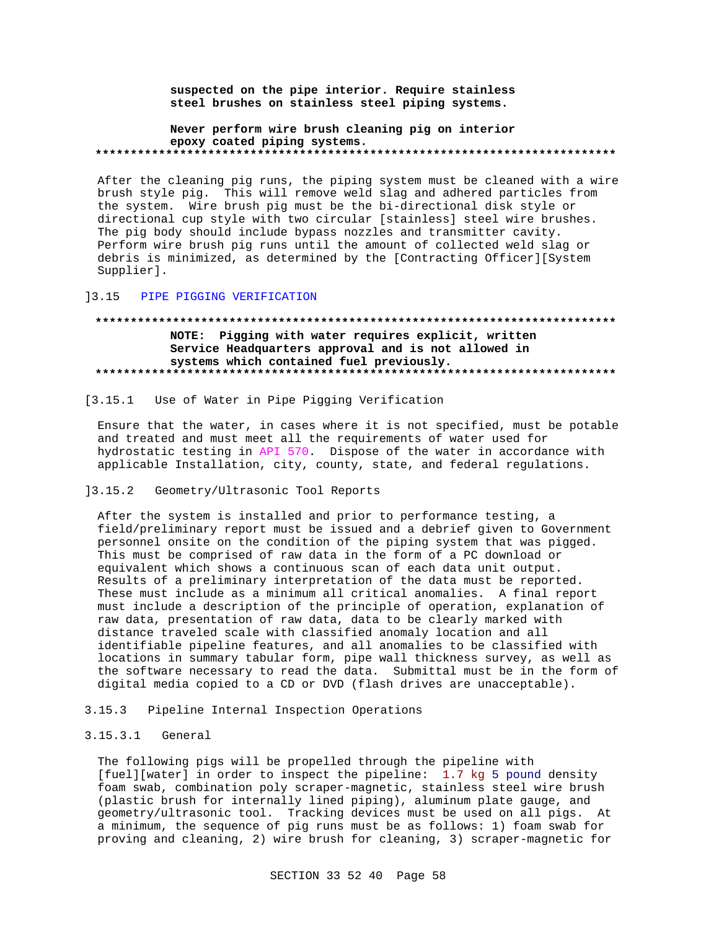suspected on the pipe interior. Require stainless steel brushes on stainless steel piping systems.

#### Never perform wire brush cleaning pig on interior epoxy coated piping systems.

After the cleaning pig runs, the piping system must be cleaned with a wire brush style pig. This will remove weld slag and adhered particles from the system. Wire brush pig must be the bi-directional disk style or directional cup style with two circular [stainless] steel wire brushes. The pig body should include bypass nozzles and transmitter cavity. Perform wire brush pig runs until the amount of collected weld slag or debris is minimized, as determined by the [Contracting Officer][System Supplier].

#### PIPE PIGGING VERIFICATION  $]3.15$

# NOTE: Pigging with water requires explicit, written Service Headquarters approval and is not allowed in systems which contained fuel previously.

 $[3.15.1]$ Use of Water in Pipe Pigging Verification

Ensure that the water, in cases where it is not specified, must be potable and treated and must meet all the requirements of water used for hydrostatic testing in API 570. Dispose of the water in accordance with applicable Installation, city, county, state, and federal regulations.

#### $]3.15.2$ Geometry/Ultrasonic Tool Reports

After the system is installed and prior to performance testing, a field/preliminary report must be issued and a debrief given to Government personnel onsite on the condition of the piping system that was pigged. This must be comprised of raw data in the form of a PC download or equivalent which shows a continuous scan of each data unit output. Results of a preliminary interpretation of the data must be reported. These must include as a minimum all critical anomalies. A final report must include a description of the principle of operation, explanation of raw data, presentation of raw data, data to be clearly marked with distance traveled scale with classified anomaly location and all identifiable pipeline features, and all anomalies to be classified with locations in summary tabular form, pipe wall thickness survey, as well as the software necessary to read the data. Submittal must be in the form of digital media copied to a CD or DVD (flash drives are unacceptable).

#### Pipeline Internal Inspection Operations  $3.15.3$

#### $3.15.3.1$ General

The following pigs will be propelled through the pipeline with [fuel][water] in order to inspect the pipeline: 1.7 kg 5 pound density foam swab, combination poly scraper-magnetic, stainless steel wire brush (plastic brush for internally lined piping), aluminum plate gauge, and geometry/ultrasonic tool. Tracking devices must be used on all pigs. At a minimum, the sequence of pig runs must be as follows: 1) foam swab for proving and cleaning, 2) wire brush for cleaning, 3) scraper-magnetic for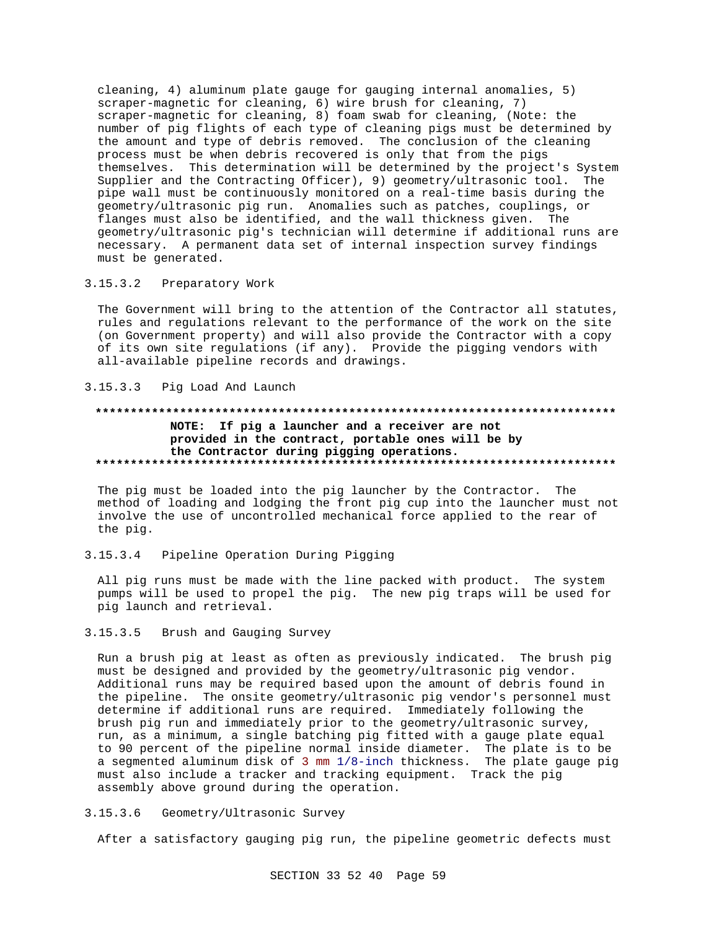cleaning, 4) aluminum plate gauge for gauging internal anomalies, 5) scraper-magnetic for cleaning, 6) wire brush for cleaning, 7) scraper-magnetic for cleaning, 8) foam swab for cleaning, (Note: the number of pig flights of each type of cleaning pigs must be determined by the amount and type of debris removed. The conclusion of the cleaning process must be when debris recovered is only that from the pigs themselves. This determination will be determined by the project's System Supplier and the Contracting Officer), 9) geometry/ultrasonic tool. The pipe wall must be continuously monitored on a real-time basis during the geometry/ultrasonic pig run. Anomalies such as patches, couplings, or flanges must also be identified, and the wall thickness given. The geometry/ultrasonic pig's technician will determine if additional runs are necessary. A permanent data set of internal inspection survey findings must be generated.

 $3.15.3.2$ Preparatory Work

The Government will bring to the attention of the Contractor all statutes, rules and regulations relevant to the performance of the work on the site (on Government property) and will also provide the Contractor with a copy of its own site regulations (if any). Provide the pigging vendors with all-available pipeline records and drawings.

#### $3.15.3.3$ Pig Load And Launch

#### . . . . . . . . . . . . . . . NOTE: If pig a launcher and a receiver are not provided in the contract, portable ones will be by the Contractor during pigging operations.

The pig must be loaded into the pig launcher by the Contractor. The method of loading and lodging the front pig cup into the launcher must not involve the use of uncontrolled mechanical force applied to the rear of the pig.

 $3.15.3.4$ Pipeline Operation During Pigging

All pig runs must be made with the line packed with product. The system pumps will be used to propel the pig. The new pig traps will be used for pig launch and retrieval.

#### $3.15.3.5$ Brush and Gauging Survey

Run a brush pig at least as often as previously indicated. The brush pig must be designed and provided by the geometry/ultrasonic pig vendor. Additional runs may be required based upon the amount of debris found in the pipeline. The onsite geometry/ultrasonic pig vendor's personnel must determine if additional runs are required. Immediately following the brush pig run and immediately prior to the geometry/ultrasonic survey, run, as a minimum, a single batching pig fitted with a gauge plate equal to 90 percent of the pipeline normal inside diameter. The plate is to be a segmented aluminum disk of 3 mm 1/8-inch thickness. The plate gauge pig must also include a tracker and tracking equipment. Track the pig assembly above ground during the operation.

 $3.15.3.6$ Geometry/Ultrasonic Survey

After a satisfactory gauging pig run, the pipeline geometric defects must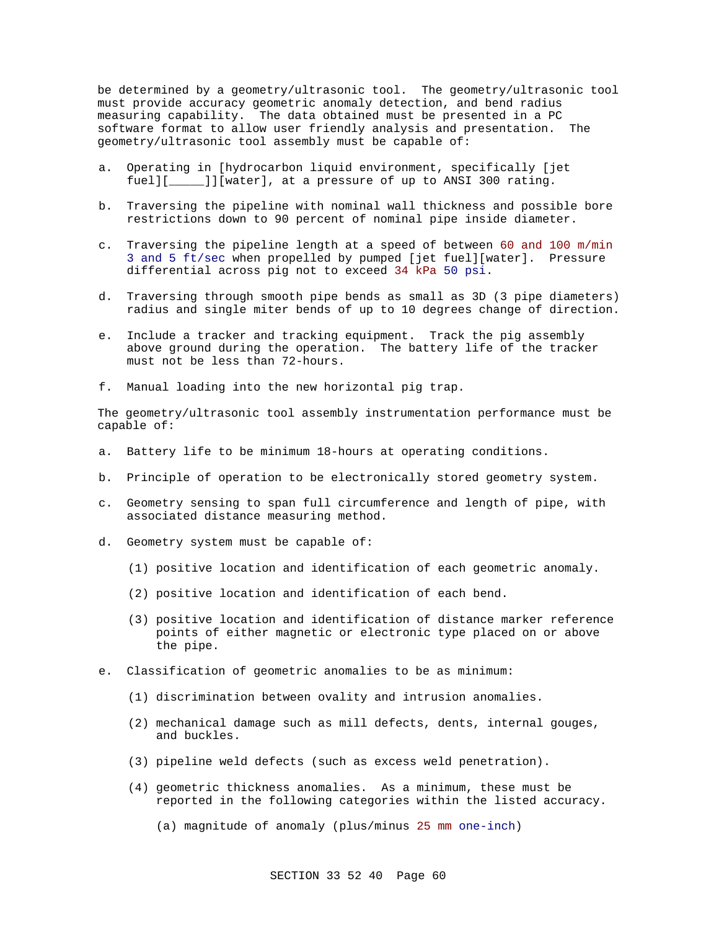be determined by a geometry/ultrasonic tool. The geometry/ultrasonic tool must provide accuracy geometric anomaly detection, and bend radius measuring capability. The data obtained must be presented in a PC software format to allow user friendly analysis and presentation. The geometry/ultrasonic tool assembly must be capable of:

- a. Operating in [hydrocarbon liquid environment, specifically [jet fuel][\_\_\_\_\_]][water], at a pressure of up to ANSI 300 rating.
- b. Traversing the pipeline with nominal wall thickness and possible bore restrictions down to 90 percent of nominal pipe inside diameter.
- c. Traversing the pipeline length at a speed of between 60 and 100 m/min 3 and 5 ft/sec when propelled by pumped [jet fuel][water]. Pressure differential across pig not to exceed 34 kPa 50 psi.
- d. Traversing through smooth pipe bends as small as 3D (3 pipe diameters) radius and single miter bends of up to 10 degrees change of direction.
- e. Include a tracker and tracking equipment. Track the pig assembly above ground during the operation. The battery life of the tracker must not be less than 72-hours.
- f. Manual loading into the new horizontal pig trap.

The geometry/ultrasonic tool assembly instrumentation performance must be capable of:

- a. Battery life to be minimum 18-hours at operating conditions.
- b. Principle of operation to be electronically stored geometry system.
- c. Geometry sensing to span full circumference and length of pipe, with associated distance measuring method.
- d. Geometry system must be capable of:
	- (1) positive location and identification of each geometric anomaly.
	- (2) positive location and identification of each bend.
	- (3) positive location and identification of distance marker reference points of either magnetic or electronic type placed on or above the pipe.
- e. Classification of geometric anomalies to be as minimum:
	- (1) discrimination between ovality and intrusion anomalies.
	- (2) mechanical damage such as mill defects, dents, internal gouges, and buckles.
	- (3) pipeline weld defects (such as excess weld penetration).
	- (4) geometric thickness anomalies. As a minimum, these must be reported in the following categories within the listed accuracy.
		- (a) magnitude of anomaly (plus/minus 25 mm one-inch)